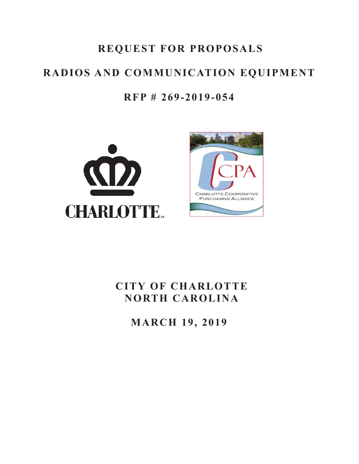# **REQUEST FOR PROPOSALS**

# **RADIOS AND COMMUNICATION EQUIPMENT**

### **RFP # 269-2019-054**





# **CITY OF CHARLOTTE NORTH CAROLINA**

**MARCH 19, 2019**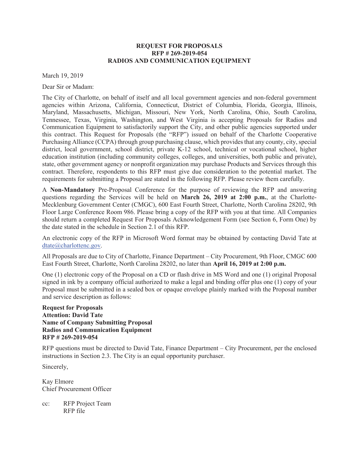#### **REQUEST FOR PROPOSALS RFP # 269-2019-054 RADIOS AND COMMUNICATION EQUIPMENT**

March 19, 2019

Dear Sir or Madam:

The City of Charlotte, on behalf of itself and all local government agencies and non-federal government agencies within Arizona, California, Connecticut, District of Columbia, Florida, Georgia, Illinois, Maryland, Massachusetts, Michigan, Missouri, New York, North Carolina, Ohio, South Carolina, Tennessee, Texas, Virginia, Washington, and West Virginia is accepting Proposals for Radios and Communication Equipment to satisfactorily support the City, and other public agencies supported under this contract. This Request for Proposals (the "RFP") issued on behalf of the Charlotte Cooperative Purchasing Alliance (CCPA) through group purchasing clause, which provides that any county, city, special district, local government, school district, private K-12 school, technical or vocational school, higher education institution (including community colleges, colleges, and universities, both public and private), state, other government agency or nonprofit organization may purchase Products and Services through this contract. Therefore, respondents to this RFP must give due consideration to the potential market. The requirements for submitting a Proposal are stated in the following RFP. Please review them carefully.

A **Non-Mandatory** Pre-Proposal Conference for the purpose of reviewing the RFP and answering questions regarding the Services will be held on **March 26, 2019 at 2:00 p.m.**, at the Charlotte-Mecklenburg Government Center (CMGC), 600 East Fourth Street, Charlotte, North Carolina 28202, 9th Floor Large Conference Room 986. Please bring a copy of the RFP with you at that time. All Companies should return a completed Request For Proposals Acknowledgement Form (see Section 6, Form One) by the date stated in the schedule in Section 2.1 of this RFP.

An electronic copy of the RFP in Microsoft Word format may be obtained by contacting David Tate at dtate@charlottenc.gov.

All Proposals are due to City of Charlotte, Finance Department – City Procurement, 9th Floor, CMGC 600 East Fourth Street, Charlotte, North Carolina 28202, no later than **April 16, 2019 at 2:00 p.m.**

One (1) electronic copy of the Proposal on a CD or flash drive in MS Word and one (1) original Proposal signed in ink by a company official authorized to make a legal and binding offer plus one (1) copy of your Proposal must be submitted in a sealed box or opaque envelope plainly marked with the Proposal number and service description as follows:

**Request for Proposals Attention: David Tate Name of Company Submitting Proposal Radios and Communication Equipment RFP # 269-2019-054**

RFP questions must be directed to David Tate, Finance Department – City Procurement, per the enclosed instructions in Section 2.3. The City is an equal opportunity purchaser.

Sincerely,

Kay Elmore Chief Procurement Officer

cc: RFP Project Team RFP file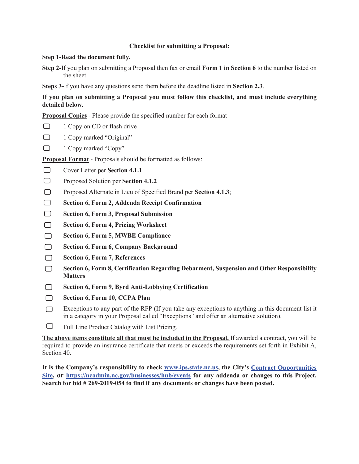#### **Checklist for submitting a Proposal:**

#### **Step 1-Read the document fully.**

**Step 2-**If you plan on submitting a Proposal then fax or email **Form 1 in Section 6** to the number listed on the sheet.

**Steps 3-**If you have any questions send them before the deadline listed in **Section 2.3**.

**If you plan on submitting a Proposal you must follow this checklist, and must include everything detailed below.**

**Proposal Copies** - Please provide the specified number for each format

- $\Box$ 1 Copy on CD or flash drive
- $\Box$ 1 Copy marked "Original"
- $\Box$ 1 Copy marked "Copy"

**Proposal Format** - Proposals should be formatted as follows:

- $\Box$ Cover Letter per **Section 4.1.1**
- $\Box$ Proposed Solution per **Section 4.1.2**
- $\Box$ Proposed Alternate in Lieu of Specified Brand per **Section 4.1.3**;
- $\Box$ **Section 6, Form 2, Addenda Receipt Confirmation**
- $\Box$ **Section 6, Form 3, Proposal Submission**
- $\Box$ **Section 6, Form 4, Pricing Worksheet**
- $\Box$ **Section 6, Form 5, MWBE Compliance**
- $\Box$ **Section 6, Form 6, Company Background**
- $\Box$ **Section 6, Form 7, References**
- $\Box$ **Section 6, Form 8, Certification Regarding Debarment, Suspension and Other Responsibility Matters**
- $\Box$ **Section 6, Form 9, Byrd Anti-Lobbying Certification**
- $\Box$ **Section 6, Form 10, CCPA Plan**
- Exceptions to any part of the RFP (If you take any exceptions to anything in this document list it  $\Box$ in a category in your Proposal called "Exceptions" and offer an alternative solution).
- $\Box$ Full Line Product Catalog with List Pricing.

**The above items constitute all that must be included in the Proposal.** If awarded a contract, you will be required to provide an insurance certificate that meets or exceeds the requirements set forth in Exhibit A, Section 40.

**It is the Company's responsibility to check www.ips.state.nc.us, the City's Contract Opportunities Site, or https://ncadmin.nc.gov/businesses/hub/events for any addenda or changes to this Project. Search for bid # 269-2019-054 to find if any documents or changes have been posted.**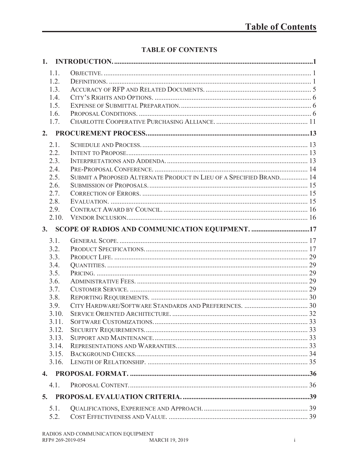### **TABLE OF CONTENTS**

| 1.             |                                                                     |  |
|----------------|---------------------------------------------------------------------|--|
| 1.1.           |                                                                     |  |
| 1.2.           |                                                                     |  |
| 1.3.           |                                                                     |  |
| 1.4.           |                                                                     |  |
| 1.5.           |                                                                     |  |
| 1.6.           |                                                                     |  |
| 1.7.           |                                                                     |  |
| 2.             |                                                                     |  |
| 2.1.           |                                                                     |  |
| 2.2.           |                                                                     |  |
| 2.3.           |                                                                     |  |
| 2.4.           |                                                                     |  |
| 2.5.           | SUBMIT A PROPOSED ALTERNATE PRODUCT IN LIEU OF A SPECIFIED BRAND 14 |  |
| 2.6.           |                                                                     |  |
| 2.7.           |                                                                     |  |
| 2.8.           |                                                                     |  |
| 2.9.           |                                                                     |  |
| 2.10.          |                                                                     |  |
| 3.             | SCOPE OF RADIOS AND COMMUNICATION EQUIPMENT. 17                     |  |
| 3.1.           |                                                                     |  |
| 3.2.           |                                                                     |  |
| 3.3.           |                                                                     |  |
| 3.4.           |                                                                     |  |
| 3.5.           |                                                                     |  |
| 3.6.           |                                                                     |  |
| 3.7.           |                                                                     |  |
| 3.8.           |                                                                     |  |
| 3.9.           |                                                                     |  |
| 3.10.          |                                                                     |  |
| 3.11.          |                                                                     |  |
| 3.12.          |                                                                     |  |
| 3.13.          |                                                                     |  |
| 3.14.          |                                                                     |  |
| 3.15.          |                                                                     |  |
| 3.16.          |                                                                     |  |
| $\mathbf{4}$ . |                                                                     |  |
| 4.1.           |                                                                     |  |
| 5.             |                                                                     |  |
| 5.1.           |                                                                     |  |
| 5.2.           |                                                                     |  |
|                |                                                                     |  |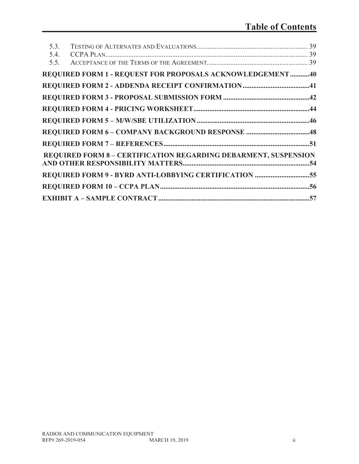| 5.3. |                                                                        |  |
|------|------------------------------------------------------------------------|--|
| 5.4. |                                                                        |  |
| 5.5. |                                                                        |  |
|      | REQUIRED FORM 1 - REQUEST FOR PROPOSALS ACKNOWLEDGEMENT40              |  |
|      |                                                                        |  |
|      |                                                                        |  |
|      |                                                                        |  |
|      |                                                                        |  |
|      |                                                                        |  |
|      |                                                                        |  |
|      | <b>REQUIRED FORM 8 - CERTIFICATION REGARDING DEBARMENT, SUSPENSION</b> |  |
|      |                                                                        |  |
|      | REQUIRED FORM 9 - BYRD ANTI-LOBBYING CERTIFICATION 55                  |  |
|      |                                                                        |  |
|      |                                                                        |  |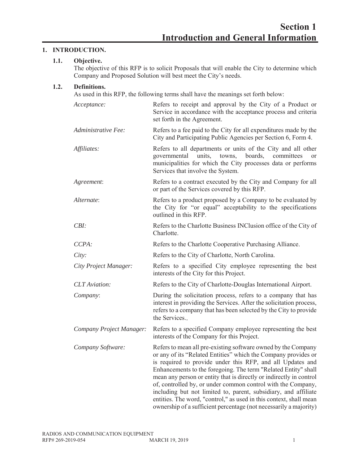#### **1. INTRODUCTION.**

#### **1.1. Objective.**

The objective of this RFP is to solicit Proposals that will enable the City to determine which Company and Proposed Solution will best meet the City's needs.

#### **1.2. Definitions.**

As used in this RFP, the following terms shall have the meanings set forth below:

| Acceptance:              | Refers to receipt and approval by the City of a Product or<br>Service in accordance with the acceptance process and criteria<br>set forth in the Agreement.                                                                                                                                                                                                                                                                                                                                                                                                                                                          |  |  |  |  |
|--------------------------|----------------------------------------------------------------------------------------------------------------------------------------------------------------------------------------------------------------------------------------------------------------------------------------------------------------------------------------------------------------------------------------------------------------------------------------------------------------------------------------------------------------------------------------------------------------------------------------------------------------------|--|--|--|--|
| Administrative Fee:      | Refers to a fee paid to the City for all expenditures made by the<br>City and Participating Public Agencies per Section 6, Form 4.                                                                                                                                                                                                                                                                                                                                                                                                                                                                                   |  |  |  |  |
| Affiliates:              | Refers to all departments or units of the City and all other<br>governmental units, towns, boards, committees<br><b>or</b><br>municipalities for which the City processes data or performs<br>Services that involve the System.                                                                                                                                                                                                                                                                                                                                                                                      |  |  |  |  |
| Agreement:               | Refers to a contract executed by the City and Company for all<br>or part of the Services covered by this RFP.                                                                                                                                                                                                                                                                                                                                                                                                                                                                                                        |  |  |  |  |
| Alternate:               | Refers to a product proposed by a Company to be evaluated by<br>the City for "or equal" acceptability to the specifications<br>outlined in this RFP.                                                                                                                                                                                                                                                                                                                                                                                                                                                                 |  |  |  |  |
| CBI:                     | Refers to the Charlotte Business INClusion office of the City of<br>Charlotte.                                                                                                                                                                                                                                                                                                                                                                                                                                                                                                                                       |  |  |  |  |
| CCPA:                    | Refers to the Charlotte Cooperative Purchasing Alliance.                                                                                                                                                                                                                                                                                                                                                                                                                                                                                                                                                             |  |  |  |  |
| City:                    | Refers to the City of Charlotte, North Carolina.                                                                                                                                                                                                                                                                                                                                                                                                                                                                                                                                                                     |  |  |  |  |
| City Project Manager:    | Refers to a specified City employee representing the best<br>interests of the City for this Project.                                                                                                                                                                                                                                                                                                                                                                                                                                                                                                                 |  |  |  |  |
| <b>CLT</b> Aviation:     | Refers to the City of Charlotte-Douglas International Airport.                                                                                                                                                                                                                                                                                                                                                                                                                                                                                                                                                       |  |  |  |  |
| Company:                 | During the solicitation process, refers to a company that has<br>interest in providing the Services. After the solicitation process,<br>refers to a company that has been selected by the City to provide<br>the Services                                                                                                                                                                                                                                                                                                                                                                                            |  |  |  |  |
| Company Project Manager: | Refers to a specified Company employee representing the best<br>interests of the Company for this Project.                                                                                                                                                                                                                                                                                                                                                                                                                                                                                                           |  |  |  |  |
| Company Software:        | Refers to mean all pre-existing software owned by the Company<br>or any of its "Related Entities" which the Company provides or<br>is required to provide under this RFP, and all Updates and<br>Enhancements to the foregoing. The term "Related Entity" shall<br>mean any person or entity that is directly or indirectly in control<br>of, controlled by, or under common control with the Company,<br>including but not limited to, parent, subsidiary, and affiliate<br>entities. The word, "control," as used in this context, shall mean<br>ownership of a sufficient percentage (not necessarily a majority) |  |  |  |  |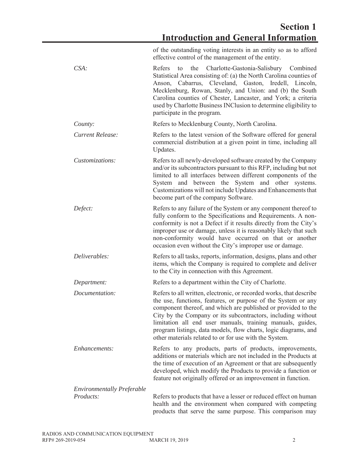of the outstanding voting interests in an entity so as to afford effective control of the management of the entity.

| $CSA$ :                           | Refers to the Charlotte-Gastonia-Salisbury Combined<br>Statistical Area consisting of: (a) the North Carolina counties of<br>Cabarrus, Cleveland, Gaston, Iredell, Lincoln,<br>Anson,<br>Mecklenburg, Rowan, Stanly, and Union: and (b) the South<br>Carolina counties of Chester, Lancaster, and York; a criteria<br>used by Charlotte Business INClusion to determine eligibility to<br>participate in the program.                                            |  |  |  |
|-----------------------------------|------------------------------------------------------------------------------------------------------------------------------------------------------------------------------------------------------------------------------------------------------------------------------------------------------------------------------------------------------------------------------------------------------------------------------------------------------------------|--|--|--|
| County:                           | Refers to Mecklenburg County, North Carolina.                                                                                                                                                                                                                                                                                                                                                                                                                    |  |  |  |
| Current Release:                  | Refers to the latest version of the Software offered for general<br>commercial distribution at a given point in time, including all<br>Updates.                                                                                                                                                                                                                                                                                                                  |  |  |  |
| Customizations:                   | Refers to all newly-developed software created by the Company<br>and/or its subcontractors pursuant to this RFP, including but not<br>limited to all interfaces between different components of the<br>System and between the System and other systems.<br>Customizations will not include Updates and Enhancements that<br>become part of the company Software.                                                                                                 |  |  |  |
| Defect:                           | Refers to any failure of the System or any component thereof to<br>fully conform to the Specifications and Requirements. A non-<br>conformity is not a Defect if it results directly from the City's<br>improper use or damage, unless it is reasonably likely that such<br>non-conformity would have occurred on that or another<br>occasion even without the City's improper use or damage.                                                                    |  |  |  |
| Deliverables:                     | Refers to all tasks, reports, information, designs, plans and other<br>items, which the Company is required to complete and deliver<br>to the City in connection with this Agreement.                                                                                                                                                                                                                                                                            |  |  |  |
| Department:                       | Refers to a department within the City of Charlotte.                                                                                                                                                                                                                                                                                                                                                                                                             |  |  |  |
| Documentation:                    | Refers to all written, electronic, or recorded works, that describe<br>the use, functions, features, or purpose of the System or any<br>component thereof, and which are published or provided to the<br>City by the Company or its subcontractors, including without<br>limitation all end user manuals, training manuals, guides,<br>program listings, data models, flow charts, logic diagrams, and<br>other materials related to or for use with the System. |  |  |  |
| Enhancements:                     | Refers to any products, parts of products, improvements,<br>additions or materials which are not included in the Products at<br>the time of execution of an Agreement or that are subsequently<br>developed, which modify the Products to provide a function or<br>feature not originally offered or an improvement in function.                                                                                                                                 |  |  |  |
| <b>Environmentally Preferable</b> |                                                                                                                                                                                                                                                                                                                                                                                                                                                                  |  |  |  |
| Products:                         | Refers to products that have a lesser or reduced effect on human<br>health and the environment when compared with competing<br>products that serve the same purpose. This comparison may                                                                                                                                                                                                                                                                         |  |  |  |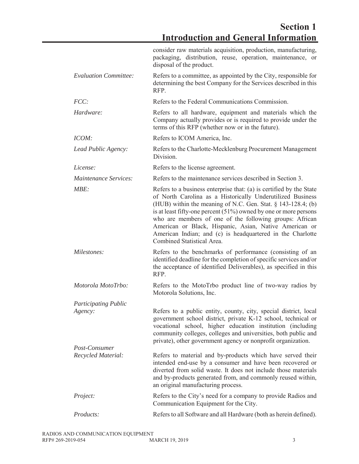|                              | consider raw materials acquisition, production, manufacturing,<br>packaging, distribution, reuse, operation, maintenance, or<br>disposal of the product.                                                                                                                                                                                                                                                                                                                                    |
|------------------------------|---------------------------------------------------------------------------------------------------------------------------------------------------------------------------------------------------------------------------------------------------------------------------------------------------------------------------------------------------------------------------------------------------------------------------------------------------------------------------------------------|
| <b>Evaluation Committee:</b> | Refers to a committee, as appointed by the City, responsible for<br>determining the best Company for the Services described in this<br>RFP.                                                                                                                                                                                                                                                                                                                                                 |
| FCC:                         | Refers to the Federal Communications Commission.                                                                                                                                                                                                                                                                                                                                                                                                                                            |
| Hardware:                    | Refers to all hardware, equipment and materials which the<br>Company actually provides or is required to provide under the<br>terms of this RFP (whether now or in the future).                                                                                                                                                                                                                                                                                                             |
| ICOM:                        | Refers to ICOM America, Inc.                                                                                                                                                                                                                                                                                                                                                                                                                                                                |
| Lead Public Agency:          | Refers to the Charlotte-Mecklenburg Procurement Management<br>Division.                                                                                                                                                                                                                                                                                                                                                                                                                     |
| License:                     | Refers to the license agreement.                                                                                                                                                                                                                                                                                                                                                                                                                                                            |
| <i>Maintenance Services:</i> | Refers to the maintenance services described in Section 3.                                                                                                                                                                                                                                                                                                                                                                                                                                  |
| MBE:                         | Refers to a business enterprise that: (a) is certified by the State<br>of North Carolina as a Historically Underutilized Business<br>(HUB) within the meaning of N.C. Gen. Stat. $\S$ 143-128.4; (b)<br>is at least fifty-one percent $(51%)$ owned by one or more persons<br>who are members of one of the following groups: African<br>American or Black, Hispanic, Asian, Native American or<br>American Indian; and (c) is headquartered in the Charlotte<br>Combined Statistical Area. |
| Milestones:                  | Refers to the benchmarks of performance (consisting of an<br>identified deadline for the completion of specific services and/or<br>the acceptance of identified Deliverables), as specified in this<br>RFP.                                                                                                                                                                                                                                                                                 |
| Motorola MotoTrbo:           | Refers to the MotoTrbo product line of two-way radios by<br>Motorola Solutions, Inc.                                                                                                                                                                                                                                                                                                                                                                                                        |
| <b>Participating Public</b>  |                                                                                                                                                                                                                                                                                                                                                                                                                                                                                             |
| Agency:                      | Refers to a public entity, county, city, special district, local<br>government school district, private K-12 school, technical or<br>vocational school, higher education institution (including<br>community colleges, colleges and universities, both public and<br>private), other government agency or nonprofit organization.                                                                                                                                                           |
| Post-Consumer                |                                                                                                                                                                                                                                                                                                                                                                                                                                                                                             |
| Recycled Material:           | Refers to material and by-products which have served their<br>intended end-use by a consumer and have been recovered or<br>diverted from solid waste. It does not include those materials<br>and by-products generated from, and commonly reused within,<br>an original manufacturing process.                                                                                                                                                                                              |
| Project:                     | Refers to the City's need for a company to provide Radios and<br>Communication Equipment for the City.                                                                                                                                                                                                                                                                                                                                                                                      |
| <i>Products:</i>             | Refers to all Software and all Hardware (both as herein defined).                                                                                                                                                                                                                                                                                                                                                                                                                           |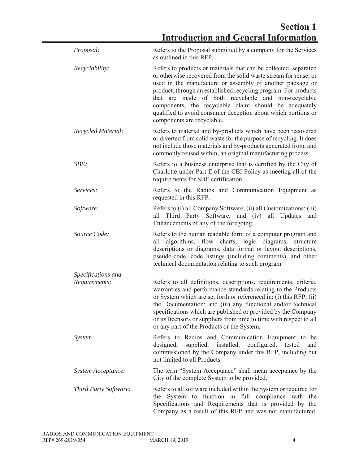| Proposal:                    | Refers to the Proposal submitted by a company for the Services<br>as outlined in this RFP.                                                                                                                                                                                                                                                                                                                                                                                          |
|------------------------------|-------------------------------------------------------------------------------------------------------------------------------------------------------------------------------------------------------------------------------------------------------------------------------------------------------------------------------------------------------------------------------------------------------------------------------------------------------------------------------------|
| <i>Recyclability:</i>        | Refers to products or materials that can be collected, separated<br>or otherwise recovered from the solid waste stream for reuse, or<br>used in the manufacture or assembly of another package or<br>product, through an established recycling program. For products<br>that are made of both recyclable and non-recyclable<br>components, the recyclable claim should be adequately<br>qualified to avoid consumer deception about which portions or<br>components are recyclable. |
| Recycled Material:           | Refers to material and by-products which have been recovered<br>or diverted from solid waste for the purpose of recycling. It does<br>not include those materials and by-products generated from, and<br>commonly reused within, an original manufacturing process.                                                                                                                                                                                                                 |
| SBE:                         | Refers to a business enterprise that is certified by the City of<br>Charlotte under Part E of the CBI Policy as meeting all of the<br>requirements for SBE certification.                                                                                                                                                                                                                                                                                                           |
| Services:                    | Refers to the Radios and Communication Equipment as<br>requested in this RFP.                                                                                                                                                                                                                                                                                                                                                                                                       |
| Software:                    | Refers to (i) all Company Software; (ii) all Customizations; (iii)<br>all Third Party Software; and (iv) all Updates and<br>Enhancements of any of the foregoing.                                                                                                                                                                                                                                                                                                                   |
| Source Code:                 | Refers to the human readable form of a computer program and<br>algorithms, flow charts, logic diagrams,<br>structure<br>all<br>descriptions or diagrams, data format or layout descriptions,<br>pseudo-code, code listings (including comments), and other<br>technical documentation relating to such program.                                                                                                                                                                     |
| Specifications and           |                                                                                                                                                                                                                                                                                                                                                                                                                                                                                     |
| Requirements:                | Refers to all definitions, descriptions, requirements, criteria,<br>warranties and performance standards relating to the Products<br>or System which are set forth or referenced in: (i) this RFP; (ii)<br>the Documentation; and (iii) any functional and/or technical<br>specifications which are published or provided by the Company<br>or its licensors or suppliers from time to time with respect to all<br>or any part of the Products or the System.                       |
| System:                      | Refers to Radios and Communication Equipment to be<br>supplied,<br>installed,<br>configured,<br>designed,<br>tested<br>and<br>commissioned by the Company under this RFP, including but<br>not limited to all Products.                                                                                                                                                                                                                                                             |
| System Acceptance:           | The term "System Acceptance" shall mean acceptance by the<br>City of the complete System to be provided.                                                                                                                                                                                                                                                                                                                                                                            |
| <b>Third Party Software:</b> | Refers to all software included within the System or required for<br>System to function in full compliance with the<br>the<br>Specifications and Requirements that is provided by the<br>Company as a result of this RFP and was not manufactured,                                                                                                                                                                                                                                  |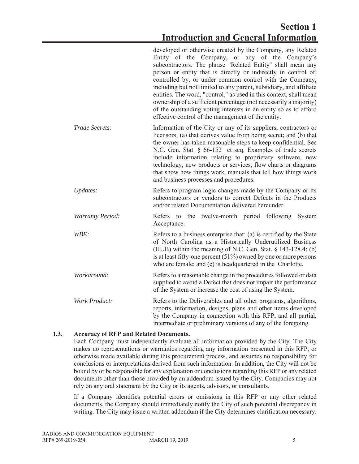### **Section 1 Introduction and General Information**

|                         | developed or otherwise created by the Company, any Related<br>Entity of the Company, or any of the Company's<br>subcontractors. The phrase "Related Entity" shall mean any<br>person or entity that is directly or indirectly in control of,<br>controlled by, or under common control with the Company,<br>including but not limited to any parent, subsidiary, and affiliate<br>entities. The word, "control," as used in this context, shall mean<br>ownership of a sufficient percentage (not necessarily a majority)<br>of the outstanding voting interests in an entity so as to afford<br>effective control of the management of the entity. |
|-------------------------|-----------------------------------------------------------------------------------------------------------------------------------------------------------------------------------------------------------------------------------------------------------------------------------------------------------------------------------------------------------------------------------------------------------------------------------------------------------------------------------------------------------------------------------------------------------------------------------------------------------------------------------------------------|
| Trade Secrets:          | Information of the City or any of its suppliers, contractors or<br>licensors: (a) that derives value from being secret; and (b) that<br>the owner has taken reasonable steps to keep confidential. See<br>N.C. Gen. Stat. § 66-152 et seq. Examples of trade secrets<br>include information relating to proprietary software, new<br>technology, new products or services, flow charts or diagrams<br>that show how things work, manuals that tell how things work<br>and business processes and procedures.                                                                                                                                        |
| Updates:                | Refers to program logic changes made by the Company or its<br>subcontractors or vendors to correct Defects in the Products<br>and/or related Documentation delivered hereunder.                                                                                                                                                                                                                                                                                                                                                                                                                                                                     |
| <b>Warranty Period:</b> | the twelve-month period following<br>Refers to<br>System<br>Acceptance.                                                                                                                                                                                                                                                                                                                                                                                                                                                                                                                                                                             |
| WBE:                    | Refers to a business enterprise that: (a) is certified by the State<br>of North Carolina as a Historically Underutilized Business<br>(HUB) within the meaning of N.C. Gen. Stat. $\S$ 143-128.4; (b)<br>is at least fifty-one percent $(51\%)$ owned by one or more persons<br>who are female; and (c) is headquartered in the Charlotte.                                                                                                                                                                                                                                                                                                           |
| Workaround:             | Refers to a reasonable change in the procedures followed or data<br>supplied to avoid a Defect that does not impair the performance<br>of the System or increase the cost of using the System.                                                                                                                                                                                                                                                                                                                                                                                                                                                      |
| <b>Work Product:</b>    | Refers to the Deliverables and all other programs, algorithms,<br>reports, information, designs, plans and other items developed<br>by the Company in connection with this RFP, and all partial,<br>intermediate or preliminary versions of any of the foregoing.                                                                                                                                                                                                                                                                                                                                                                                   |

#### **1.3. Accuracy of RFP and Related Documents.**

Each Company must independently evaluate all information provided by the City. The City makes no representations or warranties regarding any information presented in this RFP, or otherwise made available during this procurement process, and assumes no responsibility for conclusions or interpretations derived from such information. In addition, the City will not be bound by or be responsible for any explanation or conclusions regarding this RFP or any related documents other than those provided by an addendum issued by the City. Companies may not rely on any oral statement by the City or its agents, advisors, or consultants.

If a Company identifies potential errors or omissions in this RFP or any other related documents, the Company should immediately notify the City of such potential discrepancy in writing. The City may issue a written addendum if the City determines clarification necessary.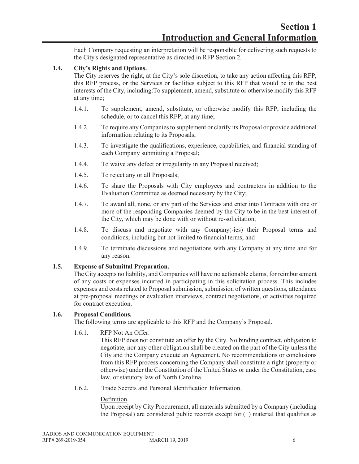Each Company requesting an interpretation will be responsible for delivering such requests to the City's designated representative as directed in RFP Section 2.

#### **1.4. City's Rights and Options.**

The City reserves the right, at the City's sole discretion, to take any action affecting this RFP, this RFP process, or the Services or facilities subject to this RFP that would be in the best interests of the City, including:To supplement, amend, substitute or otherwise modify this RFP at any time;

- 1.4.1. To supplement, amend, substitute, or otherwise modify this RFP, including the schedule, or to cancel this RFP, at any time;
- 1.4.2. To require any Companies to supplement or clarify its Proposal or provide additional information relating to its Proposals;
- 1.4.3. To investigate the qualifications, experience, capabilities, and financial standing of each Company submitting a Proposal;
- 1.4.4. To waive any defect or irregularity in any Proposal received;
- 1.4.5. To reject any or all Proposals;
- 1.4.6. To share the Proposals with City employees and contractors in addition to the Evaluation Committee as deemed necessary by the City;
- 1.4.7. To award all, none, or any part of the Services and enter into Contracts with one or more of the responding Companies deemed by the City to be in the best interest of the City, which may be done with or without re-solicitation;
- 1.4.8. To discuss and negotiate with any Company(-ies) their Proposal terms and conditions, including but not limited to financial terms; and
- 1.4.9. To terminate discussions and negotiations with any Company at any time and for any reason.

#### **1.5. Expense of Submittal Preparation.**

The City accepts no liability, and Companies will have no actionable claims, for reimbursement of any costs or expenses incurred in participating in this solicitation process. This includes expenses and costs related to Proposal submission, submission of written questions, attendance at pre-proposal meetings or evaluation interviews, contract negotiations, or activities required for contract execution.

#### **1.6. Proposal Conditions.**

The following terms are applicable to this RFP and the Company's Proposal.

1.6.1. RFP Not An Offer.

This RFP does not constitute an offer by the City. No binding contract, obligation to negotiate, nor any other obligation shall be created on the part of the City unless the City and the Company execute an Agreement. No recommendations or conclusions from this RFP process concerning the Company shall constitute a right (property or otherwise) under the Constitution of the United States or under the Constitution, case law, or statutory law of North Carolina.

1.6.2. Trade Secrets and Personal Identification Information.

#### Definition.

Upon receipt by City Procurement, all materials submitted by a Company (including the Proposal) are considered public records except for (1) material that qualifies as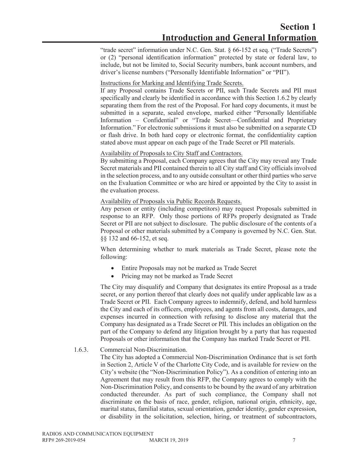"trade secret" information under N.C. Gen. Stat. § 66-152 et seq. ("Trade Secrets") or (2) "personal identification information" protected by state or federal law, to include, but not be limited to, Social Security numbers, bank account numbers, and driver's license numbers ("Personally Identifiable Information" or "PII").

#### Instructions for Marking and Identifying Trade Secrets.

If any Proposal contains Trade Secrets or PII, such Trade Secrets and PII must specifically and clearly be identified in accordance with this Section 1.6.2 by clearly separating them from the rest of the Proposal. For hard copy documents, it must be submitted in a separate, sealed envelope, marked either "Personally Identifiable Information – Confidential" or "Trade Secret—Confidential and Proprietary Information." For electronic submissions it must also be submitted on a separate CD or flash drive. In both hard copy or electronic format, the confidentiality caption stated above must appear on each page of the Trade Secret or PII materials.

#### Availability of Proposals to City Staff and Contractors.

By submitting a Proposal, each Company agrees that the City may reveal any Trade Secret materials and PII contained therein to all City staff and City officials involved in the selection process, and to any outside consultant or other third parties who serve on the Evaluation Committee or who are hired or appointed by the City to assist in the evaluation process.

#### Availability of Proposals via Public Records Requests.

Any person or entity (including competitors) may request Proposals submitted in response to an RFP. Only those portions of RFPs properly designated as Trade Secret or PII are not subject to disclosure. The public disclosure of the contents of a Proposal or other materials submitted by a Company is governed by N.C. Gen. Stat. §§ 132 and 66-152, et seq.

When determining whether to mark materials as Trade Secret, please note the following:

- Entire Proposals may not be marked as Trade Secret
- Pricing may not be marked as Trade Secret

The City may disqualify and Company that designates its entire Proposal as a trade secret, or any portion thereof that clearly does not qualify under applicable law as a Trade Secret or PII. Each Company agrees to indemnify, defend, and hold harmless the City and each of its officers, employees, and agents from all costs, damages, and expenses incurred in connection with refusing to disclose any material that the Company has designated as a Trade Secret or PII. This includes an obligation on the part of the Company to defend any litigation brought by a party that has requested Proposals or other information that the Company has marked Trade Secret or PII.

#### 1.6.3. Commercial Non-Discrimination.

The City has adopted a Commercial Non-Discrimination Ordinance that is set forth in Section 2, Article V of the Charlotte City Code, and is available for review on the City's website (the "Non-Discrimination Policy"). As a condition of entering into an Agreement that may result from this RFP, the Company agrees to comply with the Non-Discrimination Policy, and consents to be bound by the award of any arbitration conducted thereunder. As part of such compliance, the Company shall not discriminate on the basis of race, gender, religion, national origin, ethnicity, age, marital status, familial status, sexual orientation, gender identity, gender expression, or disability in the solicitation, selection, hiring, or treatment of subcontractors,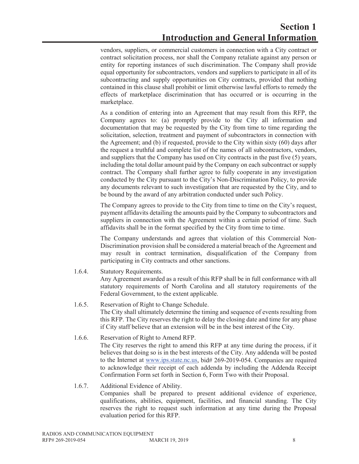vendors, suppliers, or commercial customers in connection with a City contract or contract solicitation process, nor shall the Company retaliate against any person or entity for reporting instances of such discrimination. The Company shall provide equal opportunity for subcontractors, vendors and suppliers to participate in all of its subcontracting and supply opportunities on City contracts, provided that nothing contained in this clause shall prohibit or limit otherwise lawful efforts to remedy the effects of marketplace discrimination that has occurred or is occurring in the marketplace.

As a condition of entering into an Agreement that may result from this RFP, the Company agrees to: (a) promptly provide to the City all information and documentation that may be requested by the City from time to time regarding the solicitation, selection, treatment and payment of subcontractors in connection with the Agreement; and (b) if requested, provide to the City within sixty (60) days after the request a truthful and complete list of the names of all subcontractors, vendors, and suppliers that the Company has used on City contracts in the past five (5) years, including the total dollar amount paid by the Company on each subcontract or supply contract. The Company shall further agree to fully cooperate in any investigation conducted by the City pursuant to the City's Non-Discrimination Policy, to provide any documents relevant to such investigation that are requested by the City, and to be bound by the award of any arbitration conducted under such Policy.

The Company agrees to provide to the City from time to time on the City's request, payment affidavits detailing the amounts paid by the Company to subcontractors and suppliers in connection with the Agreement within a certain period of time. Such affidavits shall be in the format specified by the City from time to time.

The Company understands and agrees that violation of this Commercial Non-Discrimination provision shall be considered a material breach of the Agreement and may result in contract termination, disqualification of the Company from participating in City contracts and other sanctions.

1.6.4. Statutory Requirements.

Any Agreement awarded as a result of this RFP shall be in full conformance with all statutory requirements of North Carolina and all statutory requirements of the Federal Government, to the extent applicable.

1.6.5. Reservation of Right to Change Schedule.

The City shall ultimately determine the timing and sequence of events resulting from this RFP. The City reserves the right to delay the closing date and time for any phase if City staff believe that an extension will be in the best interest of the City.

- 1.6.6. Reservation of Right to Amend RFP. The City reserves the right to amend this RFP at any time during the process, if it believes that doing so is in the best interests of the City. Any addenda will be posted to the Internet at www.ips.state.nc.us, bid# 269-2019-054. Companies are required to acknowledge their receipt of each addenda by including the Addenda Receipt Confirmation Form set forth in Section 6, Form Two with their Proposal.
- 1.6.7. Additional Evidence of Ability. Companies shall be prepared to present additional evidence of experience, qualifications, abilities, equipment, facilities, and financial standing. The City reserves the right to request such information at any time during the Proposal evaluation period for this RFP.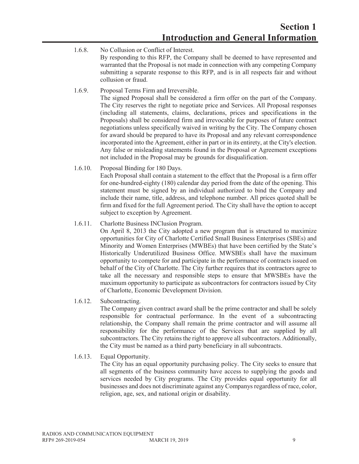- 1.6.8. No Collusion or Conflict of Interest. By responding to this RFP, the Company shall be deemed to have represented and warranted that the Proposal is not made in connection with any competing Company submitting a separate response to this RFP, and is in all respects fair and without collusion or fraud.
- 1.6.9. Proposal Terms Firm and Irreversible. The signed Proposal shall be considered a firm offer on the part of the Company. The City reserves the right to negotiate price and Services. All Proposal responses (including all statements, claims, declarations, prices and specifications in the Proposals) shall be considered firm and irrevocable for purposes of future contract negotiations unless specifically waived in writing by the City. The Company chosen for award should be prepared to have its Proposal and any relevant correspondence incorporated into the Agreement, either in part or in its entirety, at the City's election. Any false or misleading statements found in the Proposal or Agreement exceptions not included in the Proposal may be grounds for disqualification.
- 1.6.10. Proposal Binding for 180 Days. Each Proposal shall contain a statement to the effect that the Proposal is a firm offer for one-hundred-eighty (180) calendar day period from the date of the opening. This statement must be signed by an individual authorized to bind the Company and include their name, title, address, and telephone number. All prices quoted shall be firm and fixed for the full Agreement period. The City shall have the option to accept subject to exception by Agreement.
- 1.6.11. Charlotte Business INClusion Program.

On April 8, 2013 the City adopted a new program that is structured to maximize opportunities for City of Charlotte Certified Small Business Enterprises (SBEs) and Minority and Women Enterprises (MWBEs) that have been certified by the State's Historically Underutilized Business Office. MWSBEs shall have the maximum opportunity to compete for and participate in the performance of contracts issued on behalf of the City of Charlotte. The City further requires that its contractors agree to take all the necessary and responsible steps to ensure that MWSBEs have the maximum opportunity to participate as subcontractors for contractors issued by City of Charlotte, Economic Development Division.

1.6.12. Subcontracting.

The Company given contract award shall be the prime contractor and shall be solely responsible for contractual performance. In the event of a subcontracting relationship, the Company shall remain the prime contractor and will assume all responsibility for the performance of the Services that are supplied by all subcontractors. The City retains the right to approve all subcontractors. Additionally, the City must be named as a third party beneficiary in all subcontracts.

1.6.13. Equal Opportunity.

The City has an equal opportunity purchasing policy. The City seeks to ensure that all segments of the business community have access to supplying the goods and services needed by City programs. The City provides equal opportunity for all businesses and does not discriminate against any Companys regardless of race, color, religion, age, sex, and national origin or disability.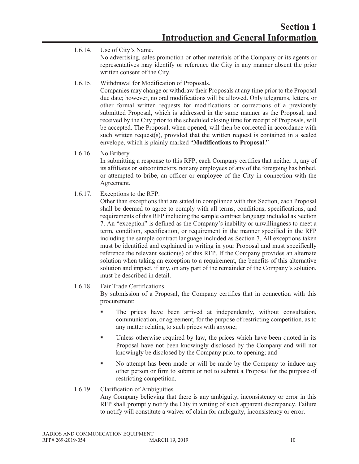- 1.6.14. Use of City's Name. No advertising, sales promotion or other materials of the Company or its agents or representatives may identify or reference the City in any manner absent the prior written consent of the City.
- 1.6.15. Withdrawal for Modification of Proposals.

Companies may change or withdraw their Proposals at any time prior to the Proposal due date; however, no oral modifications will be allowed. Only telegrams, letters, or other formal written requests for modifications or corrections of a previously submitted Proposal, which is addressed in the same manner as the Proposal, and received by the City prior to the scheduled closing time for receipt of Proposals, will be accepted. The Proposal, when opened, will then be corrected in accordance with such written request(s), provided that the written request is contained in a sealed envelope, which is plainly marked "**Modifications to Proposal**."

1.6.16. No Bribery.

In submitting a response to this RFP, each Company certifies that neither it, any of its affiliates or subcontractor*s*, nor any employees of any of the foregoing has bribed, or attempted to bribe, an officer or employee of the City in connection with the Agreement.

1.6.17. Exceptions to the RFP.

Other than exceptions that are stated in compliance with this Section, each Proposal shall be deemed to agree to comply with all terms, conditions, specifications, and requirements of this RFP including the sample contract language included as Section 7. An "exception" is defined as the Company's inability or unwillingness to meet a term, condition, specification, or requirement in the manner specified in the RFP including the sample contract language included as Section 7. All exceptions taken must be identified and explained in writing in your Proposal and must specifically reference the relevant section(s) of this RFP. If the Company provides an alternate solution when taking an exception to a requirement, the benefits of this alternative solution and impact, if any, on any part of the remainder of the Company's solution, must be described in detail.

#### 1.6.18. Fair Trade Certifications.

By submission of a Proposal, the Company certifies that in connection with this procurement:

- The prices have been arrived at independently, without consultation, communication, or agreement, for the purpose of restricting competition, as to any matter relating to such prices with anyone;
- Unless otherwise required by law, the prices which have been quoted in its Proposal have not been knowingly disclosed by the Company and will not knowingly be disclosed by the Company prior to opening; and
- No attempt has been made or will be made by the Company to induce any other person or firm to submit or not to submit a Proposal for the purpose of restricting competition.

#### 1.6.19. Clarification of Ambiguities.

Any Company believing that there is any ambiguity, inconsistency or error in this RFP shall promptly notify the City in writing of such apparent discrepancy. Failure to notify will constitute a waiver of claim for ambiguity, inconsistency or error.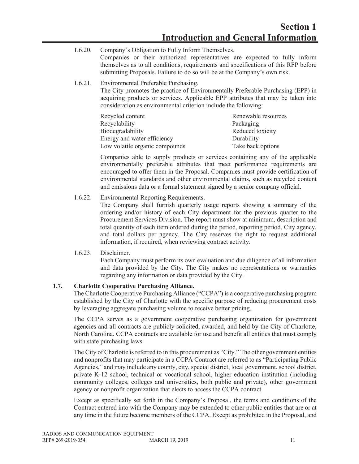- 1.6.20. Company's Obligation to Fully Inform Themselves. Companies or their authorized representatives are expected to fully inform themselves as to all conditions, requirements and specifications of this RFP before submitting Proposals. Failure to do so will be at the Company's own risk.
- 1.6.21. Environmental Preferable Purchasing.

The City promotes the practice of Environmentally Preferable Purchasing (EPP) in acquiring products or services. Applicable EPP attributes that may be taken into consideration as environmental criterion include the following:

| Recycled content               | Renewable resources |
|--------------------------------|---------------------|
| Recyclability                  | Packaging           |
| Biodegradability               | Reduced toxicity    |
| Energy and water efficiency    | Durability          |
| Low volatile organic compounds | Take back options   |

Companies able to supply products or services containing any of the applicable environmentally preferable attributes that meet performance requirements are encouraged to offer them in the Proposal. Companies must provide certification of environmental standards and other environmental claims, such as recycled content and emissions data or a formal statement signed by a senior company official.

1.6.22. Environmental Reporting Requirements.

The Company shall furnish quarterly usage reports showing a summary of the ordering and/or history of each City department for the previous quarter to the Procurement Services Division. The report must show at minimum, description and total quantity of each item ordered during the period, reporting period, City agency, and total dollars per agency. The City reserves the right to request additional information, if required, when reviewing contract activity.

#### 1.6.23. Disclaimer.

Each Company must perform its own evaluation and due diligence of all information and data provided by the City. The City makes no representations or warranties regarding any information or data provided by the City.

#### **1.7. Charlotte Cooperative Purchasing Alliance.**

The Charlotte Cooperative Purchasing Alliance ("CCPA") is a cooperative purchasing program established by the City of Charlotte with the specific purpose of reducing procurement costs by leveraging aggregate purchasing volume to receive better pricing.

The CCPA serves as a government cooperative purchasing organization for government agencies and all contracts are publicly solicited, awarded, and held by the City of Charlotte, North Carolina. CCPA contracts are available for use and benefit all entities that must comply with state purchasing laws.

The City of Charlotte is referred to in this procurement as "City." The other government entities and nonprofits that may participate in a CCPA Contract are referred to as "Participating Public Agencies," and may include any county, city, special district, local government, school district, private K-12 school, technical or vocational school, higher education institution (including community colleges, colleges and universities, both public and private), other government agency or nonprofit organization that elects to access the CCPA contract.

Except as specifically set forth in the Company's Proposal, the terms and conditions of the Contract entered into with the Company may be extended to other public entities that are or at any time in the future become members of the CCPA. Except as prohibited in the Proposal, and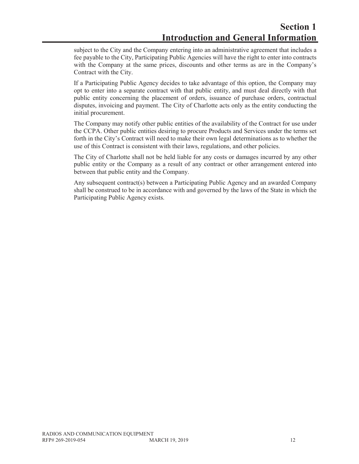subject to the City and the Company entering into an administrative agreement that includes a fee payable to the City, Participating Public Agencies will have the right to enter into contracts with the Company at the same prices, discounts and other terms as are in the Company's Contract with the City.

If a Participating Public Agency decides to take advantage of this option, the Company may opt to enter into a separate contract with that public entity, and must deal directly with that public entity concerning the placement of orders, issuance of purchase orders, contractual disputes, invoicing and payment. The City of Charlotte acts only as the entity conducting the initial procurement.

The Company may notify other public entities of the availability of the Contract for use under the CCPA. Other public entities desiring to procure Products and Services under the terms set forth in the City's Contract will need to make their own legal determinations as to whether the use of this Contract is consistent with their laws, regulations, and other policies.

The City of Charlotte shall not be held liable for any costs or damages incurred by any other public entity or the Company as a result of any contract or other arrangement entered into between that public entity and the Company.

Any subsequent contract(s) between a Participating Public Agency and an awarded Company shall be construed to be in accordance with and governed by the laws of the State in which the Participating Public Agency exists.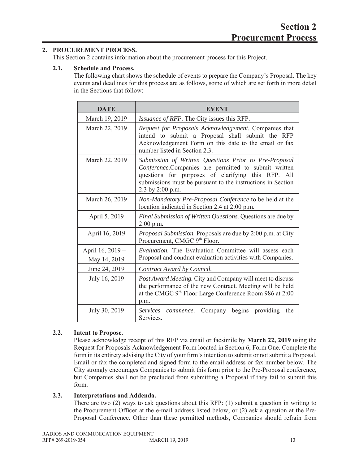#### **2. PROCUREMENT PROCESS.**

This Section 2 contains information about the procurement process for this Project.

#### **2.1. Schedule and Process.**

The following chart shows the schedule of events to prepare the Company's Proposal. The key events and deadlines for this process are as follows, some of which are set forth in more detail in the Sections that follow:

| <b>DATE</b>      | <b>EVENT</b>                                                                                                                                                                                                                                           |  |  |  |
|------------------|--------------------------------------------------------------------------------------------------------------------------------------------------------------------------------------------------------------------------------------------------------|--|--|--|
| March 19, 2019   | <i>Issuance of RFP.</i> The City issues this RFP.                                                                                                                                                                                                      |  |  |  |
| March 22, 2019   | Request for Proposals Acknowledgement. Companies that<br>intend to submit a Proposal shall submit the RFP<br>Acknowledgement Form on this date to the email or fax<br>number listed in Section 2.3.                                                    |  |  |  |
| March 22, 2019   | Submission of Written Questions Prior to Pre-Proposal<br>Conference.Companies are permitted to submit written<br>questions for purposes of clarifying this RFP. All<br>submissions must be pursuant to the instructions in Section<br>2.3 by 2:00 p.m. |  |  |  |
| March 26, 2019   | Non-Mandatory Pre-Proposal Conference to be held at the<br>location indicated in Section 2.4 at 2:00 p.m.                                                                                                                                              |  |  |  |
| April 5, 2019    | Final Submission of Written Questions. Questions are due by<br>$2:00$ p.m.                                                                                                                                                                             |  |  |  |
| April 16, 2019   | Proposal Submission. Proposals are due by 2:00 p.m. at City<br>Procurement, CMGC 9th Floor.                                                                                                                                                            |  |  |  |
| April 16, 2019 - | Evaluation. The Evaluation Committee will assess each                                                                                                                                                                                                  |  |  |  |
| May 14, 2019     | Proposal and conduct evaluation activities with Companies.                                                                                                                                                                                             |  |  |  |
| June 24, 2019    | Contract Award by Council.                                                                                                                                                                                                                             |  |  |  |
| July 16, 2019    | Post Award Meeting. City and Company will meet to discuss<br>the performance of the new Contract. Meeting will be held<br>at the CMGC 9 <sup>th</sup> Floor Large Conference Room 986 at 2:00<br>p.m.                                                  |  |  |  |
| July 30, 2019    | Company begins<br>providing<br>Services<br>the<br>commence.<br>Services.                                                                                                                                                                               |  |  |  |

#### **2.2. Intent to Propose.**

Please acknowledge receipt of this RFP via email or facsimile by **March 22, 2019** using the Request for Proposals Acknowledgement Form located in Section 6, Form One. Complete the form in its entirety advising the City of your firm's intention to submit or not submit a Proposal. Email or fax the completed and signed form to the email address or fax number below. The City strongly encourages Companies to submit this form prior to the Pre-Proposal conference, but Companies shall not be precluded from submitting a Proposal if they fail to submit this form.

#### **2.3. Interpretations and Addenda.**

There are two (2) ways to ask questions about this RFP: (1) submit a question in writing to the Procurement Officer at the e-mail address listed below; or (2) ask a question at the Pre-Proposal Conference. Other than these permitted methods, Companies should refrain from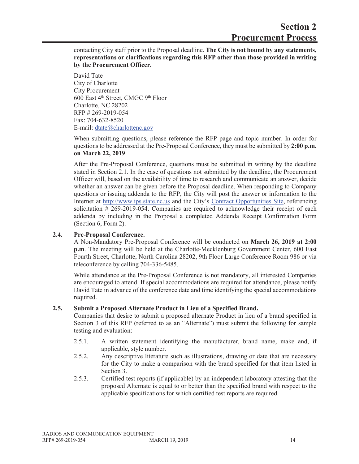contacting City staff prior to the Proposal deadline. **The City is not bound by any statements, representations or clarifications regarding this RFP other than those provided in writing by the Procurement Officer.** 

David Tate City of Charlotte City Procurement 600 East 4th Street, CMGC 9th Floor Charlotte, NC 28202 RFP # 269-2019-054 Fax: 704-632-8520 E-mail: dtate@charlottenc.gov

When submitting questions, please reference the RFP page and topic number. In order for questions to be addressed at the Pre-Proposal Conference, they must be submitted by **2:00 p.m. on March 22, 2019**.

After the Pre-Proposal Conference, questions must be submitted in writing by the deadline stated in Section 2.1. In the case of questions not submitted by the deadline, the Procurement Officer will, based on the availability of time to research and communicate an answer, decide whether an answer can be given before the Proposal deadline. When responding to Company questions or issuing addenda to the RFP, the City will post the answer or information to the Internet at http://www.ips.state.nc.us and the City's Contract Opportunities Site, referencing solicitation # 269-2019-054. Companies are required to acknowledge their receipt of each addenda by including in the Proposal a completed Addenda Receipt Confirmation Form (Section 6, Form 2).

#### **2.4. Pre-Proposal Conference.**

A Non-Mandatory Pre-Proposal Conference will be conducted on **March 26, 2019 at 2:00 p.m**. The meeting will be held at the Charlotte-Mecklenburg Government Center, 600 East Fourth Street, Charlotte, North Carolina 28202, 9th Floor Large Conference Room 986 or via teleconference by calling 704-336-5485.

While attendance at the Pre-Proposal Conference is not mandatory, all interested Companies are encouraged to attend. If special accommodations are required for attendance, please notify David Tate in advance of the conference date and time identifying the special accommodations required.

#### **2.5. Submit a Proposed Alternate Product in Lieu of a Specified Brand.**

Companies that desire to submit a proposed alternate Product in lieu of a brand specified in Section 3 of this RFP (referred to as an "Alternate") must submit the following for sample testing and evaluation:

- 2.5.1. A written statement identifying the manufacturer, brand name, make and, if applicable, style number.
- 2.5.2. Any descriptive literature such as illustrations, drawing or date that are necessary for the City to make a comparison with the brand specified for that item listed in Section 3.
- 2.5.3. Certified test reports (if applicable) by an independent laboratory attesting that the proposed Alternate is equal to or better than the specified brand with respect to the applicable specifications for which certified test reports are required.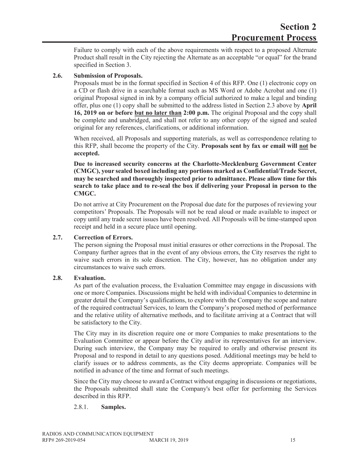Failure to comply with each of the above requirements with respect to a proposed Alternate Product shall result in the City rejecting the Alternate as an acceptable "or equal" for the brand specified in Section 3.

#### **2.6. Submission of Proposals.**

Proposals must be in the format specified in Section 4 of this RFP. One (1) electronic copy on a CD or flash drive in a searchable format such as MS Word or Adobe Acrobat and one (1) original Proposal signed in ink by a company official authorized to make a legal and binding offer, plus one (1) copy shall be submitted to the address listed in Section 2.3 above by **April 16, 2019 on or before but no later than 2:00 p.m.** The original Proposal and the copy shall be complete and unabridged, and shall not refer to any other copy of the signed and sealed original for any references, clarifications, or additional information.

When received, all Proposals and supporting materials, as well as correspondence relating to this RFP, shall become the property of the City. **Proposals sent by fax or email will not be accepted.**

**Due to increased security concerns at the Charlotte-Mecklenburg Government Center (CMGC), your sealed boxed including any portions marked as Confidential/Trade Secret, may be searched and thoroughly inspected prior to admittance. Please allow time for this search to take place and to re-seal the box if delivering your Proposal in person to the CMGC.**

Do not arrive at City Procurement on the Proposal due date for the purposes of reviewing your competitors' Proposals. The Proposals will not be read aloud or made available to inspect or copy until any trade secret issues have been resolved. All Proposals will be time-stamped upon receipt and held in a secure place until opening.

#### **2.7. Correction of Errors.**

The person signing the Proposal must initial erasures or other corrections in the Proposal. The Company further agrees that in the event of any obvious errors, the City reserves the right to waive such errors in its sole discretion. The City, however, has no obligation under any circumstances to waive such errors.

#### **2.8. Evaluation.**

As part of the evaluation process, the Evaluation Committee may engage in discussions with one or more Companies. Discussions might be held with individual Companies to determine in greater detail the Company's qualifications, to explore with the Company the scope and nature of the required contractual Services, to learn the Company's proposed method of performance and the relative utility of alternative methods, and to facilitate arriving at a Contract that will be satisfactory to the City.

The City may in its discretion require one or more Companies to make presentations to the Evaluation Committee or appear before the City and/or its representatives for an interview. During such interview, the Company may be required to orally and otherwise present its Proposal and to respond in detail to any questions posed. Additional meetings may be held to clarify issues or to address comments, as the City deems appropriate. Companies will be notified in advance of the time and format of such meetings.

Since the City may choose to award a Contract without engaging in discussions or negotiations, the Proposals submitted shall state the Company's best offer for performing the Services described in this RFP.

#### 2.8.1. **Samples.**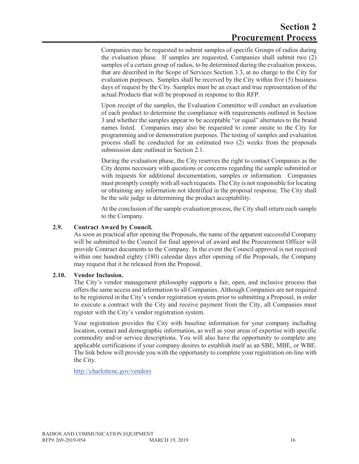Companies may be requested to submit samples of specific Groups of radios during the evaluation phase. If samples are requested, Companies shall submit two (2) samples of a certain group of radios, to be determined during the evaluation process, that are described in the Scope of Services Section 3.3, at no charge to the City for evaluation purposes. Samples shall be received by the City within five (5) business days of request by the City. Samples must be an exact and true representation of the actual Products that will be proposed in response to this RFP.

Upon receipt of the samples, the Evaluation Committee will conduct an evaluation of each product to determine the compliance with requirements outlined in Section 3 and whether the samples appear to be acceptable "or equal" alternates to the brand names listed. Companies may also be requested to come onsite to the City for programming and/or demonstration purposes. The testing of samples and evaluation process shall be conducted for an estimated two (2) weeks from the proposals submission date outlined in Section 2.1.

During the evaluation phase, the City reserves the right to contact Companies as the City deems necessary with questions or concerns regarding the sample submitted or with requests for additional documentation, samples or information. Companies must promptly comply with all such requests. The City is not responsible for locating or obtaining any information not identified in the proposal response. The City shall be the sole judge in determining the product acceptability.

At the conclusion of the sample evaluation process, the City shall return each sample to the Company.

#### **2.9. Contract Award by Council.**

As soon as practical after opening the Proposals, the name of the apparent successful Company will be submitted to the Council for final approval of award and the Procurement Officer will provide Contract documents to the Company. In the event the Council approval is not received within one hundred eighty (180) calendar days after opening of the Proposals, the Company may request that it be released from the Proposal.

#### **2.10. Vendor Inclusion.**

The City's vendor management philosophy supports a fair, open, and inclusive process that offers the same access and information to all Companies. Although Companies are not required to be registered in the City's vendor registration system prior to submitting a Proposal, in order to execute a contract with the City and receive payment from the City, all Companies must register with the City's vendor registration system.

Your registration provides the City with baseline information for your company including location, contact and demographic information, as well as your areas of expertise with specific commodity and/or service descriptions. You will also have the opportunity to complete any applicable certifications if your company desires to establish itself as an SBE, MBE, or WBE. The link below will provide you with the opportunity to complete your registration on-line with the City.

http://charlottenc.gov/vendors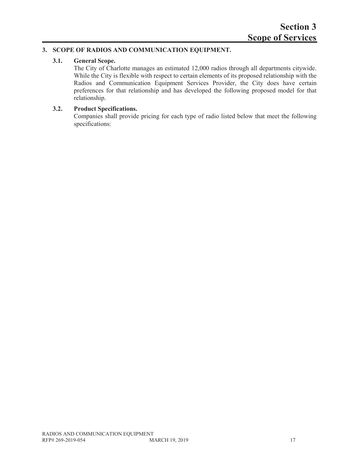#### **3. SCOPE OF RADIOS AND COMMUNICATION EQUIPMENT.**

#### **3.1. General Scope.**

The City of Charlotte manages an estimated 12,000 radios through all departments citywide. While the City is flexible with respect to certain elements of its proposed relationship with the Radios and Communication Equipment Services Provider, the City does have certain preferences for that relationship and has developed the following proposed model for that relationship.

#### **3.2. Product Specifications.**

Companies shall provide pricing for each type of radio listed below that meet the following specifications: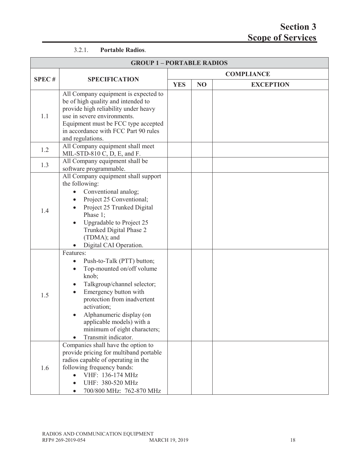#### 3.2.1. **Portable Radios**.

| <b>GROUP 1-PORTABLE RADIOS</b> |                                                                                                                                                                                                                                                                                                                  |  |                   |                  |  |
|--------------------------------|------------------------------------------------------------------------------------------------------------------------------------------------------------------------------------------------------------------------------------------------------------------------------------------------------------------|--|-------------------|------------------|--|
|                                | <b>SPECIFICATION</b>                                                                                                                                                                                                                                                                                             |  | <b>COMPLIANCE</b> |                  |  |
| <b>SPEC#</b>                   |                                                                                                                                                                                                                                                                                                                  |  | N <sub>O</sub>    | <b>EXCEPTION</b> |  |
| 1.1                            | All Company equipment is expected to<br>be of high quality and intended to<br>provide high reliability under heavy<br>use in severe environments.<br>Equipment must be FCC type accepted<br>in accordance with FCC Part 90 rules<br>and regulations.                                                             |  |                   |                  |  |
| 1.2                            | All Company equipment shall meet<br>MIL-STD-810 C, D, E, and F.                                                                                                                                                                                                                                                  |  |                   |                  |  |
| 1.3                            | All Company equipment shall be<br>software programmable.                                                                                                                                                                                                                                                         |  |                   |                  |  |
| 1.4                            | All Company equipment shall support<br>the following:<br>Conventional analog;<br>Project 25 Conventional;<br>Project 25 Trunked Digital<br>Phase 1;<br>Upgradable to Project 25<br>Trunked Digital Phase 2<br>(TDMA); and<br>Digital CAI Operation.                                                              |  |                   |                  |  |
| 1.5                            | Features:<br>Push-to-Talk (PTT) button;<br>Top-mounted on/off volume<br>knob;<br>Talkgroup/channel selector;<br>$\bullet$<br>Emergency button with<br>protection from inadvertent<br>activation;<br>Alphanumeric display (on<br>applicable models) with a<br>minimum of eight characters;<br>Transmit indicator. |  |                   |                  |  |
| 1.6                            | Companies shall have the option to<br>provide pricing for multiband portable<br>radios capable of operating in the<br>following frequency bands:<br>VHF: 136-174 MHz<br>UHF: 380-520 MHz<br>700/800 MHz: 762-870 MHz                                                                                             |  |                   |                  |  |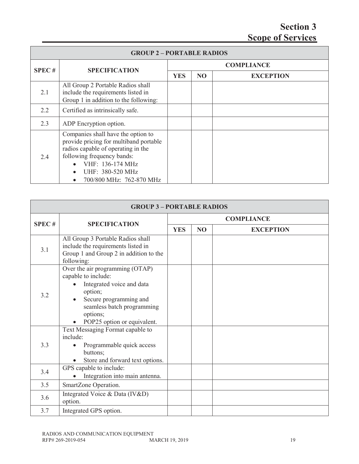| <b>GROUP 2-PORTABLE RADIOS</b> |                                                                                                                                                                                                                                                |                   |                |                  |  |
|--------------------------------|------------------------------------------------------------------------------------------------------------------------------------------------------------------------------------------------------------------------------------------------|-------------------|----------------|------------------|--|
| <b>SPEC#</b>                   | <b>SPECIFICATION</b>                                                                                                                                                                                                                           | <b>COMPLIANCE</b> |                |                  |  |
|                                |                                                                                                                                                                                                                                                | <b>YES</b>        | N <sub>O</sub> | <b>EXCEPTION</b> |  |
| 2.1                            | All Group 2 Portable Radios shall<br>include the requirements listed in<br>Group 1 in addition to the following:                                                                                                                               |                   |                |                  |  |
| 2.2                            | Certified as intrinsically safe.                                                                                                                                                                                                               |                   |                |                  |  |
| 2.3                            | ADP Encryption option.                                                                                                                                                                                                                         |                   |                |                  |  |
| 2.4                            | Companies shall have the option to<br>provide pricing for multiband portable<br>radios capable of operating in the<br>following frequency bands:<br>VHF: 136-174 MHz<br>UHF: 380-520 MHz<br>$\bullet$<br>700/800 MHz: 762-870 MHz<br>$\bullet$ |                   |                |                  |  |

| <b>GROUP 3-PORTABLE RADIOS</b> |                                                                                                                                                                                                                |            |                   |                  |  |
|--------------------------------|----------------------------------------------------------------------------------------------------------------------------------------------------------------------------------------------------------------|------------|-------------------|------------------|--|
| <b>SPEC#</b>                   |                                                                                                                                                                                                                |            | <b>COMPLIANCE</b> |                  |  |
|                                | <b>SPECIFICATION</b>                                                                                                                                                                                           | <b>YES</b> | N <sub>O</sub>    | <b>EXCEPTION</b> |  |
| 3.1                            | All Group 3 Portable Radios shall<br>include the requirements listed in<br>Group 1 and Group 2 in addition to the<br>following:                                                                                |            |                   |                  |  |
| 3.2                            | Over the air programming (OTAP)<br>capable to include:<br>Integrated voice and data<br>option;<br>Secure programming and<br>$\bullet$<br>seamless batch programming<br>options;<br>POP25 option or equivalent. |            |                   |                  |  |
| 3.3                            | Text Messaging Format capable to<br>include:<br>Programmable quick access<br>buttons;<br>Store and forward text options.                                                                                       |            |                   |                  |  |
| 3.4                            | GPS capable to include:<br>Integration into main antenna.                                                                                                                                                      |            |                   |                  |  |
| 3.5                            | SmartZone Operation.                                                                                                                                                                                           |            |                   |                  |  |
| 3.6                            | Integrated Voice & Data (IV&D)<br>option.                                                                                                                                                                      |            |                   |                  |  |
| 3.7                            | Integrated GPS option.                                                                                                                                                                                         |            |                   |                  |  |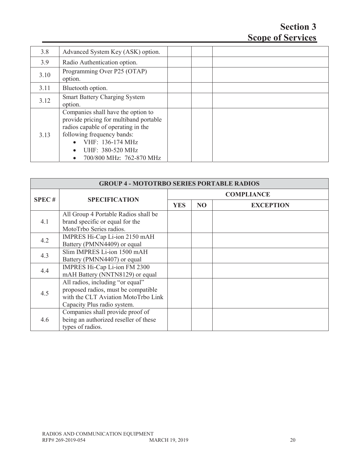| 3.8  | Advanced System Key (ASK) option.                                                                                                                                                                                                              |  |  |
|------|------------------------------------------------------------------------------------------------------------------------------------------------------------------------------------------------------------------------------------------------|--|--|
| 3.9  | Radio Authentication option.                                                                                                                                                                                                                   |  |  |
| 3.10 | Programming Over P25 (OTAP)<br>option.                                                                                                                                                                                                         |  |  |
| 3.11 | Bluetooth option.                                                                                                                                                                                                                              |  |  |
| 3.12 | <b>Smart Battery Charging System</b><br>option.                                                                                                                                                                                                |  |  |
| 3.13 | Companies shall have the option to<br>provide pricing for multiband portable<br>radios capable of operating in the<br>following frequency bands:<br>VHF: 136-174 MHz<br>UHF: 380-520 MHz<br>$\bullet$<br>700/800 MHz: 762-870 MHz<br>$\bullet$ |  |  |

|              | <b>GROUP 4 - MOTOTRBO SERIES PORTABLE RADIOS</b> |            |                   |                  |  |  |
|--------------|--------------------------------------------------|------------|-------------------|------------------|--|--|
| <b>SPEC#</b> |                                                  |            | <b>COMPLIANCE</b> |                  |  |  |
|              | <b>SPECIFICATION</b>                             | <b>YES</b> | N <sub>O</sub>    | <b>EXCEPTION</b> |  |  |
|              | All Group 4 Portable Radios shall be             |            |                   |                  |  |  |
| 4.1          | brand specific or equal for the                  |            |                   |                  |  |  |
|              | MotoTrbo Series radios.                          |            |                   |                  |  |  |
| 4.2          | IMPRES Hi-Cap Li-ion 2150 mAH                    |            |                   |                  |  |  |
|              | Battery (PMNN4409) or equal                      |            |                   |                  |  |  |
| 4.3          | Slim IMPRES Li-ion 1500 mAH                      |            |                   |                  |  |  |
|              | Battery (PMNN4407) or equal                      |            |                   |                  |  |  |
| 4.4          | IMPRES Hi-Cap Li-ion FM 2300                     |            |                   |                  |  |  |
|              | mAH Battery (NNTN8129) or equal                  |            |                   |                  |  |  |
|              | All radios, including "or equal"                 |            |                   |                  |  |  |
| 4.5          | proposed radios, must be compatible              |            |                   |                  |  |  |
|              | with the CLT Aviation MotoTrbo Link              |            |                   |                  |  |  |
|              | Capacity Plus radio system.                      |            |                   |                  |  |  |
|              | Companies shall provide proof of                 |            |                   |                  |  |  |
| 4.6          | being an authorized reseller of these            |            |                   |                  |  |  |
|              | types of radios.                                 |            |                   |                  |  |  |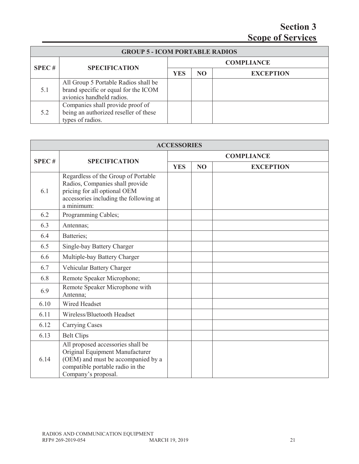| <b>GROUP 5 - ICOM PORTABLE RADIOS</b> |                                                                                                           |            |                |                   |
|---------------------------------------|-----------------------------------------------------------------------------------------------------------|------------|----------------|-------------------|
| SPEC#                                 |                                                                                                           |            |                | <b>COMPLIANCE</b> |
|                                       | <b>SPECIFICATION</b>                                                                                      | <b>YES</b> | N <sub>O</sub> | <b>EXCEPTION</b>  |
| 5.1                                   | All Group 5 Portable Radios shall be<br>brand specific or equal for the ICOM<br>avionics handheld radios. |            |                |                   |
| 5.2                                   | Companies shall provide proof of<br>being an authorized reseller of these<br>types of radios.             |            |                |                   |

|              | <b>ACCESSORIES</b>                                                                                                                                                    |                   |                |                  |  |  |
|--------------|-----------------------------------------------------------------------------------------------------------------------------------------------------------------------|-------------------|----------------|------------------|--|--|
|              |                                                                                                                                                                       | <b>COMPLIANCE</b> |                |                  |  |  |
| <b>SPEC#</b> | <b>SPECIFICATION</b>                                                                                                                                                  | <b>YES</b>        | N <sub>O</sub> | <b>EXCEPTION</b> |  |  |
| 6.1          | Regardless of the Group of Portable<br>Radios, Companies shall provide<br>pricing for all optional OEM<br>accessories including the following at<br>a minimum:        |                   |                |                  |  |  |
| 6.2          | Programming Cables;                                                                                                                                                   |                   |                |                  |  |  |
| 6.3          | Antennas;                                                                                                                                                             |                   |                |                  |  |  |
| 6.4          | Batteries;                                                                                                                                                            |                   |                |                  |  |  |
| 6.5          | Single-bay Battery Charger                                                                                                                                            |                   |                |                  |  |  |
| 6.6          | Multiple-bay Battery Charger                                                                                                                                          |                   |                |                  |  |  |
| 6.7          | Vehicular Battery Charger                                                                                                                                             |                   |                |                  |  |  |
| 6.8          | Remote Speaker Microphone;                                                                                                                                            |                   |                |                  |  |  |
| 6.9          | Remote Speaker Microphone with<br>Antenna;                                                                                                                            |                   |                |                  |  |  |
| 6.10         | Wired Headset                                                                                                                                                         |                   |                |                  |  |  |
| 6.11         | Wireless/Bluetooth Headset                                                                                                                                            |                   |                |                  |  |  |
| 6.12         | <b>Carrying Cases</b>                                                                                                                                                 |                   |                |                  |  |  |
| 6.13         | <b>Belt Clips</b>                                                                                                                                                     |                   |                |                  |  |  |
| 6.14         | All proposed accessories shall be<br>Original Equipment Manufacturer<br>(OEM) and must be accompanied by a<br>compatible portable radio in the<br>Company's proposal. |                   |                |                  |  |  |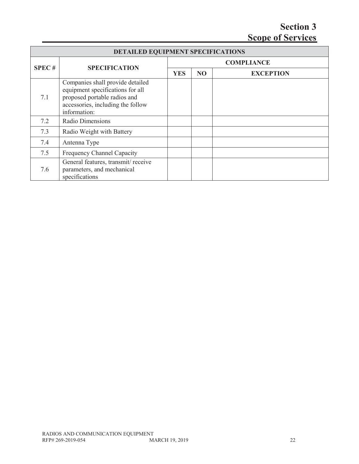|       | <b>DETAILED EQUIPMENT SPECIFICATIONS</b>                                                                                                                  |            |                   |                  |  |  |
|-------|-----------------------------------------------------------------------------------------------------------------------------------------------------------|------------|-------------------|------------------|--|--|
| SPEC# | <b>SPECIFICATION</b>                                                                                                                                      |            | <b>COMPLIANCE</b> |                  |  |  |
|       |                                                                                                                                                           | <b>YES</b> | N <sub>O</sub>    | <b>EXCEPTION</b> |  |  |
| 7.1   | Companies shall provide detailed<br>equipment specifications for all<br>proposed portable radios and<br>accessories, including the follow<br>information: |            |                   |                  |  |  |
| 7.2   | Radio Dimensions                                                                                                                                          |            |                   |                  |  |  |
| 7.3   | Radio Weight with Battery                                                                                                                                 |            |                   |                  |  |  |
| 7.4   | Antenna Type                                                                                                                                              |            |                   |                  |  |  |
| 7.5   | Frequency Channel Capacity                                                                                                                                |            |                   |                  |  |  |
| 7.6   | General features, transmit/receive<br>parameters, and mechanical<br>specifications                                                                        |            |                   |                  |  |  |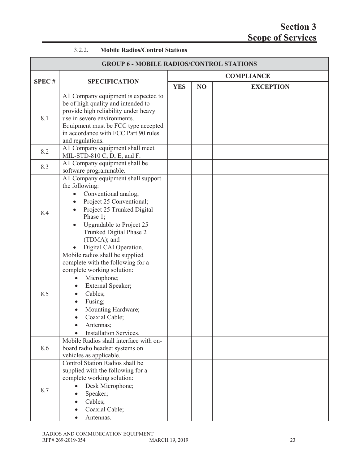| 3.2.2. | <b>Mobile Radios/Control Stations</b> |
|--------|---------------------------------------|
|        |                                       |

| <b>GROUP 6 - MOBILE RADIOS/CONTROL STATIONS</b> |                                                                                                                                                                                                                                                      |                   |    |                  |  |
|-------------------------------------------------|------------------------------------------------------------------------------------------------------------------------------------------------------------------------------------------------------------------------------------------------------|-------------------|----|------------------|--|
|                                                 |                                                                                                                                                                                                                                                      | <b>COMPLIANCE</b> |    |                  |  |
| <b>SPEC#</b>                                    | <b>SPECIFICATION</b>                                                                                                                                                                                                                                 | <b>YES</b>        | NO | <b>EXCEPTION</b> |  |
| 8.1                                             | All Company equipment is expected to<br>be of high quality and intended to<br>provide high reliability under heavy<br>use in severe environments.<br>Equipment must be FCC type accepted<br>in accordance with FCC Part 90 rules<br>and regulations. |                   |    |                  |  |
| 8.2                                             | All Company equipment shall meet<br>MIL-STD-810 C, D, E, and F.                                                                                                                                                                                      |                   |    |                  |  |
| 8.3                                             | All Company equipment shall be<br>software programmable.                                                                                                                                                                                             |                   |    |                  |  |
| 8.4                                             | All Company equipment shall support<br>the following:<br>Conventional analog;<br>Project 25 Conventional;<br>Project 25 Trunked Digital<br>Phase 1;<br>Upgradable to Project 25<br>Trunked Digital Phase 2<br>(TDMA); and<br>Digital CAI Operation.  |                   |    |                  |  |
| 8.5                                             | Mobile radios shall be supplied<br>complete with the following for a<br>complete working solution:<br>Microphone;<br>External Speaker;<br>Cables;<br>Fusing;<br>Mounting Hardware;<br>Coaxial Cable;<br>Antennas;<br>Installation Services.          |                   |    |                  |  |
| 8.6                                             | Mobile Radios shall interface with on-<br>board radio headset systems on<br>vehicles as applicable.                                                                                                                                                  |                   |    |                  |  |
| 8.7                                             | Control Station Radios shall be<br>supplied with the following for a<br>complete working solution:<br>Desk Microphone;<br>Speaker;<br>Cables;<br>Coaxial Cable;<br>Antennas.                                                                         |                   |    |                  |  |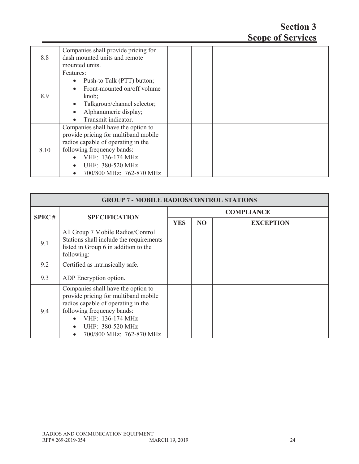| 8.8  | Companies shall provide pricing for<br>dash mounted units and remote |  |  |
|------|----------------------------------------------------------------------|--|--|
|      | mounted units.                                                       |  |  |
|      | Features:                                                            |  |  |
|      | Push-to Talk (PTT) button;<br>$\bullet$                              |  |  |
|      | Front-mounted on/off volume<br>$\bullet$                             |  |  |
| 8.9  | knob;                                                                |  |  |
|      | Talkgroup/channel selector;                                          |  |  |
|      | Alphanumeric display;<br>$\bullet$                                   |  |  |
|      | Transmit indicator.                                                  |  |  |
|      | Companies shall have the option to                                   |  |  |
|      | provide pricing for multiband mobile                                 |  |  |
|      | radios capable of operating in the                                   |  |  |
| 8.10 | following frequency bands:                                           |  |  |
|      | VHF: 136-174 MHz                                                     |  |  |
|      | UHF: 380-520 MHz                                                     |  |  |
|      | 700/800 MHz: 762-870 MHz                                             |  |  |

| <b>GROUP 7 - MOBILE RADIOS/CONTROL STATIONS</b> |                                                                                                                                                                                                                    |                   |           |                  |  |
|-------------------------------------------------|--------------------------------------------------------------------------------------------------------------------------------------------------------------------------------------------------------------------|-------------------|-----------|------------------|--|
|                                                 |                                                                                                                                                                                                                    | <b>COMPLIANCE</b> |           |                  |  |
|                                                 | <b>SPEC#</b><br><b>SPECIFICATION</b>                                                                                                                                                                               | <b>YES</b>        | <b>NO</b> | <b>EXCEPTION</b> |  |
| 9.1                                             | All Group 7 Mobile Radios/Control<br>Stations shall include the requirements<br>listed in Group 6 in addition to the<br>following:                                                                                 |                   |           |                  |  |
| 9.2                                             | Certified as intrinsically safe.                                                                                                                                                                                   |                   |           |                  |  |
| 9.3                                             | ADP Encryption option.                                                                                                                                                                                             |                   |           |                  |  |
| 9.4                                             | Companies shall have the option to<br>provide pricing for multiband mobile<br>radios capable of operating in the<br>following frequency bands:<br>VHF: 136-174 MHz<br>UHF: 380-520 MHz<br>700/800 MHz: 762-870 MHz |                   |           |                  |  |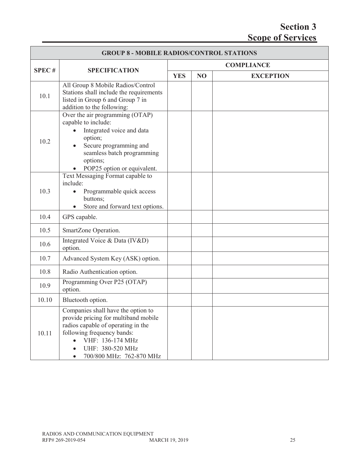| <b>GROUP 8 - MOBILE RADIOS/CONTROL STATIONS</b> |                                                                                                                                                                                                                    |            |    |                   |
|-------------------------------------------------|--------------------------------------------------------------------------------------------------------------------------------------------------------------------------------------------------------------------|------------|----|-------------------|
|                                                 |                                                                                                                                                                                                                    |            |    | <b>COMPLIANCE</b> |
| <b>SPEC#</b>                                    | <b>SPECIFICATION</b>                                                                                                                                                                                               | <b>YES</b> | NO | <b>EXCEPTION</b>  |
| 10.1                                            | All Group 8 Mobile Radios/Control<br>Stations shall include the requirements<br>listed in Group 6 and Group 7 in<br>addition to the following:                                                                     |            |    |                   |
| 10.2                                            | Over the air programming (OTAP)<br>capable to include:<br>Integrated voice and data<br>option;<br>Secure programming and<br>seamless batch programming<br>options;<br>POP25 option or equivalent.                  |            |    |                   |
| 10.3                                            | Text Messaging Format capable to<br>include:<br>Programmable quick access<br>buttons;<br>Store and forward text options.<br>$\bullet$                                                                              |            |    |                   |
| 10.4                                            | GPS capable.                                                                                                                                                                                                       |            |    |                   |
| 10.5                                            | SmartZone Operation.                                                                                                                                                                                               |            |    |                   |
| 10.6                                            | Integrated Voice & Data (IV&D)<br>option.                                                                                                                                                                          |            |    |                   |
| 10.7                                            | Advanced System Key (ASK) option.                                                                                                                                                                                  |            |    |                   |
| 10.8                                            | Radio Authentication option.                                                                                                                                                                                       |            |    |                   |
| 10.9                                            | Programming Over P25 (OTAP)<br>option.                                                                                                                                                                             |            |    |                   |
| 10.10                                           | Bluetooth option.                                                                                                                                                                                                  |            |    |                   |
| 10.11                                           | Companies shall have the option to<br>provide pricing for multiband mobile<br>radios capable of operating in the<br>following frequency bands:<br>VHF: 136-174 MHz<br>UHF: 380-520 MHz<br>700/800 MHz: 762-870 MHz |            |    |                   |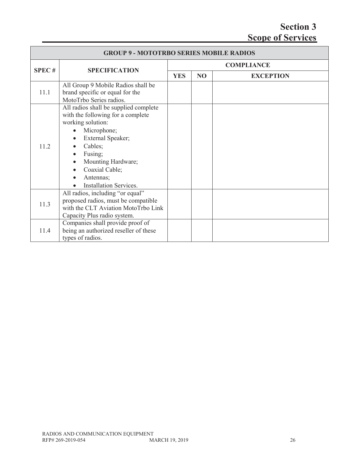| <b>GROUP 9 - MOTOTRBO SERIES MOBILE RADIOS</b> |                                                                                                                                                                                                                                                 |                   |     |                  |  |
|------------------------------------------------|-------------------------------------------------------------------------------------------------------------------------------------------------------------------------------------------------------------------------------------------------|-------------------|-----|------------------|--|
| <b>SPEC#</b>                                   | <b>SPECIFICATION</b>                                                                                                                                                                                                                            | <b>COMPLIANCE</b> |     |                  |  |
|                                                |                                                                                                                                                                                                                                                 | <b>YES</b>        | NO. | <b>EXCEPTION</b> |  |
| 11.1                                           | All Group 9 Mobile Radios shall be<br>brand specific or equal for the<br>MotoTrbo Series radios.                                                                                                                                                |                   |     |                  |  |
| 11.2                                           | All radios shall be supplied complete<br>with the following for a complete<br>working solution:<br>Microphone;<br>External Speaker;<br>Cables;<br>Fusing;<br>Mounting Hardware;<br>Coaxial Cable;<br>Antennas;<br><b>Installation Services.</b> |                   |     |                  |  |
| 11.3                                           | All radios, including "or equal"<br>proposed radios, must be compatible<br>with the CLT Aviation MotoTrbo Link<br>Capacity Plus radio system.                                                                                                   |                   |     |                  |  |
| 11.4                                           | Companies shall provide proof of<br>being an authorized reseller of these<br>types of radios.                                                                                                                                                   |                   |     |                  |  |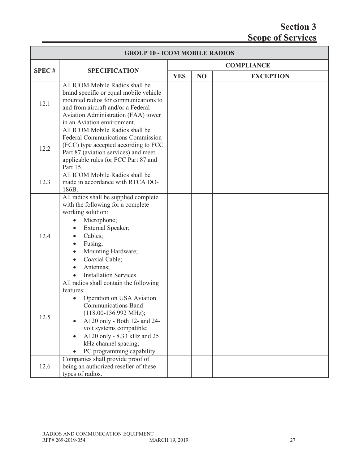|              | <b>GROUP 10 - ICOM MOBILE RADIOS</b>                                                                                                                                                                                                                                                                                   |                   |                |                  |  |
|--------------|------------------------------------------------------------------------------------------------------------------------------------------------------------------------------------------------------------------------------------------------------------------------------------------------------------------------|-------------------|----------------|------------------|--|
|              |                                                                                                                                                                                                                                                                                                                        | <b>COMPLIANCE</b> |                |                  |  |
| <b>SPEC#</b> | <b>SPECIFICATION</b>                                                                                                                                                                                                                                                                                                   | <b>YES</b>        | N <sub>O</sub> | <b>EXCEPTION</b> |  |
| 12.1         | All ICOM Mobile Radios shall be<br>brand specific or equal mobile vehicle<br>mounted radios for communications to<br>and from aircraft and/or a Federal<br>Aviation Administration (FAA) tower<br>in an Aviation environment.                                                                                          |                   |                |                  |  |
| 12.2         | All ICOM Mobile Radios shall be<br><b>Federal Communications Commission</b><br>(FCC) type accepted according to FCC<br>Part 87 (aviation services) and meet<br>applicable rules for FCC Part 87 and<br>Part 15.                                                                                                        |                   |                |                  |  |
| 12.3         | All ICOM Mobile Radios shall be<br>made in accordance with RTCA DO-<br>186B.                                                                                                                                                                                                                                           |                   |                |                  |  |
| 12.4         | All radios shall be supplied complete<br>with the following for a complete<br>working solution:<br>Microphone;<br>$\bullet$<br>External Speaker;<br>$\bullet$<br>Cables;<br>$\bullet$<br>Fusing;<br>$\bullet$<br>Mounting Hardware;<br>$\bullet$<br>Coaxial Cable;<br>$\bullet$<br>Antennas;<br>Installation Services. |                   |                |                  |  |
| 12.5         | All radios shall contain the following<br>features:<br>Operation on USA Aviation<br>$\bullet$<br><b>Communications Band</b><br>$(118.00-136.992 \text{ MHz});$<br>A120 only - Both 12- and 24-<br>volt systems compatible;<br>A120 only - 8.33 kHz and 25<br>kHz channel spacing;<br>PC programming capability.        |                   |                |                  |  |
| 12.6         | Companies shall provide proof of<br>being an authorized reseller of these<br>types of radios.                                                                                                                                                                                                                          |                   |                |                  |  |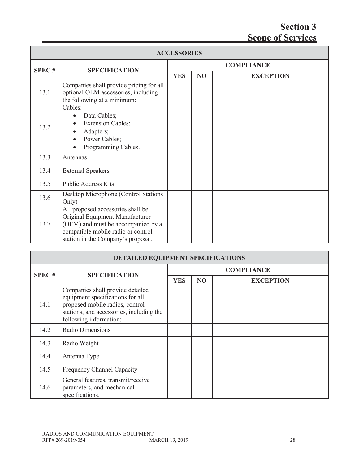| <b>ACCESSORIES</b> |                                                                                                                                                                                        |                   |                |                  |  |
|--------------------|----------------------------------------------------------------------------------------------------------------------------------------------------------------------------------------|-------------------|----------------|------------------|--|
| <b>SPEC#</b>       | <b>SPECIFICATION</b>                                                                                                                                                                   | <b>COMPLIANCE</b> |                |                  |  |
|                    |                                                                                                                                                                                        | <b>YES</b>        | N <sub>O</sub> | <b>EXCEPTION</b> |  |
| 13.1               | Companies shall provide pricing for all<br>optional OEM accessories, including<br>the following at a minimum:                                                                          |                   |                |                  |  |
| 13.2               | Cables:<br>Data Cables;<br>$\bullet$<br><b>Extension Cables;</b><br>Adapters;<br>Power Cables;<br>Programming Cables.                                                                  |                   |                |                  |  |
| 13.3               | Antennas                                                                                                                                                                               |                   |                |                  |  |
| 13.4               | <b>External Speakers</b>                                                                                                                                                               |                   |                |                  |  |
| 13.5               | <b>Public Address Kits</b>                                                                                                                                                             |                   |                |                  |  |
| 13.6               | Desktop Microphone (Control Stations<br>Only)                                                                                                                                          |                   |                |                  |  |
| 13.7               | All proposed accessories shall be<br>Original Equipment Manufacturer<br>(OEM) and must be accompanied by a<br>compatible mobile radio or control<br>station in the Company's proposal. |                   |                |                  |  |

| DETAILED EQUIPMENT SPECIFICATIONS |                                                                                                                                                                               |                   |                |                  |  |
|-----------------------------------|-------------------------------------------------------------------------------------------------------------------------------------------------------------------------------|-------------------|----------------|------------------|--|
| <b>SPEC#</b>                      | <b>SPECIFICATION</b>                                                                                                                                                          | <b>COMPLIANCE</b> |                |                  |  |
|                                   |                                                                                                                                                                               | <b>YES</b>        | N <sub>O</sub> | <b>EXCEPTION</b> |  |
| 14.1                              | Companies shall provide detailed<br>equipment specifications for all<br>proposed mobile radios, control<br>stations, and accessories, including the<br>following information: |                   |                |                  |  |
| 14.2                              | Radio Dimensions                                                                                                                                                              |                   |                |                  |  |
| 14.3                              | Radio Weight                                                                                                                                                                  |                   |                |                  |  |
| 14.4                              | Antenna Type                                                                                                                                                                  |                   |                |                  |  |
| 14.5                              | Frequency Channel Capacity                                                                                                                                                    |                   |                |                  |  |
| 14.6                              | General features, transmit/receive<br>parameters, and mechanical<br>specifications.                                                                                           |                   |                |                  |  |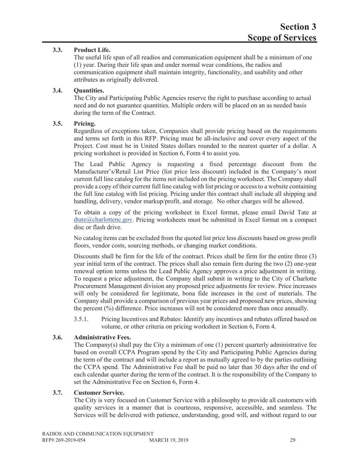#### **3.3. Product Life.**

The useful life span of all readios and communication equipment shall be a minimum of one (1) year. During their life span and under normal wear conditions, the radios and communication equipment shall maintain integrity, functionality, and usability and other attributes as originally delivered.

#### **3.4. Quantities.**

The City and Participating Public Agencies reserve the right to purchase according to actual need and do not guarantee quantities. Multiple orders will be placed on an as needed basis during the term of the Contract.

#### **3.5. Pricing.**

Regardless of exceptions taken, Companies shall provide pricing based on the requirements and terms set forth in this RFP. Pricing must be all-inclusive and cover every aspect of the Project. Cost must be in United States dollars rounded to the nearest quarter of a dollar. A pricing worksheet is provided in Section 6, Form 4 to assist you.

The Lead Public Agency is requesting a fixed percentage discount from the Manufacturer's/Retail List Price (list price less discount) included in the Company's most current full line catalog for the items not included on the pricing worksheet. The Company shall provide a copy of their current full line catalog with list pricing or access to a website containing the full line catalog with list pricing. Pricing under this contract shall include all shipping and handling, delivery, vendor markup/profit, and storage. No other charges will be allowed.

To obtain a copy of the pricing worksheet in Excel format, please email David Tate at dtate@charlottenc.gov. Pricing worksheets must be submitted in Excel format on a compact disc or flash drive.

No catalog items can be excluded from the quoted list price less discounts based on gross profit floors, vendor costs, sourcing methods, or changing market conditions.

Discounts shall be firm for the life of the contract. Prices shall be firm for the entire three (3) year initial term of the contract. The prices shall also remain firm during the two (2) one-year renewal option terms unless the Lead Public Agency approves a price adjustment in writing. To request a price adjustment, the Company shall submit in writing to the City of Charlotte Procurement Management division any proposed price adjustments for review. Price increases will only be considered for legitimate, bona fide increases in the cost of materials. The Company shall provide a comparison of previous year prices and proposed new prices, showing the percent (%) difference. Price increases will not be considered more than once annually.

3.5.1. Pricing Incentives and Rebates: Identify any incentives and rebates offered based on volume, or other criteria on pricing worksheet in Section 6, Form 4.

#### **3.6. Administrative Fees.**

The Company(s) shall pay the City a minimum of one  $(1)$  percent quarterly administrative fee based on overall CCPA Program spend by the City and Participating Public Agencies during the term of the contract and will include a report as mutually agreed to by the parties outlining the CCPA spend. The Administrative Fee shall be paid no later than 30 days after the end of each calendar quarter during the term of the contract. It is the responsibility of the Company to set the Administrative Fee on Section 6, Form 4.

#### **3.7. Customer Service.**

The City is very focused on Customer Service with a philosophy to provide all customers with quality services in a manner that is courteous, responsive, accessible, and seamless. The Services will be delivered with patience, understanding, good will, and without regard to our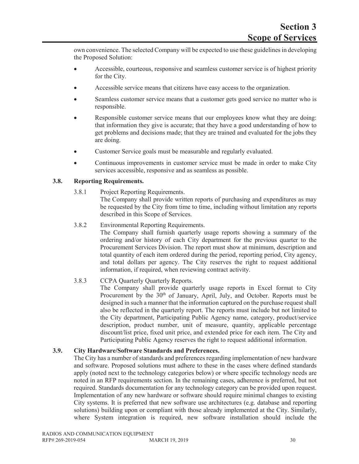own convenience. The selected Company will be expected to use these guidelines in developing the Proposed Solution:

- Accessible, courteous, responsive and seamless customer service is of highest priority for the City.
- Accessible service means that citizens have easy access to the organization.
- Seamless customer service means that a customer gets good service no matter who is responsible.
- Responsible customer service means that our employees know what they are doing: that information they give is accurate; that they have a good understanding of how to get problems and decisions made; that they are trained and evaluated for the jobs they are doing.
- Customer Service goals must be measurable and regularly evaluated.
- Continuous improvements in customer service must be made in order to make City services accessible, responsive and as seamless as possible.

#### **3.8. Reporting Requirements.**

3.8.1 Project Reporting Requirements.

The Company shall provide written reports of purchasing and expenditures as may be requested by the City from time to time, including without limitation any reports described in this Scope of Services.

3.8.2 Environmental Reporting Requirements.

The Company shall furnish quarterly usage reports showing a summary of the ordering and/or history of each City department for the previous quarter to the Procurement Services Division. The report must show at minimum, description and total quantity of each item ordered during the period, reporting period, City agency, and total dollars per agency. The City reserves the right to request additional information, if required, when reviewing contract activity.

3.8.3 CCPA Quarterly Quarterly Reports.

The Company shall provide quarterly usage reports in Excel format to City Procurement by the 30<sup>th</sup> of January, April, July, and October. Reports must be designed in such a manner that the information captured on the purchase request shall also be reflected in the quarterly report. The reports must include but not limited to the City department, Participating Public Agency name, category, product/service description, product number, unit of measure, quantity, applicable percentage discount/list price, fixed unit price, and extended price for each item. The City and Participating Public Agency reserves the right to request additional information.

#### **3.9. City Hardware/Software Standards and Preferences.**

The City has a number of standards and preferences regarding implementation of new hardware and software. Proposed solutions must adhere to these in the cases where defined standards apply (noted next to the technology categories below) or where specific technology needs are noted in an RFP requirements section. In the remaining cases, adherence is preferred, but not required. Standards documentation for any technology category can be provided upon request. Implementation of any new hardware or software should require minimal changes to existing City systems. It is preferred that new software use architectures (e.g. database and reporting solutions) building upon or compliant with those already implemented at the City. Similarly, where System integration is required, new software installation should include the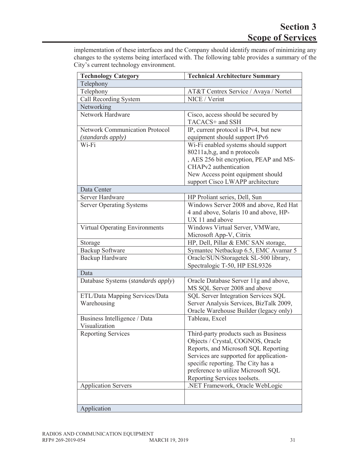implementation of these interfaces and the Company should identify means of minimizing any changes to the systems being interfaced with. The following table provides a summary of the City's current technology environment.

| <b>Technology Category</b>            | <b>Technical Architecture Summary</b>      |  |  |  |  |
|---------------------------------------|--------------------------------------------|--|--|--|--|
| Telephony                             |                                            |  |  |  |  |
| Telephony                             | AT&T Centrex Service / Avaya / Nortel      |  |  |  |  |
| Call Recording System                 | NICE / Verint                              |  |  |  |  |
| Networking                            |                                            |  |  |  |  |
| Network Hardware                      | Cisco, access should be secured by         |  |  |  |  |
|                                       | TACACS+ and SSH                            |  |  |  |  |
| <b>Network Communication Protocol</b> | IP, current protocol is IPv4, but new      |  |  |  |  |
| (standards apply)                     | equipment should support IPv6              |  |  |  |  |
| $Wi-Fi$                               | Wi-Fi enabled systems should support       |  |  |  |  |
|                                       | 80211a, b, g, and n protocols              |  |  |  |  |
|                                       | , AES 256 bit encryption, PEAP and MS-     |  |  |  |  |
|                                       | CHAPv2 authentication                      |  |  |  |  |
|                                       | New Access point equipment should          |  |  |  |  |
|                                       | support Cisco LWAPP architecture           |  |  |  |  |
| Data Center                           |                                            |  |  |  |  |
| Server Hardware                       | HP Proliant series, Dell, Sun              |  |  |  |  |
| <b>Server Operating Systems</b>       | Windows Server 2008 and above, Red Hat     |  |  |  |  |
|                                       | 4 and above, Solaris 10 and above, HP-     |  |  |  |  |
|                                       | UX 11 and above                            |  |  |  |  |
| Virtual Operating Environments        | Windows Virtual Server, VMWare,            |  |  |  |  |
|                                       | Microsoft App-V, Citrix                    |  |  |  |  |
| Storage                               | HP, Dell, Pillar & EMC SAN storage,        |  |  |  |  |
| Backup Software                       | Symantec Netbackup 6.5, EMC Avamar 5       |  |  |  |  |
| Backup Hardware                       | Oracle/SUN/Storagetek SL-500 library,      |  |  |  |  |
|                                       | Spectralogic T-50, HP ESL9326              |  |  |  |  |
| Data                                  |                                            |  |  |  |  |
| Database Systems (standards apply)    | Oracle Database Server 11g and above,      |  |  |  |  |
|                                       | MS SQL Server 2008 and above               |  |  |  |  |
| ETL/Data Mapping Services/Data        | <b>SQL Server Integration Services SQL</b> |  |  |  |  |
| Warehousing                           | Server Analysis Services, BizTalk 2009,    |  |  |  |  |
|                                       | Oracle Warehouse Builder (legacy only)     |  |  |  |  |
| Business Intelligence / Data          | Tableau, Excel                             |  |  |  |  |
| Visualization                         |                                            |  |  |  |  |
| Reporting Services                    | Third-party products such as Business      |  |  |  |  |
|                                       | Objects / Crystal, COGNOS, Oracle          |  |  |  |  |
|                                       | Reports, and Microsoft SQL Reporting       |  |  |  |  |
|                                       | Services are supported for application-    |  |  |  |  |
|                                       | specific reporting. The City has a         |  |  |  |  |
|                                       | preference to utilize Microsoft SQL        |  |  |  |  |
|                                       | Reporting Services toolsets.               |  |  |  |  |
| <b>Application Servers</b>            | .NET Framework, Oracle WebLogic            |  |  |  |  |
|                                       |                                            |  |  |  |  |
| Application                           |                                            |  |  |  |  |
|                                       |                                            |  |  |  |  |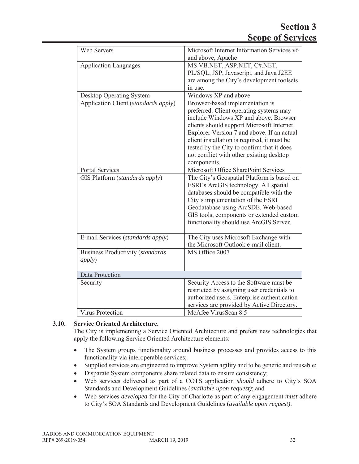| <b>Web Servers</b>                      | Microsoft Internet Information Services v6  |
|-----------------------------------------|---------------------------------------------|
|                                         | and above, Apache                           |
| <b>Application Languages</b>            | MS VB.NET, ASP.NET, C#.NET,                 |
|                                         | PL/SQL, JSP, Javascript, and Java J2EE      |
|                                         | are among the City's development toolsets   |
|                                         | in use.                                     |
| <b>Desktop Operating System</b>         | Windows XP and above                        |
| Application Client (standards apply)    | Browser-based implementation is             |
|                                         | preferred. Client operating systems may     |
|                                         | include Windows XP and above. Browser       |
|                                         | clients should support Microsoft Internet   |
|                                         | Explorer Version 7 and above. If an actual  |
|                                         | client installation is required, it must be |
|                                         | tested by the City to confirm that it does  |
|                                         | not conflict with other existing desktop    |
|                                         | components.                                 |
| <b>Portal Services</b>                  | Microsoft Office SharePoint Services        |
| GIS Platform (standards apply)          | The City's Geospatial Platform is based on  |
|                                         | ESRI's ArcGIS technology. All spatial       |
|                                         | databases should be compatible with the     |
|                                         | City's implementation of the ESRI           |
|                                         | Geodatabase using ArcSDE. Web-based         |
|                                         | GIS tools, components or extended custom    |
|                                         | functionality should use ArcGIS Server.     |
|                                         |                                             |
| E-mail Services (standards apply)       | The City uses Microsoft Exchange with       |
|                                         | the Microsoft Outlook e-mail client.        |
| <b>Business Productivity (standards</b> | MS Office 2007                              |
| <i>apply</i> )                          |                                             |
|                                         |                                             |
| Data Protection                         |                                             |
| Security                                | Security Access to the Software must be     |
|                                         | restricted by assigning user credentials to |
|                                         | authorized users. Enterprise authentication |
|                                         | services are provided by Active Directory.  |
| <b>Virus Protection</b>                 | McAfee VirusScan 8.5                        |

# **3.10. Service Oriented Architecture.**

The City is implementing a Service Oriented Architecture and prefers new technologies that apply the following Service Oriented Architecture elements:

- The System groups functionality around business processes and provides access to this functionality via interoperable services;
- Supplied services are engineered to improve System agility and to be generic and reusable;
- Disparate System components share related data to ensure consistency;
- Web services delivered as part of a COTS application *should* adhere to City's SOA Standards and Development Guidelines (*available upon request)*; and
- x Web services *developed* for the City of Charlotte as part of any engagement *must* adhere to City's SOA Standards and Development Guidelines (*available upon request)*.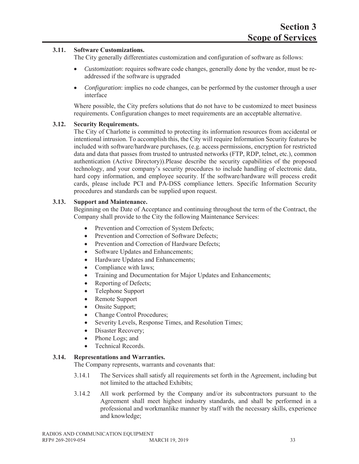#### **3.11. Software Customizations.**

The City generally differentiates customization and configuration of software as follows:

- x *Customization*: requires software code changes, generally done by the vendor, must be readdressed if the software is upgraded
- *Configuration*: implies no code changes, can be performed by the customer through a user interface

Where possible, the City prefers solutions that do not have to be customized to meet business requirements. Configuration changes to meet requirements are an acceptable alternative.

#### **3.12. Security Requirements.**

The City of Charlotte is committed to protecting its information resources from accidental or intentional intrusion. To accomplish this, the City will require Information Security features be included with software/hardware purchases, (e.g. access permissions, encryption for restricted data and data that passes from trusted to untrusted networks (FTP, RDP, telnet, etc.), common authentication (Active Directory)).Please describe the security capabilities of the proposed technology, and your company's security procedures to include handling of electronic data, hard copy information, and employee security. If the software/hardware will process credit cards, please include PCI and PA-DSS compliance letters. Specific Information Security procedures and standards can be supplied upon request.

#### **3.13. Support and Maintenance.**

Beginning on the Date of Acceptance and continuing throughout the term of the Contract, the Company shall provide to the City the following Maintenance Services:

- Prevention and Correction of System Defects;
- Prevention and Correction of Software Defects;
- Prevention and Correction of Hardware Defects;
- Software Updates and Enhancements;
- Hardware Updates and Enhancements;
- Compliance with laws;
- Training and Documentation for Major Updates and Enhancements;
- Reporting of Defects;
- Telephone Support
- Remote Support
- Onsite Support;
- Change Control Procedures;
- Severity Levels, Response Times, and Resolution Times;
- Disaster Recovery;
- Phone Logs; and
- Technical Records.

#### **3.14. Representations and Warranties.**

The Company represents, warrants and covenants that:

- 3.14.1 The Services shall satisfy all requirements set forth in the Agreement, including but not limited to the attached Exhibits;
- 3.14.2 All work performed by the Company and/or its subcontractors pursuant to the Agreement shall meet highest industry standards, and shall be performed in a professional and workmanlike manner by staff with the necessary skills, experience and knowledge;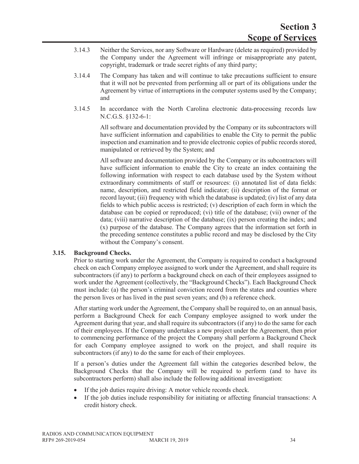- 3.14.3 Neither the Services, nor any Software or Hardware (delete as required) provided by the Company under the Agreement will infringe or misappropriate any patent, copyright, trademark or trade secret rights of any third party;
- 3.14.4 The Company has taken and will continue to take precautions sufficient to ensure that it will not be prevented from performing all or part of its obligations under the Agreement by virtue of interruptions in the computer systems used by the Company; and
- 3.14.5 In accordance with the North Carolina electronic data-processing records law N.C.G.S. §132-6-1:

All software and documentation provided by the Company or its subcontractors will have sufficient information and capabilities to enable the City to permit the public inspection and examination and to provide electronic copies of public records stored, manipulated or retrieved by the System; and

All software and documentation provided by the Company or its subcontractors will have sufficient information to enable the City to create an index containing the following information with respect to each database used by the System without extraordinary commitments of staff or resources: (i) annotated list of data fields: name, description, and restricted field indicator; (ii) description of the format or record layout; (iii) frequency with which the database is updated; (iv) list of any data fields to which public access is restricted; (v) description of each form in which the database can be copied or reproduced; (vi) title of the database; (vii) owner of the data; (viii) narrative description of the database; (ix) person creating the index; and (x) purpose of the database. The Company agrees that the information set forth in the preceding sentence constitutes a public record and may be disclosed by the City without the Company's consent.

#### **3.15. Background Checks.**

Prior to starting work under the Agreement, the Company is required to conduct a background check on each Company employee assigned to work under the Agreement, and shall require its subcontractors (if any) to perform a background check on each of their employees assigned to work under the Agreement (collectively, the "Background Checks"). Each Background Check must include: (a) the person's criminal conviction record from the states and counties where the person lives or has lived in the past seven years; and (b) a reference check.

After starting work under the Agreement, the Company shall be required to, on an annual basis, perform a Background Check for each Company employee assigned to work under the Agreement during that year, and shall require its subcontractors (if any) to do the same for each of their employees. If the Company undertakes a new project under the Agreement, then prior to commencing performance of the project the Company shall perform a Background Check for each Company employee assigned to work on the project, and shall require its subcontractors (if any) to do the same for each of their employees.

If a person's duties under the Agreement fall within the categories described below, the Background Checks that the Company will be required to perform (and to have its subcontractors perform) shall also include the following additional investigation:

- If the job duties require driving: A motor vehicle records check.
- If the job duties include responsibility for initiating or affecting financial transactions: A credit history check.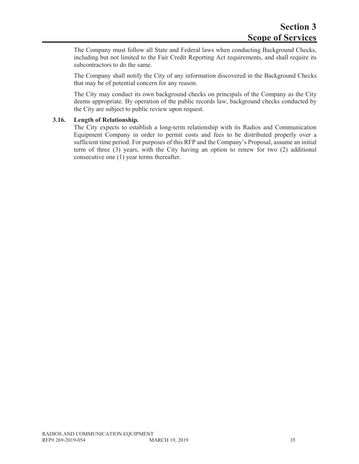The Company must follow all State and Federal laws when conducting Background Checks, including but not limited to the Fair Credit Reporting Act requirements, and shall require its subcontractors to do the same.

The Company shall notify the City of any information discovered in the Background Checks that may be of potential concern for any reason.

The City may conduct its own background checks on principals of the Company as the City deems appropriate. By operation of the public records law, background checks conducted by the City are subject to public review upon request.

#### **3.16. Length of Relationship.**

The City expects to establish a long-term relationship with its Radios and Communication Equipment Company in order to permit costs and fees to be distributed properly over a sufficient time period. For purposes of this RFP and the Company's Proposal, assume an initial term of three (3) years, with the City having an option to renew for two (2) additional consecutive one (1) year terms thereafter.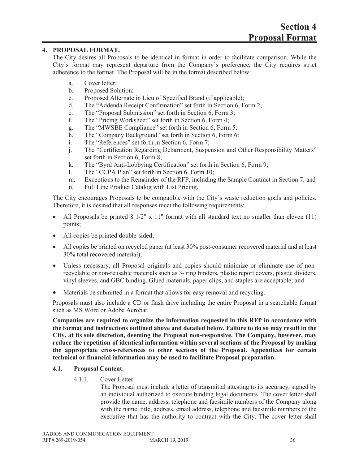#### **4. PROPOSAL FORMAT.**

The City desires all Proposals to be identical in format in order to facilitate comparison. While the City's format may represent departure from the Company's preference, the City requires strict adherence to the format. The Proposal will be in the format described below:

- a. Cover letter;
- b. Proposed Solution;
- c. Proposed Alternate in Lieu of Specified Brand (if applicable);
- d. The "Addenda Receipt Confirmation" set forth in Section 6, Form 2;
- e. The "Proposal Submission" set forth in Section 6, Form 3;
- f. The "Pricing Worksheet" set forth in Section 6, Form 4;
- g. The "MWSBE Compliance" set forth in Section 6, Form 5;
- h. The "Company Background" set forth in Section 6, Form 6:
- i. The "References" set forth in Section 6, Form 7;
- j. The "Certification Regarding Debarment, Suspension and Other Responsibility Matters" set forth in Section 6, Form 8;
- k. The "Byrd Anti-Lobbying Certification" set forth in Section 6, Form 9;
- l. The "CCPA Plan" set forth in Section 6, Form 10;
- m. Exceptions to the Remainder of the RFP, including the Sample Contract in Section 7; and
- n. Full Line Product Catalog with List Pricing.

The City encourages Proposals to be compatible with the City's waste reduction goals and policies. Therefore, it is desired that all responses meet the following requirements:

- All Proposals be printed  $8\frac{1}{2}$ " x 11" format with all standard text no smaller than eleven (11) points;
- All copies be printed double-sided;
- All copies be printed on recycled paper (at least 30% post-consumer recovered material and at least 30% total recovered material);
- Unless necessary, all Proposal originals and copies should minimize or eliminate use of nonrecyclable or non-reusable materials such as 3- ring binders, plastic report covers, plastic dividers, vinyl sleeves, and GBC binding. Glued materials, paper clips, and staples are acceptable; and
- Materials be submitted in a format that allows for easy removal and recycling.

Proposals must also include a CD or flash drive including the entire Proposal in a searchable format such as MS Word or Adobe Acrobat.

**Companies are required to organize the information requested in this RFP in accordance with the format and instructions outlined above and detailed below. Failure to do so may result in the City, at its sole discretion, deeming the Proposal non-responsive. The Company, however, may reduce the repetition of identical information within several sections of the Proposal by making the appropriate cross-references to other sections of the Proposal. Appendices for certain technical or financial information may be used to facilitate Proposal preparation.**

#### **4.1. Proposal Content.**

4.1.1. Cover Letter.

The Proposal must include a letter of transmittal attesting to its accuracy, signed by an individual authorized to execute binding legal documents. The cover letter shall provide the name, address, telephone and facsimile numbers of the Company along with the name, title, address, email address, telephone and facsimile numbers of the executive that has the authority to contract with the City. The cover letter shall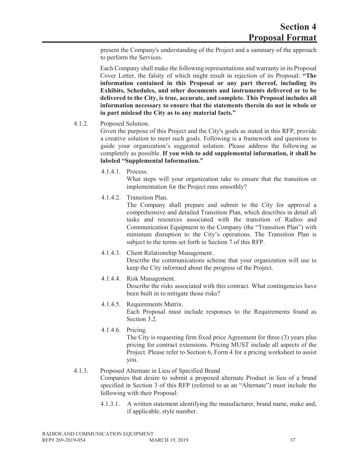present the Company's understanding of the Project and a summary of the approach to perform the Services.

Each Company shall make the following representations and warranty in its Proposal Cover Letter, the falsity of which might result in rejection of its Proposal: **"The information contained in this Proposal or any part thereof, including its Exhibits, Schedules, and other documents and instruments delivered or to be delivered to the City, is true, accurate, and complete. This Proposal includes all information necessary to ensure that the statements therein do not in whole or in part mislead the City as to any material facts."**

#### 4.1.2. Proposed Solution.

Given the purpose of this Project and the City's goals as stated in this RFP, provide a creative solution to meet such goals. Following is a framework and questions to guide your organization's suggested solution. Please address the following as completely as possible. **If you wish to add supplemental information, it shall be labeled "Supplemental Information."**

4.1.4.1. Process.

What steps will your organization take to ensure that the transition or implementation for the Project runs smoothly?

4.1.4.2. Transition Plan.

The Company shall prepare and submit to the City for approval a comprehensive and detailed Transition Plan, which describes in detail all tasks and resources associated with the transition of Radios and Communication Equipment to the Company (the "Transition Plan") with minimum disruption to the City's operations. The Transition Plan is subject to the terms set forth in Section 7 of this RFP.

- 4.1.4.3. Client Relationship Management. Describe the communications scheme that your organization will use to keep the City informed about the progress of the Project.
- 4.1.4.4. Risk Management. Describe the risks associated with this contract. What contingencies have been built in to mitigate those risks?
- 4.1.4.5. Requirements Matrix. Each Proposal must include responses to the Requirements found as Section 3.2.
- 4.1.4.6. Pricing. The City is requesting firm fixed price Agreement for three (3) years plus pricing for contract extensions. Pricing MUST include all aspects of the Project. Please refer to Section 6, Form 4 for a pricing worksheet to assist you.

#### 4.1.3. Proposed Alternate in Lieu of Specified Brand Companies that desire to submit a proposed alternate Product in lieu of a brand specified in Section 3 of this RFP (referred to as an "Alternate") must include the following with their Proposal:

4.1.3.1. A written statement identifying the manufacturer, brand name, make and, if applicable, style number.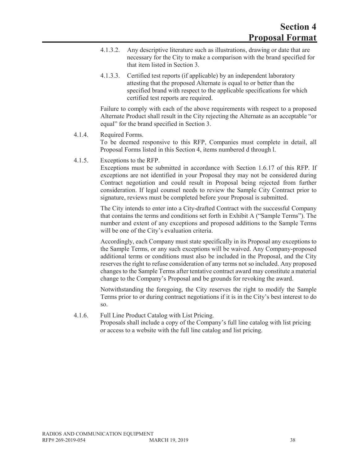- 4.1.3.2. Any descriptive literature such as illustrations, drawing or date that are necessary for the City to make a comparison with the brand specified for that item listed in Section 3.
- 4.1.3.3. Certified test reports (if applicable) by an independent laboratory attesting that the proposed Alternate is equal to or better than the specified brand with respect to the applicable specifications for which certified test reports are required.

Failure to comply with each of the above requirements with respect to a proposed Alternate Product shall result in the City rejecting the Alternate as an acceptable "or equal" for the brand specified in Section 3.

#### 4.1.4. Required Forms.

To be deemed responsive to this RFP, Companies must complete in detail, all Proposal Forms listed in this Section 4, items numbered d through l.

#### 4.1.5. Exceptions to the RFP.

Exceptions must be submitted in accordance with Section 1.6.17 of this RFP. If exceptions are not identified in your Proposal they may not be considered during Contract negotiation and could result in Proposal being rejected from further consideration. If legal counsel needs to review the Sample City Contract prior to signature, reviews must be completed before your Proposal is submitted.

The City intends to enter into a City-drafted Contract with the successful Company that contains the terms and conditions set forth in Exhibit A ("Sample Terms"). The number and extent of any exceptions and proposed additions to the Sample Terms will be one of the City's evaluation criteria.

Accordingly, each Company must state specifically in its Proposal any exceptions to the Sample Terms, or any such exceptions will be waived. Any Company-proposed additional terms or conditions must also be included in the Proposal, and the City reserves the right to refuse consideration of any terms not so included. Any proposed changes to the Sample Terms after tentative contract award may constitute a material change to the Company's Proposal and be grounds for revoking the award.

Notwithstanding the foregoing, the City reserves the right to modify the Sample Terms prior to or during contract negotiations if it is in the City's best interest to do so.

#### 4.1.6. Full Line Product Catalog with List Pricing.

Proposals shall include a copy of the Company's full line catalog with list pricing or access to a website with the full line catalog and list pricing.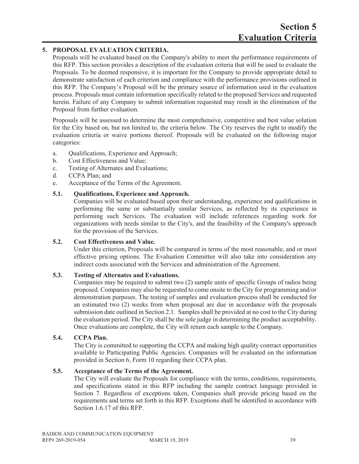### **5. PROPOSAL EVALUATION CRITERIA.**

Proposals will be evaluated based on the Company's ability to meet the performance requirements of this RFP. This section provides a description of the evaluation criteria that will be used to evaluate the Proposals. To be deemed responsive, it is important for the Company to provide appropriate detail to demonstrate satisfaction of each criterion and compliance with the performance provisions outlined in this RFP. The Company's Proposal will be the primary source of information used in the evaluation process. Proposals must contain information specifically related to the proposed Services and requested herein. Failure of any Company to submit information requested may result in the elimination of the Proposal from further evaluation.

Proposals will be assessed to determine the most comprehensive, competitive and best value solution for the City based on, but not limited to, the criteria below. The City reserves the right to modify the evaluation criteria or waive portions thereof. Proposals will be evaluated on the following major categories:

- a. Qualifications, Experience and Approach;
- b. Cost Effectiveness and Value;
- c. Testing of Alternates and Evaluations;
- d. CCPA Plan; and
- e. Acceptance of the Terms of the Agreement.

#### **5.1. Qualifications, Experience and Approach.**

Companies will be evaluated based upon their understanding, experience and qualifications in performing the same or substantially similar Services, as reflected by its experience in performing such Services. The evaluation will include references regarding work for organizations with needs similar to the City's, and the feasibility of the Company's approach for the provision of the Services.

#### **5.2. Cost Effectiveness and Value.**

Under this criterion, Proposals will be compared in terms of the most reasonable, and or most effective pricing options. The Evaluation Committee will also take into consideration any indirect costs associated with the Services and administration of the Agreement.

#### **5.3. Testing of Alternates and Evaluations.**

Companies may be required to submit two (2) sample units of specific Groups of radios being proposed. Companies may also be requested to come onsite to the City for programming and/or demonstration purposes. The testing of samples and evaluation process shall be conducted for an estimated two (2) weeks from when proposal are due in accordance with the proposals submission date outlined in Section 2.1. Samples shall be provided at no cost to the City during the evaluation period. The City shall be the sole judge in determining the product acceptability. Once evaluations are complete, the City will return each sample to the Company.

#### **5.4. CCPA Plan.**

The City is committed to supporting the CCPA and making high quality contract opportunities available to Participating Public Agencies. Companies will be evaluated on the information provided in Section 6, Form 10 regarding their CCPA plan.

#### **5.5. Acceptance of the Terms of the Agreement.**

The City will evaluate the Proposals for compliance with the terms, conditions, requirements, and specifications stated in this RFP including the sample contract language provided in Section 7. Regardless of exceptions taken, Companies shall provide pricing based on the requirements and terms set forth in this RFP. Exceptions shall be identified in accordance with Section 1.6.17 of this RFP.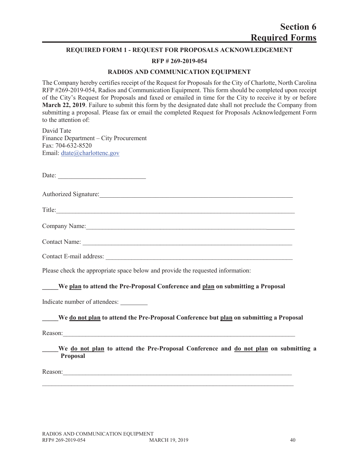#### **REQUIRED FORM 1 - REQUEST FOR PROPOSALS ACKNOWLEDGEMENT**

#### **RFP # 269-2019-054**

#### **RADIOS AND COMMUNICATION EQUIPMENT**

The Company hereby certifies receipt of the Request for Proposals for the City of Charlotte, North Carolina RFP #269-2019-054, Radios and Communication Equipment. This form should be completed upon receipt of the City's Request for Proposals and faxed or emailed in time for the City to receive it by or before **March 22, 2019**. Failure to submit this form by the designated date shall not preclude the Company from submitting a proposal. Please fax or email the completed Request for Proposals Acknowledgement Form to the attention of:

David Tate Finance Department – City Procurement Fax: 704-632-8520 Email: dtate@charlottenc.gov

Date:

| <b>Authorized Signature:</b> |  |
|------------------------------|--|
|------------------------------|--|

Title:

Company Name:

Contact Name: \_\_\_\_\_\_\_\_\_\_\_\_\_\_\_\_\_\_\_\_\_\_\_\_\_\_\_\_\_\_\_\_\_\_\_\_\_\_\_\_\_\_\_\_\_\_\_\_\_\_\_\_\_\_\_\_\_\_\_\_\_\_\_\_\_

Contact E-mail address:

Please check the appropriate space below and provide the requested information:

#### **\_\_\_\_\_We plan to attend the Pre-Proposal Conference and plan on submitting a Proposal**

Indicate number of attendees:

#### **\_\_\_\_\_We do not plan to attend the Pre-Proposal Conference but plan on submitting a Proposal**

Reason:

We do not plan to attend the Pre-Proposal Conference and do not plan on submitting a **Proposal**

Reason: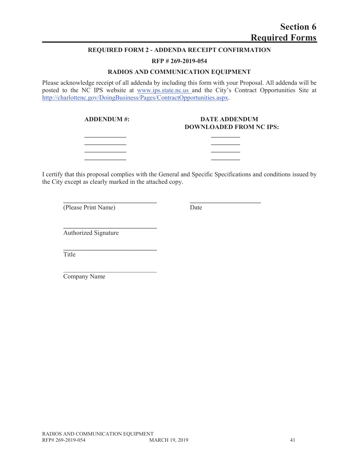#### **REQUIRED FORM 2 - ADDENDA RECEIPT CONFIRMATION**

#### **RFP # 269-2019-054**

#### **RADIOS AND COMMUNICATION EQUIPMENT**

Please acknowledge receipt of all addenda by including this form with your Proposal. All addenda will be posted to the NC IPS website at www.ips.state.nc.us and the City's Contract Opportunities Site at http://charlottenc.gov/DoingBusiness/Pages/ContractOpportunities.aspx.

> **\_\_\_\_\_\_\_\_\_\_\_\_\_ \_\_\_\_\_\_\_\_\_ \_\_\_\_\_\_\_\_\_\_\_\_\_ \_\_\_\_\_\_\_\_\_ \_\_\_\_\_\_\_\_\_\_\_\_\_ \_\_\_\_\_\_\_\_\_**

**\_\_\_\_\_\_\_\_\_\_\_\_\_\_\_\_\_\_\_\_\_\_\_\_\_\_\_\_\_ \_\_\_\_\_\_\_\_\_\_\_\_\_\_\_\_\_\_\_\_\_\_**

#### ADDENDUM #: DATE ADDENDUM **DOWNLOADED FROM NC IPS:**

I certify that this proposal complies with the General and Specific Specifications and conditions issued by the City except as clearly marked in the attached copy.

(Please Print Name) Date

Authorized Signature

**\_\_\_\_\_\_\_\_\_\_\_\_\_\_\_\_\_\_\_\_\_\_\_\_\_\_\_\_\_**

**\_\_\_\_\_\_\_\_\_\_\_\_\_\_\_\_\_\_\_\_\_\_\_\_\_\_\_\_\_**

 $\mathcal{L}_\text{max}$ 

Title

Company Name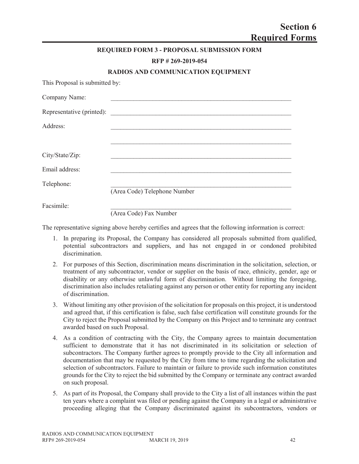|                                | <b>REQUIRED FORM 3 - PROPOSAL SUBMISSION FORM</b> |
|--------------------------------|---------------------------------------------------|
|                                | RFP #269-2019-054                                 |
|                                | RADIOS AND COMMUNICATION EQUIPMENT                |
| This Proposal is submitted by: |                                                   |
| Company Name:                  |                                                   |
|                                |                                                   |
| Address:                       |                                                   |
|                                |                                                   |
| City/State/Zip:                |                                                   |
| Email address:                 |                                                   |
| Telephone:                     |                                                   |
|                                | (Area Code) Telephone Number                      |
| Facsimile:                     |                                                   |
|                                | (Area Code) Fax Number                            |

The representative signing above hereby certifies and agrees that the following information is correct:

- 1. In preparing its Proposal, the Company has considered all proposals submitted from qualified, potential subcontractors and suppliers, and has not engaged in or condoned prohibited discrimination.
- 2. For purposes of this Section, discrimination means discrimination in the solicitation, selection, or treatment of any subcontractor, vendor or supplier on the basis of race, ethnicity, gender, age or disability or any otherwise unlawful form of discrimination. Without limiting the foregoing, discrimination also includes retaliating against any person or other entity for reporting any incident of discrimination.
- 3. Without limiting any other provision of the solicitation for proposals on this project, it is understood and agreed that, if this certification is false, such false certification will constitute grounds for the City to reject the Proposal submitted by the Company on this Project and to terminate any contract awarded based on such Proposal.
- 4. As a condition of contracting with the City, the Company agrees to maintain documentation sufficient to demonstrate that it has not discriminated in its solicitation or selection of subcontractors. The Company further agrees to promptly provide to the City all information and documentation that may be requested by the City from time to time regarding the solicitation and selection of subcontractors. Failure to maintain or failure to provide such information constitutes grounds for the City to reject the bid submitted by the Company or terminate any contract awarded on such proposal.
- 5. As part of its Proposal, the Company shall provide to the City a list of all instances within the past ten years where a complaint was filed or pending against the Company in a legal or administrative proceeding alleging that the Company discriminated against its subcontractors, vendors or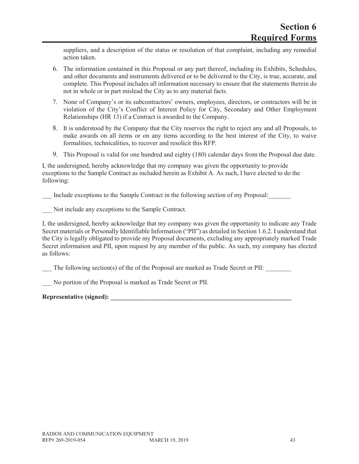suppliers, and a description of the status or resolution of that complaint, including any remedial action taken.

- 6. The information contained in this Proposal or any part thereof, including its Exhibits, Schedules, and other documents and instruments delivered or to be delivered to the City, is true, accurate, and complete. This Proposal includes all information necessary to ensure that the statements therein do not in whole or in part mislead the City as to any material facts.
- 7. None of Company's or its subcontractors' owners, employees, directors, or contractors will be in violation of the City's Conflict of Interest Policy for City, Secondary and Other Employment Relationships (HR 13) if a Contract is awarded to the Company.
- 8. It is understood by the Company that the City reserves the right to reject any and all Proposals, to make awards on all items or on any items according to the best interest of the City, to waive formalities, technicalities, to recover and resolicit this RFP.
- 9. This Proposal is valid for one hundred and eighty (180) calendar days from the Proposal due date.

I, the undersigned, hereby acknowledge that my company was given the opportunity to provide exceptions to the Sample Contract as included herein as Exhibit A. As such, I have elected to do the following:

Include exceptions to the Sample Contract in the following section of my Proposal:

Not include any exceptions to the Sample Contract.

I, the undersigned, hereby acknowledge that my company was given the opportunity to indicate any Trade Secret materials or Personally Identifiable Information ("PII") as detailed in Section 1.6.2. I understand that the City is legally obligated to provide my Proposal documents, excluding any appropriately marked Trade Secret information and PII, upon request by any member of the public. As such, my company has elected as follows:

The following section(s) of the of the Proposal are marked as Trade Secret or PII:

No portion of the Proposal is marked as Trade Secret or PII.

Representative (signed):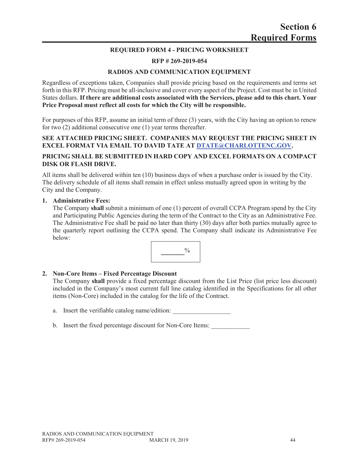#### **REQUIRED FORM 4 - PRICING WORKSHEET**

#### **RFP # 269-2019-054**

#### **RADIOS AND COMMUNICATION EQUIPMENT**

Regardless of exceptions taken, Companies shall provide pricing based on the requirements and terms set forth in this RFP. Pricing must be all-inclusive and cover every aspect of the Project. Cost must be in United States dollars. **If there are additional costs associated with the Services, please add to this chart. Your Price Proposal must reflect all costs for which the City will be responsible.**

For purposes of this RFP, assume an initial term of three (3) years, with the City having an option to renew for two (2) additional consecutive one (1) year terms thereafter.

#### **SEE ATTACHED PRICING SHEET. COMPANIES MAY REQUEST THE PRICING SHEET IN EXCEL FORMAT VIA EMAIL TO DAVID TATE AT DTATE@CHARLOTTENC.GOV.**

#### **PRICING SHALL BE SUBMITTED IN HARD COPY AND EXCEL FORMATS ON A COMPACT DISK OR FLASH DRIVE.**

All items shall be delivered within ten (10) business days of when a purchase order is issued by the City. The delivery schedule of all items shall remain in effect unless mutually agreed upon in writing by the City and the Company.

#### **1. Administrative Fees:**

The Company **shall** submit a minimum of one (1) percent of overall CCPA Program spend by the City and Participating Public Agencies during the term of the Contract to the City as an Administrative Fee. The Administrative Fee shall be paid no later than thirty (30) days after both parties mutually agree to the quarterly report outlining the CCPA spend. The Company shall indicate its Administrative Fee below:



#### **2. Non-Core Items – Fixed Percentage Discount**

The Company **shall** provide a fixed percentage discount from the List Price (list price less discount) included in the Company's most current full line catalog identified in the Specifications for all other items (Non-Core) included in the catalog for the life of the Contract.

a. Insert the verifiable catalog name/edition:

b. Insert the fixed percentage discount for Non-Core Items: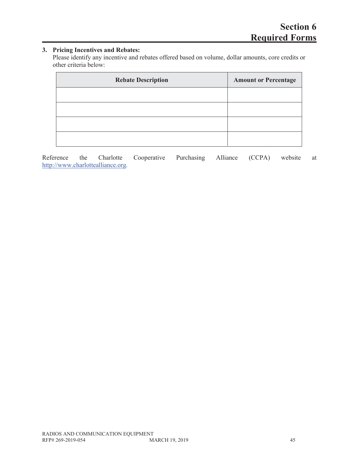# **3. Pricing Incentives and Rebates:**

Please identify any incentive and rebates offered based on volume, dollar amounts, core credits or other criteria below:

| <b>Rebate Description</b> | <b>Amount or Percentage</b> |
|---------------------------|-----------------------------|
|                           |                             |
|                           |                             |
|                           |                             |
|                           |                             |

Reference the Charlotte Cooperative Purchasing Alliance (CCPA) website at http://www.charlottealliance.org.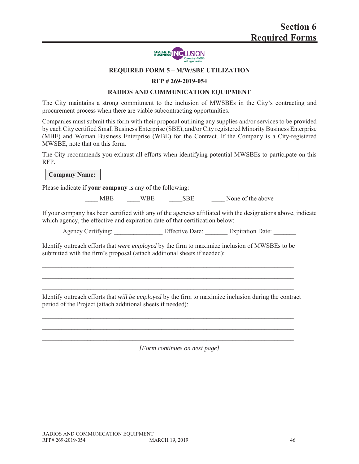

#### **REQUIRED FORM 5 – M/W/SBE UTILIZATION**

#### **RFP # 269-2019-054**

#### **RADIOS AND COMMUNICATION EQUIPMENT**

The City maintains a strong commitment to the inclusion of MWSBEs in the City's contracting and procurement process when there are viable subcontracting opportunities.

Companies must submit this form with their proposal outlining any supplies and/or services to be provided by each City certified Small Business Enterprise (SBE), and/or City registered Minority Business Enterprise (MBE) and Woman Business Enterprise (WBE) for the Contract. If the Company is a City-registered MWSBE, note that on this form.

The City recommends you exhaust all efforts when identifying potential MWSBEs to participate on this RFP.

| <b>Company Name:</b>                                                         |  |                                                                                                              |
|------------------------------------------------------------------------------|--|--------------------------------------------------------------------------------------------------------------|
| Please indicate if your company is any of the following:                     |  |                                                                                                              |
|                                                                              |  | MBE WBE SBE None of the above                                                                                |
| which agency, the effective and expiration date of that certification below: |  | If your company has been certified with any of the agencies affiliated with the designations above, indicate |
|                                                                              |  |                                                                                                              |
|                                                                              |  |                                                                                                              |
| submitted with the firm's proposal (attach additional sheets if needed):     |  | Identify outreach efforts that were employed by the firm to maximize inclusion of MWSBEs to be               |

*[Form continues on next page]*

 $\mathcal{L}_\text{max}$  and  $\mathcal{L}_\text{max}$  and  $\mathcal{L}_\text{max}$  and  $\mathcal{L}_\text{max}$  and  $\mathcal{L}_\text{max}$  and  $\mathcal{L}_\text{max}$  $\mathcal{L}_\mathcal{L} = \{ \mathcal{L}_\mathcal{L} = \{ \mathcal{L}_\mathcal{L} = \{ \mathcal{L}_\mathcal{L} = \{ \mathcal{L}_\mathcal{L} = \{ \mathcal{L}_\mathcal{L} = \{ \mathcal{L}_\mathcal{L} = \{ \mathcal{L}_\mathcal{L} = \{ \mathcal{L}_\mathcal{L} = \{ \mathcal{L}_\mathcal{L} = \{ \mathcal{L}_\mathcal{L} = \{ \mathcal{L}_\mathcal{L} = \{ \mathcal{L}_\mathcal{L} = \{ \mathcal{L}_\mathcal{L} = \{ \mathcal{L}_\mathcal{$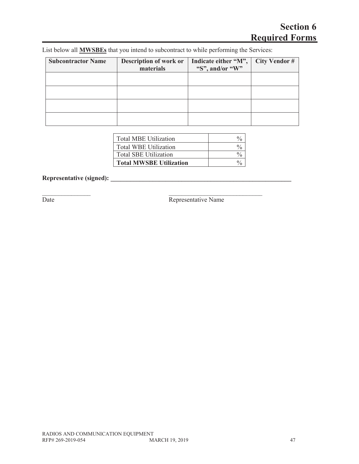# **Section 6 Required Forms**

| List below all <b>MWSBEs</b> that you intend to subcontract to while performing the Services: |  |
|-----------------------------------------------------------------------------------------------|--|
|                                                                                               |  |

 $\mathcal{L}_\text{max}$  , and the contract of the contract of  $\mathcal{L}_\text{max}$ 

| <b>Subcontractor Name</b> | Description of work or<br>materials | Indicate either "M",<br>"S", and/or "W" | <b>City Vendor #</b> |
|---------------------------|-------------------------------------|-----------------------------------------|----------------------|
|                           |                                     |                                         |                      |
|                           |                                     |                                         |                      |
|                           |                                     |                                         |                      |
|                           |                                     |                                         |                      |

| Total MBE Utilization   |  |
|-------------------------|--|
| Total WBE Utilization   |  |
| Total SBE Utilization   |  |
| Total MWSBE Utilization |  |

# **Representative (signed): \_\_\_\_\_\_\_\_\_\_\_\_\_\_\_\_\_\_\_\_\_\_\_\_\_\_\_\_\_\_\_\_\_\_\_\_\_\_\_\_\_\_\_\_\_\_\_\_\_\_\_\_\_\_\_\_**

Date Representative Name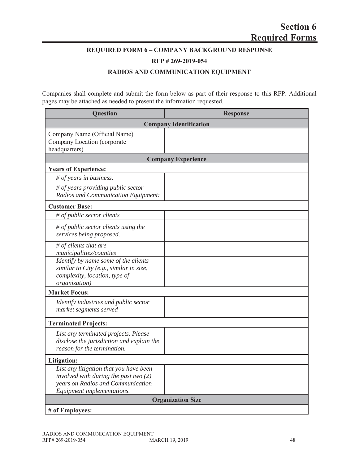### **REQUIRED FORM 6 – COMPANY BACKGROUND RESPONSE**

**RFP # 269-2019-054**

#### **RADIOS AND COMMUNICATION EQUIPMENT**

Companies shall complete and submit the form below as part of their response to this RFP. Additional pages may be attached as needed to present the information requested.

| <b>Question</b>                                                                                                                                      | <b>Response</b>               |
|------------------------------------------------------------------------------------------------------------------------------------------------------|-------------------------------|
|                                                                                                                                                      | <b>Company Identification</b> |
| Company Name (Official Name)<br>Company Location (corporate                                                                                          |                               |
| headquarters)                                                                                                                                        |                               |
|                                                                                                                                                      | <b>Company Experience</b>     |
| <b>Years of Experience:</b>                                                                                                                          |                               |
| # of years in business:                                                                                                                              |                               |
| # of years providing public sector<br>Radios and Communication Equipment:                                                                            |                               |
| <b>Customer Base:</b>                                                                                                                                |                               |
| # of public sector clients                                                                                                                           |                               |
| # of public sector clients using the<br>services being proposed.                                                                                     |                               |
| # of clients that are<br>municipalities/counties                                                                                                     |                               |
| Identify by name some of the clients<br>similar to City (e.g., similar in size,<br>complexity, location, type of<br>organization)                    |                               |
| <b>Market Focus:</b>                                                                                                                                 |                               |
| Identify industries and public sector<br>market segments served                                                                                      |                               |
| <b>Terminated Projects:</b>                                                                                                                          |                               |
| List any terminated projects. Please<br>disclose the jurisdiction and explain the<br>reason for the termination.                                     |                               |
| Litigation:                                                                                                                                          |                               |
| List any litigation that you have been<br>involved with during the past two $(2)$<br>years on Radios and Communication<br>Equipment implementations. |                               |
|                                                                                                                                                      | <b>Organization Size</b>      |
| # of Employees:                                                                                                                                      |                               |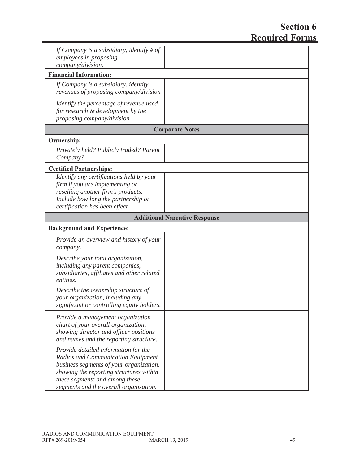# **Section 6 Required Forms**

| If Company is a subsidiary, identify # of<br>employees in proposing<br>company/division.                                                                                                                                                     |                                      |
|----------------------------------------------------------------------------------------------------------------------------------------------------------------------------------------------------------------------------------------------|--------------------------------------|
| <b>Financial Information:</b>                                                                                                                                                                                                                |                                      |
| If Company is a subsidiary, identify<br>revenues of proposing company/division                                                                                                                                                               |                                      |
| Identify the percentage of revenue used<br>for research & development by the<br>proposing company/division                                                                                                                                   |                                      |
|                                                                                                                                                                                                                                              | <b>Corporate Notes</b>               |
| <b>Ownership:</b>                                                                                                                                                                                                                            |                                      |
| Privately held? Publicly traded? Parent<br>Company?                                                                                                                                                                                          |                                      |
| <b>Certified Partnerships:</b>                                                                                                                                                                                                               |                                      |
| Identify any certifications held by your<br>firm if you are implementing or<br>reselling another firm's products.<br>Include how long the partnership or<br>certification has been effect.                                                   |                                      |
|                                                                                                                                                                                                                                              | <b>Additional Narrative Response</b> |
| <b>Background and Experience:</b>                                                                                                                                                                                                            |                                      |
| Provide an overview and history of your<br>company.                                                                                                                                                                                          |                                      |
| Describe your total organization,<br>including any parent companies,<br>subsidiaries, affiliates and other related<br>entities.                                                                                                              |                                      |
| Describe the ownership structure of<br>your organization, including any<br>significant or controlling equity holders.                                                                                                                        |                                      |
| Provide a management organization<br>chart of your overall organization,<br>showing director and officer positions<br>and names and the reporting structure.                                                                                 |                                      |
| Provide detailed information for the<br>Radios and Communication Equipment<br>business segments of your organization,<br>showing the reporting structures within<br>these segments and among these<br>segments and the overall organization. |                                      |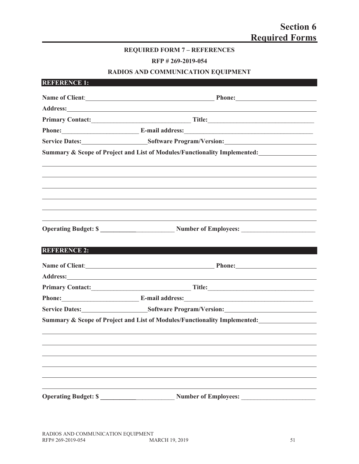### **REQUIRED FORM 7 – REFERENCES**

**RFP # 269-2019-054**

# **RADIOS AND COMMUNICATION EQUIPMENT**

| <b>REFERENCE 1:</b> |                                                                                                                                                                                                                                |  |
|---------------------|--------------------------------------------------------------------------------------------------------------------------------------------------------------------------------------------------------------------------------|--|
|                     |                                                                                                                                                                                                                                |  |
|                     |                                                                                                                                                                                                                                |  |
|                     |                                                                                                                                                                                                                                |  |
|                     | Phone: E-mail address: E-mail address:                                                                                                                                                                                         |  |
|                     | Service Dates: Software Program/Version: Software Program/Version:                                                                                                                                                             |  |
|                     | Summary & Scope of Project and List of Modules/Functionality Implemented:                                                                                                                                                      |  |
|                     |                                                                                                                                                                                                                                |  |
|                     |                                                                                                                                                                                                                                |  |
|                     |                                                                                                                                                                                                                                |  |
|                     |                                                                                                                                                                                                                                |  |
|                     |                                                                                                                                                                                                                                |  |
|                     |                                                                                                                                                                                                                                |  |
|                     | Operating Budget: \$                                                                                                                                                                                                           |  |
|                     |                                                                                                                                                                                                                                |  |
|                     |                                                                                                                                                                                                                                |  |
| <b>REFERENCE 2:</b> |                                                                                                                                                                                                                                |  |
|                     | Name of Client:<br>Phone:<br>Phone:                                                                                                                                                                                            |  |
|                     |                                                                                                                                                                                                                                |  |
|                     | Address: No. 1988. The Commission of the Commission of the Commission of the Commission of the Commission of the Commission of the Commission of the Commission of the Commission of the Commission of the Commission of the C |  |
|                     | Phone: E-mail address: E-mail and E-mail and E-mail and E-mail and E-mail and E-mail and E-mail and E-mail and E-mail and E-mail and E-mail and E-mail and E-mail and E-mail and E-mail and E-mail and E-mail and E-mail and E |  |
|                     | Service Dates: Software Program/Version: Software Program/Version:                                                                                                                                                             |  |
|                     | Summary & Scope of Project and List of Modules/Functionality Implemented:                                                                                                                                                      |  |
|                     |                                                                                                                                                                                                                                |  |
|                     |                                                                                                                                                                                                                                |  |
|                     |                                                                                                                                                                                                                                |  |
|                     |                                                                                                                                                                                                                                |  |
|                     |                                                                                                                                                                                                                                |  |
|                     |                                                                                                                                                                                                                                |  |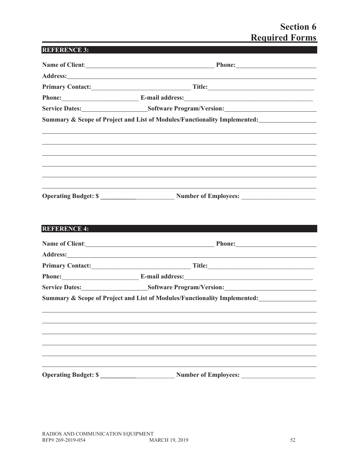# **Section 6 Required Forms**

|                     | Name of Client: Phone: Phone:                                                                                                                                                                                                                                                                                                                       |
|---------------------|-----------------------------------------------------------------------------------------------------------------------------------------------------------------------------------------------------------------------------------------------------------------------------------------------------------------------------------------------------|
|                     | Address: Andreas Address: Address: Address: Address: Address: Address: Address: Address: Address: Address: Address: Address: Address: Address: Address: Address: Address: Address: Address: Address: Address: Address: Address                                                                                                                      |
|                     |                                                                                                                                                                                                                                                                                                                                                     |
|                     | Phone: E-mail address:                                                                                                                                                                                                                                                                                                                              |
|                     | Service Dates: Software Program/Version: Software Program/Version:                                                                                                                                                                                                                                                                                  |
|                     | Summary & Scope of Project and List of Modules/Functionality Implemented:                                                                                                                                                                                                                                                                           |
|                     |                                                                                                                                                                                                                                                                                                                                                     |
|                     |                                                                                                                                                                                                                                                                                                                                                     |
|                     |                                                                                                                                                                                                                                                                                                                                                     |
|                     |                                                                                                                                                                                                                                                                                                                                                     |
|                     |                                                                                                                                                                                                                                                                                                                                                     |
|                     |                                                                                                                                                                                                                                                                                                                                                     |
|                     |                                                                                                                                                                                                                                                                                                                                                     |
|                     |                                                                                                                                                                                                                                                                                                                                                     |
|                     |                                                                                                                                                                                                                                                                                                                                                     |
|                     |                                                                                                                                                                                                                                                                                                                                                     |
| <b>REFERENCE 4:</b> |                                                                                                                                                                                                                                                                                                                                                     |
|                     |                                                                                                                                                                                                                                                                                                                                                     |
|                     |                                                                                                                                                                                                                                                                                                                                                     |
|                     |                                                                                                                                                                                                                                                                                                                                                     |
|                     | Name of Client: Phone: Phone:<br>Address: Andreas Address: Address: Address: Address: Address: Address: Address: Address: Address: Address: Address: Address: Address: Address: Address: Address: Address: Address: Address: Address: Address: Address: Address<br>Phone: E-mail address:<br>Service Dates: Software Program/Version: New York 2014 |
|                     | Summary & Scope of Project and List of Modules/Functionality Implemented:                                                                                                                                                                                                                                                                           |
|                     |                                                                                                                                                                                                                                                                                                                                                     |
|                     |                                                                                                                                                                                                                                                                                                                                                     |
|                     |                                                                                                                                                                                                                                                                                                                                                     |

**Operating Budget: \$ \_\_\_\_\_\_\_\_\_\_\_**\_\_\_\_\_\_\_\_\_\_\_\_ **Number of Employees:** \_\_\_\_\_\_\_\_\_\_\_\_\_\_\_\_\_\_\_\_\_\_\_

<u> 1980 - Johann Barnett, fransk politik (</u>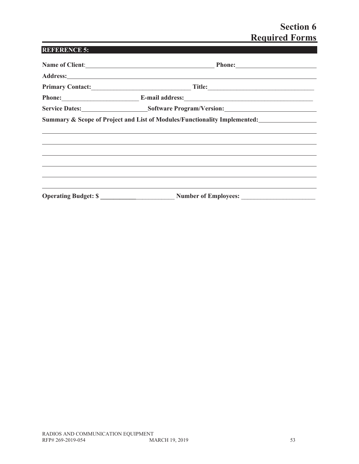# **Section 6 Required Forms**

| <b>REFERENCE 5:</b> |                                                                           |  |
|---------------------|---------------------------------------------------------------------------|--|
|                     | Name of Client:<br><u>Dhone:</u> Phone:<br>Phone:                         |  |
|                     |                                                                           |  |
|                     |                                                                           |  |
|                     | Phone: E-mail address:                                                    |  |
|                     | Service Dates: Software Program/Version: Software Program/Version:        |  |
|                     | Summary & Scope of Project and List of Modules/Functionality Implemented: |  |
|                     |                                                                           |  |
|                     |                                                                           |  |
|                     | Operating Budget: \$                                                      |  |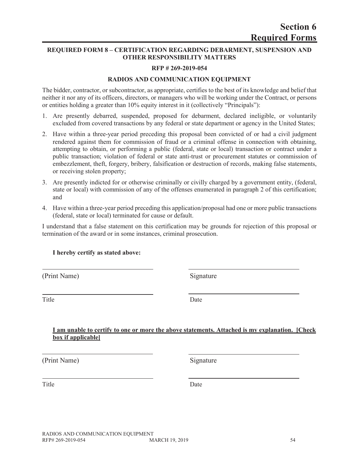### **REQUIRED FORM 8 – CERTIFICATION REGARDING DEBARMENT, SUSPENSION AND OTHER RESPONSIBILITY MATTERS**

# **RFP # 269-2019-054**

# **RADIOS AND COMMUNICATION EQUIPMENT**

The bidder, contractor, or subcontractor, as appropriate, certifies to the best of its knowledge and belief that neither it nor any of its officers, directors, or managers who will be working under the Contract, or persons or entities holding a greater than 10% equity interest in it (collectively "Principals"):

- 1. Are presently debarred, suspended, proposed for debarment, declared ineligible, or voluntarily excluded from covered transactions by any federal or state department or agency in the United States;
- 2. Have within a three-year period preceding this proposal been convicted of or had a civil judgment rendered against them for commission of fraud or a criminal offense in connection with obtaining, attempting to obtain, or performing a public (federal, state or local) transaction or contract under a public transaction; violation of federal or state anti-trust or procurement statutes or commission of embezzlement, theft, forgery, bribery, falsification or destruction of records, making false statements, or receiving stolen property;
- 3. Are presently indicted for or otherwise criminally or civilly charged by a government entity, (federal, state or local) with commission of any of the offenses enumerated in paragraph 2 of this certification; and
- 4. Have within a three-year period preceding this application/proposal had one or more public transactions (federal, state or local) terminated for cause or default.

I understand that a false statement on this certification may be grounds for rejection of this proposal or termination of the award or in some instances, criminal prosecution.

# **I hereby certify as stated above:**

(Print Name) Signature

Title Date

#### **I am unable to certify to one or more the above statements. Attached is my explanation. [Check box if applicable]**

(Print Name) Signature

Title Date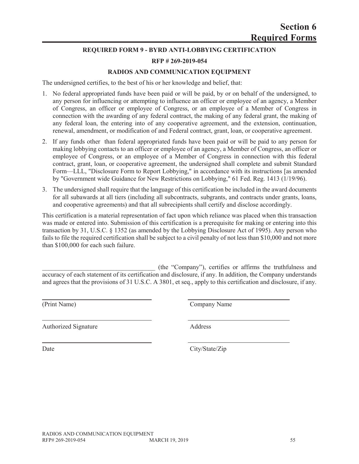# **Section 6 Required Forms**

# **REQUIRED FORM 9 - BYRD ANTI-LOBBYING CERTIFICATION**

# **RFP # 269-2019-054**

# **RADIOS AND COMMUNICATION EQUIPMENT**

The undersigned certifies, to the best of his or her knowledge and belief, that:

- 1. No federal appropriated funds have been paid or will be paid, by or on behalf of the undersigned, to any person for influencing or attempting to influence an officer or employee of an agency, a Member of Congress, an officer or employee of Congress, or an employee of a Member of Congress in connection with the awarding of any federal contract, the making of any federal grant, the making of any federal loan, the entering into of any cooperative agreement, and the extension, continuation, renewal, amendment, or modification of and Federal contract, grant, loan, or cooperative agreement.
- 2. If any funds other than federal appropriated funds have been paid or will be paid to any person for making lobbying contacts to an officer or employee of an agency, a Member of Congress, an officer or employee of Congress, or an employee of a Member of Congress in connection with this federal contract, grant, loan, or cooperative agreement, the undersigned shall complete and submit Standard Form—LLL, "Disclosure Form to Report Lobbying," in accordance with its instructions [as amended by "Government wide Guidance for New Restrictions on Lobbying," 61 Fed. Reg. 1413 (1/19/96).
- 3. The undersigned shall require that the language of this certification be included in the award documents for all subawards at all tiers (including all subcontracts, subgrants, and contracts under grants, loans, and cooperative agreements) and that all subrecipients shall certify and disclose accordingly.

This certification is a material representation of fact upon which reliance was placed when this transaction was made or entered into. Submission of this certification is a prerequisite for making or entering into this transaction by 31, U.S.C. § 1352 (as amended by the Lobbying Disclosure Act of 1995). Any person who fails to file the required certification shall be subject to a civil penalty of not less than \$10,000 and not more than \$100,000 for each such failure.

\_\_\_\_\_\_\_\_\_\_\_\_\_\_\_\_\_\_\_\_\_\_\_\_\_\_\_\_\_\_\_\_\_\_\_ (the "Company"), certifies or affirms the truthfulness and accuracy of each statement of its certification and disclosure, if any. In addition, the Company understands and agrees that the provisions of 31 U.S.C. A 3801, et seq., apply to this certification and disclosure, if any.

Authorized Signature Address

(Print Name) Company Name

Date City/State/Zip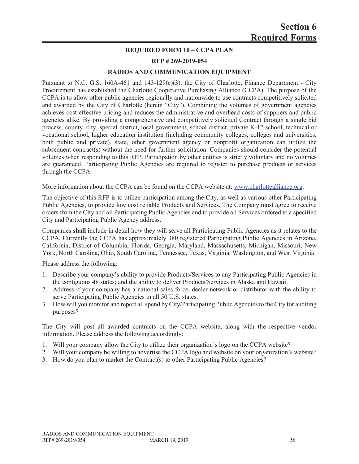#### **REQUIRED FORM 10 – CCPA PLAN**

#### **RFP # 269-2019-054**

#### **RADIOS AND COMMUNICATION EQUIPMENT**

Pursuant to N.C. G.S. 160A-461 and 143-129(e)(3), the City of Charlotte, Finance Department - City Procurement has established the Charlotte Cooperative Purchasing Alliance (CCPA). The purpose of the CCPA is to allow other public agencies regionally and nationwide to use contracts competitively solicited and awarded by the City of Charlotte (herein "City"). Combining the volumes of government agencies achieves cost effective pricing and reduces the administrative and overhead costs of suppliers and public agencies alike. By providing a comprehensive and competitively solicited Contract through a single bid process, county, city, special district, local government, school district, private K-12 school, technical or vocational school, higher education institution (including community colleges, colleges and universities, both public and private), state, other government agency or nonprofit organization can utilize the subsequent contract(s) without the need for further solicitation. Companies should consider the potential volumes when responding to this RFP. Participation by other entities is strictly voluntary and no volumes are guaranteed. Participating Public Agencies are required to register to purchase products or services through the CCPA.

More information about the CCPA can be found on the CCPA website at: www.charlottealliance.org.

The objective of this RFP is to utilize participation among the City, as well as various other Participating Public Agencies, to provide low cost reliable Products and Services. The Company must agree to receive orders from the City and all Participating Public Agencies and to provide all Services ordered to a specified City and Participating Public Agency address.

Companies **shall** include in detail how they will serve all Participating Public Agencies as it relates to the CCPA. Currently the CCPA has approximately 380 registered Participating Public Agencies in Arizona, California, District of Columbia, Florida, Georgia, Maryland, Massachusetts, Michigan, Missouri, New York, North Carolina, Ohio, South Carolina, Tennessee, Texas, Virginia, Washington, and West Virginia.

Please address the following:

- 1. Describe your company's ability to provide Products/Services to any Participating Public Agencies in the contiguous 48 states; and the ability to deliver Products/Services in Alaska and Hawaii.
- 2. Address if your company has a national sales force, dealer network or distributor with the ability to serve Participating Public Agencies in all 50 U.S. states.
- 3. How will you monitor and report all spend by City/Participating Public Agencies to the City for auditing purposes?

The City will post all awarded contracts on the CCPA website, along with the respective vendor information. Please address the following accordingly:

- 1. Will your company allow the City to utilize their organization's logo on the CCPA website?
- 2. Will your company be willing to advertise the CCPA logo and website on your organization's website?
- 3. How do you plan to market the Contract(s) to other Participating Public Agencies?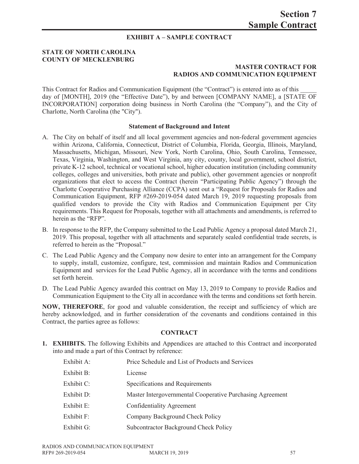#### **EXHIBIT A – SAMPLE CONTRACT**

#### **STATE OF NORTH CAROLINA COUNTY OF MECKLENBURG**

#### **MASTER CONTRACT FOR RADIOS AND COMMUNICATION EQUIPMENT**

This Contract for Radios and Communication Equipment (the "Contract") is entered into as of this \_\_\_\_\_ day of [MONTH], 2019 (the "Effective Date"), by and between [COMPANY NAME], a [STATE OF INCORPORATION] corporation doing business in North Carolina (the "Company"), and the City of Charlotte, North Carolina (the "City").

#### **Statement of Background and Intent**

- A. The City on behalf of itself and all local government agencies and non-federal government agencies within Arizona, California, Connecticut, District of Columbia, Florida, Georgia, Illinois, Maryland, Massachusetts, Michigan, Missouri, New York, North Carolina, Ohio, South Carolina, Tennessee, Texas, Virginia, Washington, and West Virginia, any city, county, local government, school district, private K-12 school, technical or vocational school, higher education institution (including community colleges, colleges and universities, both private and public), other government agencies or nonprofit organizations that elect to access the Contract (herein "Participating Public Agency") through the Charlotte Cooperative Purchasing Alliance (CCPA) sent out a "Request for Proposals for Radios and Communication Equipment, RFP #269-2019-054 dated March 19, 2019 requesting proposals from qualified vendors to provide the City with Radios and Communication Equipment per City requirements. This Request for Proposals, together with all attachments and amendments, is referred to herein as the "RFP".
- B. In response to the RFP, the Company submitted to the Lead Public Agency a proposal dated March 21, 2019. This proposal, together with all attachments and separately sealed confidential trade secrets, is referred to herein as the "Proposal."
- C. The Lead Public Agency and the Company now desire to enter into an arrangement for the Company to supply, install, customize, configure, test, commission and maintain Radios and Communication Equipment and services for the Lead Public Agency, all in accordance with the terms and conditions set forth herein.
- D. The Lead Public Agency awarded this contract on May 13, 2019 to Company to provide Radios and Communication Equipment to the City all in accordance with the terms and conditions set forth herein.

**NOW, THEREFORE**, for good and valuable consideration, the receipt and sufficiency of which are hereby acknowledged, and in further consideration of the covenants and conditions contained in this Contract, the parties agree as follows:

#### **CONTRACT**

**1. EXHIBITS.** The following Exhibits and Appendices are attached to this Contract and incorporated into and made a part of this Contract by reference:

| Exhibit A: | Price Schedule and List of Products and Services          |
|------------|-----------------------------------------------------------|
| Exhibit B: | License                                                   |
| Exhibit C: | Specifications and Requirements                           |
| Exhibit D: | Master Intergovernmental Cooperative Purchasing Agreement |
| Exhibit E: | Confidentiality Agreement                                 |
| Exhibit F: | Company Background Check Policy                           |
| Exhibit G: | Subcontractor Background Check Policy                     |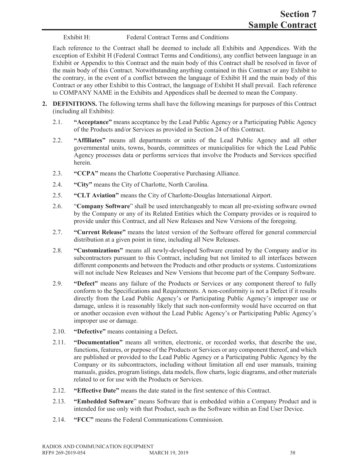Exhibit H: Federal Contract Terms and Conditions

Each reference to the Contract shall be deemed to include all Exhibits and Appendices. With the exception of Exhibit H (Federal Contract Terms and Conditions), any conflict between language in an Exhibit or Appendix to this Contract and the main body of this Contract shall be resolved in favor of the main body of this Contract. Notwithstanding anything contained in this Contract or any Exhibit to the contrary, in the event of a conflict between the language of Exhibit H and the main body of this Contract or any other Exhibit to this Contract, the language of Exhibit H shall prevail. Each reference to COMPANY NAME in the Exhibits and Appendices shall be deemed to mean the Company.

- **2. DEFINITIONS.** The following terms shall have the following meanings for purposes of this Contract (including all Exhibits):
	- 2.1. **"Acceptance"** means acceptance by the Lead Public Agency or a Participating Public Agency of the Products and/or Services as provided in Section 24 of this Contract.
	- 2.2. **"Affiliates"** means all departments or units of the Lead Public Agency and all other governmental units, towns, boards, committees or municipalities for which the Lead Public Agency processes data or performs services that involve the Products and Services specified herein.
	- 2.3. **"CCPA"** means the Charlotte Cooperative Purchasing Alliance.
	- 2.4. **"City"** means the City of Charlotte, North Carolina.
	- 2.5. **"CLT Aviation"** means the City of Charlotte-Douglas International Airport.
	- 2.6. "**Company Software**" shall be used interchangeably to mean all pre-existing software owned by the Company or any of its Related Entities which the Company provides or is required to provide under this Contract, and all New Releases and New Versions of the foregoing.
	- 2.7. **"Current Release"** means the latest version of the Software offered for general commercial distribution at a given point in time, including all New Releases.
	- 2.8. **"Customizations"** means all newly-developed Software created by the Company and/or its subcontractors pursuant to this Contract, including but not limited to all interfaces between different components and between the Products and other products or systems. Customizations will not include New Releases and New Versions that become part of the Company Software.
	- 2.9. **"Defect"** means any failure of the Products or Services or any component thereof to fully conform to the Specifications and Requirements. A non-conformity is not a Defect if it results directly from the Lead Public Agency's or Participating Public Agency's improper use or damage, unless it is reasonably likely that such non-conformity would have occurred on that or another occasion even without the Lead Public Agency's or Participating Public Agency's improper use or damage.
	- 2.10. **"Defective"** means containing a Defect**.**
	- 2.11. **"Documentation"** means all written, electronic, or recorded works, that describe the use, functions, features, or purpose of the Products or Services or any component thereof, and which are published or provided to the Lead Public Agency or a Participating Public Agency by the Company or its subcontractors, including without limitation all end user manuals, training manuals, guides, program listings, data models, flow charts, logic diagrams, and other materials related to or for use with the Products or Services.
	- 2.12. **"Effective Date"** means the date stated in the first sentence of this Contract.
	- 2.13. **"Embedded Software**" means Software that is embedded within a Company Product and is intended for use only with that Product, such as the Software within an End User Device.
	- 2.14. **"FCC"** means the Federal Communications Commission.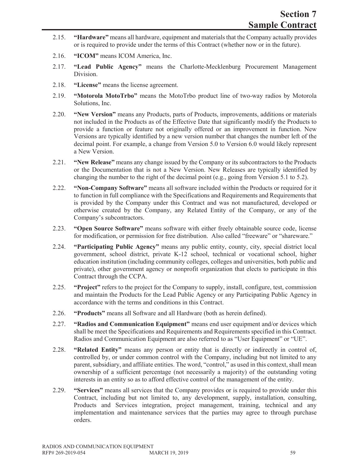- 2.15. **"Hardware"** means all hardware, equipment and materials that the Company actually provides or is required to provide under the terms of this Contract (whether now or in the future).
- 2.16. **"ICOM"** means ICOM America, Inc.
- 2.17. **"Lead Public Agency"** means the Charlotte-Mecklenburg Procurement Management Division.
- 2.18. **"License"** means the license agreement.
- 2.19. **"Motorola MotoTrbo"** means the MotoTrbo product line of two-way radios by Motorola Solutions, Inc.
- 2.20. **"New Version"** means any Products, parts of Products, improvements, additions or materials not included in the Products as of the Effective Date that significantly modify the Products to provide a function or feature not originally offered or an improvement in function. New Versions are typically identified by a new version number that changes the number left of the decimal point. For example, a change from Version 5.0 to Version 6.0 would likely represent a New Version.
- 2.21. **"New Release"** means any change issued by the Company or its subcontractors to the Products or the Documentation that is not a New Version. New Releases are typically identified by changing the number to the right of the decimal point (e.g., going from Version 5.1 to 5.2).
- 2.22. **"Non-Company Software"** means all software included within the Products or required for it to function in full compliance with the Specifications and Requirements and Requirements that is provided by the Company under this Contract and was not manufactured, developed or otherwise created by the Company, any Related Entity of the Company, or any of the Company's subcontractors.
- 2.23. **"Open Source Software"** means software with either freely obtainable source code, license for modification, or permission for free distribution. Also called "freeware" or "shareware."
- 2.24. **"Participating Public Agency"** means any public entity, county, city, special district local government, school district, private K-12 school, technical or vocational school, higher education institution (including community colleges, colleges and universities, both public and private), other government agency or nonprofit organization that elects to participate in this Contract through the CCPA.
- 2.25. **"Project"** refers to the project for the Company to supply, install, configure, test, commission and maintain the Products for the Lead Public Agency or any Participating Public Agency in accordance with the terms and conditions in this Contract.
- 2.26. **"Products"** means all Software and all Hardware (both as herein defined).
- 2.27. **"Radios and Communication Equipment"** means end user equipment and/or devices which shall be meet the Specifications and Requirements and Requirements specified in this Contract. Radios and Communication Equipment are also referred to as "User Equipment" or "UE".
- 2.28. **"Related Entity"** means any person or entity that is directly or indirectly in control of, controlled by, or under common control with the Company, including but not limited to any parent, subsidiary, and affiliate entities. The word, "control," as used in this context, shall mean ownership of a sufficient percentage (not necessarily a majority) of the outstanding voting interests in an entity so as to afford effective control of the management of the entity.
- 2.29. **"Services"** means all services that the Company provides or is required to provide under this Contract, including but not limited to, any development, supply, installation, consulting, Products and Services integration, project management, training, technical and any implementation and maintenance services that the parties may agree to through purchase orders.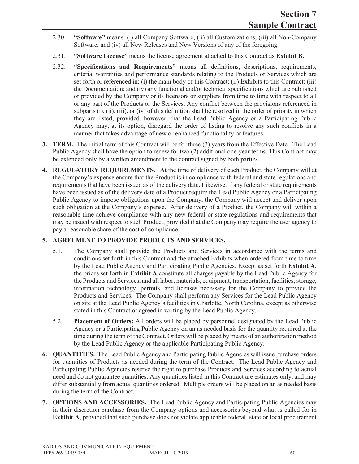- 2.30. **"Software"** means: (i) all Company Software; (ii) all Customizations; (iii) all Non-Company Software; and (iv) all New Releases and New Versions of any of the foregoing.
- 2.31. **"Software License"** means the license agreement attached to this Contract as **Exhibit B.**
- 2.32. **"Specifications and Requirements"** means all definitions, descriptions, requirements, criteria, warranties and performance standards relating to the Products or Services which are set forth or referenced in: (i) the main body of this Contract; (ii) Exhibits to this Contract; (iii) the Documentation; and (iv) any functional and/or technical specifications which are published or provided by the Company or its licensors or suppliers from time to time with respect to all or any part of the Products or the Services. Any conflict between the provisions referenced in subparts  $(i)$ ,  $(ii)$ ,  $(iii)$ , or  $(iv)$  of this definition shall be resolved in the order of priority in which they are listed; provided, however, that the Lead Public Agency or a Participating Public Agency may, at its option, disregard the order of listing to resolve any such conflicts in a manner that takes advantage of new or enhanced functionality or features.
- **3. TERM.** The initial term of this Contract will be for three (3) years from the Effective Date. The Lead Public Agency shall have the option to renew for two (2) additional one-year terms. This Contract may be extended only by a written amendment to the contract signed by both parties.
- **4. REGULATORY REQUIREMENTS.** At the time of delivery of each Product, the Company will at the Company's expense ensure that the Product is in compliance with federal and state regulations and requirements that have been issued as of the delivery date. Likewise, if any federal or state requirements have been issued as of the delivery date of a Product require the Lead Public Agency or a Participating Public Agency to impose obligations upon the Company, the Company will accept and deliver upon such obligation at the Company's expense. After delivery of a Product, the Company will within a reasonable time achieve compliance with any new federal or state regulations and requirements that may be issued with respect to such Product, provided that the Company may require the user agency to pay a reasonable share of the cost of compliance.

# **5. AGREEMENT TO PROVIDE PRODUCTS AND SERVICES.**

- 5.1. The Company shall provide the Products and Services in accordance with the terms and conditions set forth in this Contract and the attached Exhibits when ordered from time to time by the Lead Public Agency and Participating Public Agencies. Except as set forth **Exhibit A**, the prices set forth in **Exhibit A** constitute all charges payable by the Lead Public Agency for the Products and Services, and all labor, materials, equipment, transportation, facilities, storage, information technology, permits, and licenses necessary for the Company to provide the Products and Services. The Company shall perform any Services for the Lead Public Agency on site at the Lead Public Agency's facilities in Charlotte, North Carolina, except as otherwise stated in this Contract or agreed in writing by the Lead Public Agency.
- 5.2. **Placement of Orders:** All orders will be placed by personnel designated by the Lead Public Agency or a Participating Public Agency on an as needed basis for the quantity required at the time during the term of the Contract. Orders will be placed by means of an authorization method by the Lead Public Agency or the applicable Participating Public Agency.
- **6. QUANTITIES.** The Lead Public Agency and Participating Public Agencies will issue purchase orders for quantities of Products as needed during the term of the Contract. The Lead Public Agency and Participating Public Agencies reserve the right to purchase Products and Services according to actual need and do not guarantee quantities. Any quantities listed in this Contract are estimates only, and may differ substantially from actual quantities ordered. Multiple orders will be placed on an as needed basis during the term of the Contract.
- **7. OPTIONS AND ACCESSORIES.** The Lead Public Agency and Participating Public Agencies may in their discretion purchase from the Company options and accessories beyond what is called for in **Exhibit A**, provided that such purchase does not violate applicable federal, state or local procurement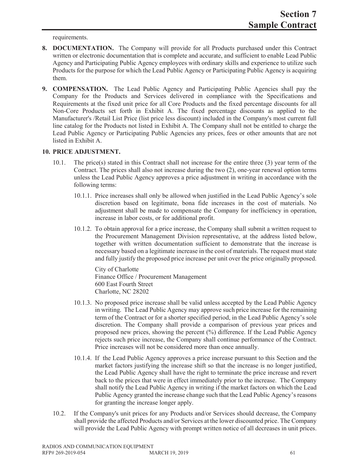requirements.

- **8. DOCUMENTATION.** The Company will provide for all Products purchased under this Contract written or electronic documentation that is complete and accurate, and sufficient to enable Lead Public Agency and Participating Public Agency employees with ordinary skills and experience to utilize such Products for the purpose for which the Lead Public Agency or Participating Public Agency is acquiring them.
- **9. COMPENSATION.** The Lead Public Agency and Participating Public Agencies shall pay the Company for the Products and Services delivered in compliance with the Specifications and Requirements at the fixed unit price for all Core Products and the fixed percentage discounts for all Non-Core Products set forth in Exhibit A. The fixed percentage discounts as applied to the Manufacturer's /Retail List Price (list price less discount) included in the Company's most current full line catalog for the Products not listed in Exhibit A. The Company shall not be entitled to charge the Lead Public Agency or Participating Public Agencies any prices, fees or other amounts that are not listed in Exhibit A.

#### **10. PRICE ADJUSTMENT.**

- 10.1. The price(s) stated in this Contract shall not increase for the entire three (3) year term of the Contract. The prices shall also not increase during the two (2), one-year renewal option terms unless the Lead Public Agency approves a price adjustment in writing in accordance with the following terms:
	- 10.1.1. Price increases shall only be allowed when justified in the Lead Public Agency's sole discretion based on legitimate, bona fide increases in the cost of materials. No adjustment shall be made to compensate the Company for inefficiency in operation, increase in labor costs, or for additional profit.
	- 10.1.2. To obtain approval for a price increase, the Company shall submit a written request to the Procurement Management Division representative, at the address listed below, together with written documentation sufficient to demonstrate that the increase is necessary based on a legitimate increase in the cost of materials. The request must state and fully justify the proposed price increase per unit over the price originally proposed.

City of Charlotte Finance Office / Procurement Management 600 East Fourth Street Charlotte, NC 28202

- 10.1.3. No proposed price increase shall be valid unless accepted by the Lead Public Agency in writing. The Lead Public Agency may approve such price increase for the remaining term of the Contract or for a shorter specified period, in the Lead Public Agency's sole discretion. The Company shall provide a comparison of previous year prices and proposed new prices, showing the percent (%) difference. If the Lead Public Agency rejects such price increase, the Company shall continue performance of the Contract. Price increases will not be considered more than once annually.
- 10.1.4. If the Lead Public Agency approves a price increase pursuant to this Section and the market factors justifying the increase shift so that the increase is no longer justified, the Lead Public Agency shall have the right to terminate the price increase and revert back to the prices that were in effect immediately prior to the increase. The Company shall notify the Lead Public Agency in writing if the market factors on which the Lead Public Agency granted the increase change such that the Lead Public Agency's reasons for granting the increase longer apply.
- 10.2. If the Company's unit prices for any Products and/or Services should decrease, the Company shall provide the affected Products and/or Services at the lower discounted price. The Company will provide the Lead Public Agency with prompt written notice of all decreases in unit prices.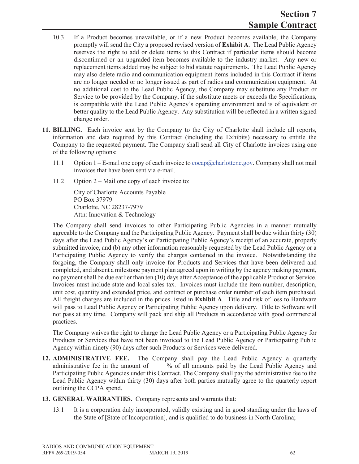- 10.3. If a Product becomes unavailable, or if a new Product becomes available, the Company promptly will send the City a proposed revised version of **Exhibit A**. The Lead Public Agency reserves the right to add or delete items to this Contract if particular items should become discontinued or an upgraded item becomes available to the industry market. Any new or replacement items added may be subject to bid statute requirements. The Lead Public Agency may also delete radio and communication equipment items included in this Contract if items are no longer needed or no longer issued as part of radios and communication equipment. At no additional cost to the Lead Public Agency, the Company may substitute any Product or Service to be provided by the Company, if the substitute meets or exceeds the Specifications, is compatible with the Lead Public Agency's operating environment and is of equivalent or better quality to the Lead Public Agency. Any substitution will be reflected in a written signed change order.
- **11. BILLING.** Each invoice sent by the Company to the City of Charlotte shall include all reports, information and data required by this Contract (including the Exhibits) necessary to entitle the Company to the requested payment. The Company shall send all City of Charlotte invoices using one of the following options:
	- 11.1 Option  $1 E$ -mail one copy of each invoice to  $\frac{\cos(\alpha)C}{\cosh(\alpha)}$  Company shall not mail invoices that have been sent via e-mail.
	- 11.2 Option 2 Mail one copy of each invoice to:

City of Charlotte Accounts Payable PO Box 37979 Charlotte, NC 28237-7979 Attn: Innovation & Technology

The Company shall send invoices to other Participating Public Agencies in a manner mutually agreeable to the Company and the Participating Public Agency. Payment shall be due within thirty (30) days after the Lead Public Agency's or Participating Public Agency's receipt of an accurate, properly submitted invoice, and (b) any other information reasonably requested by the Lead Public Agency or a Participating Public Agency to verify the charges contained in the invoice. Notwithstanding the forgoing, the Company shall only invoice for Products and Services that have been delivered and completed, and absent a milestone payment plan agreed upon in writing by the agency making payment, no payment shall be due earlier than ten (10) days after Acceptance of the applicable Product or Service. Invoices must include state and local sales tax. Invoices must include the item number, description, unit cost, quantity and extended price, and contract or purchase order number of each item purchased. All freight charges are included in the prices listed in **Exhibit A**. Title and risk of loss to Hardware will pass to Lead Public Agency or Participating Public Agency upon delivery. Title to Software will not pass at any time. Company will pack and ship all Products in accordance with good commercial practices.

The Company waives the right to charge the Lead Public Agency or a Participating Public Agency for Products or Services that have not been invoiced to the Lead Public Agency or Participating Public Agency within ninety (90) days after such Products or Services were delivered.

- **12. ADMINISTRATIVE FEE.** The Company shall pay the Lead Public Agency a quarterly administrative fee in the amount of **\_\_\_\_** % of all amounts paid by the Lead Public Agency and Participating Public Agencies under this Contract. The Company shall pay the administrative fee to the Lead Public Agency within thirty (30) days after both parties mutually agree to the quarterly report outlining the CCPA spend.
- **13. GENERAL WARRANTIES.** Company represents and warrants that:
	- 13.1 It is a corporation duly incorporated, validly existing and in good standing under the laws of the State of [State of Incorporation], and is qualified to do business in North Carolina;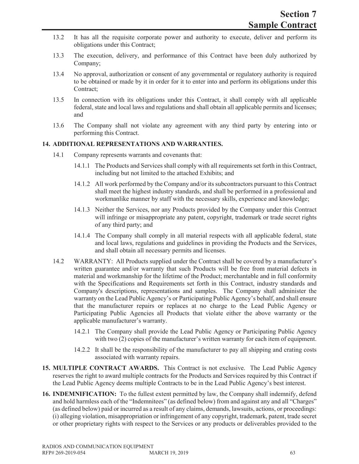- 13.2 It has all the requisite corporate power and authority to execute, deliver and perform its obligations under this Contract;
- 13.3 The execution, delivery, and performance of this Contract have been duly authorized by Company;
- 13.4 No approval, authorization or consent of any governmental or regulatory authority is required to be obtained or made by it in order for it to enter into and perform its obligations under this Contract;
- 13.5 In connection with its obligations under this Contract, it shall comply with all applicable federal, state and local laws and regulations and shall obtain all applicable permits and licenses; and
- 13.6 The Company shall not violate any agreement with any third party by entering into or performing this Contract.

#### **14. ADDITIONAL REPRESENTATIONS AND WARRANTIES.**

- 14.1 Company represents warrants and covenants that:
	- 14.1.1 The Products and Services shall comply with all requirements set forth in this Contract, including but not limited to the attached Exhibits; and
	- 14.1.2 All work performed by the Company and/or its subcontractors pursuant to this Contract shall meet the highest industry standards, and shall be performed in a professional and workmanlike manner by staff with the necessary skills, experience and knowledge;
	- 14.1.3 Neither the Services, nor any Products provided by the Company under this Contract will infringe or misappropriate any patent, copyright, trademark or trade secret rights of any third party; and
	- 14.1.4 The Company shall comply in all material respects with all applicable federal, state and local laws, regulations and guidelines in providing the Products and the Services, and shall obtain all necessary permits and licenses.
- 14.2 WARRANTY: All Products supplied under the Contract shall be covered by a manufacturer's written guarantee and/or warranty that such Products will be free from material defects in material and workmanship for the lifetime of the Product; merchantable and in full conformity with the Specifications and Requirements set forth in this Contract, industry standards and Company's descriptions, representations and samples. The Company shall administer the warranty on the Lead Public Agency's or Participating Public Agency's behalf, and shall ensure that the manufacturer repairs or replaces at no charge to the Lead Public Agency or Participating Public Agencies all Products that violate either the above warranty or the applicable manufacturer's warranty.
	- 14.2.1 The Company shall provide the Lead Public Agency or Participating Public Agency with two (2) copies of the manufacturer's written warranty for each item of equipment.
	- 14.2.2 It shall be the responsibility of the manufacturer to pay all shipping and crating costs associated with warranty repairs.
- **15. MULTIPLE CONTRACT AWARDS.** This Contract is not exclusive. The Lead Public Agency reserves the right to award multiple contracts for the Products and Services required by this Contract if the Lead Public Agency deems multiple Contracts to be in the Lead Public Agency's best interest.
- **16. INDEMNIFICATION:** To the fullest extent permitted by law, the Company shall indemnify, defend and hold harmless each of the "Indemnitees" (as defined below) from and against any and all "Charges" (as defined below) paid or incurred as a result of any claims, demands, lawsuits, actions, or proceedings: (i) alleging violation, misappropriation or infringement of any copyright, trademark, patent, trade secret or other proprietary rights with respect to the Services or any products or deliverables provided to the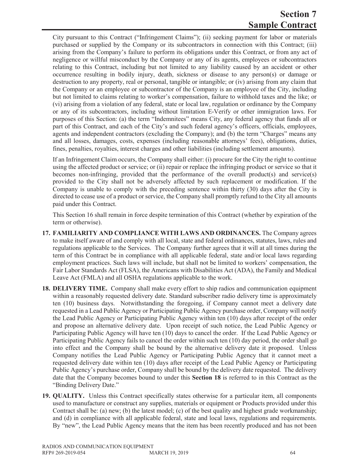# **Section 7 Sample Contract**

City pursuant to this Contract ("Infringement Claims"); (ii) seeking payment for labor or materials purchased or supplied by the Company or its subcontractors in connection with this Contract; (iii) arising from the Company's failure to perform its obligations under this Contract, or from any act of negligence or willful misconduct by the Company or any of its agents, employees or subcontractors relating to this Contract, including but not limited to any liability caused by an accident or other occurrence resulting in bodily injury, death, sickness or disease to any person(s) or damage or destruction to any property, real or personal, tangible or intangible; or (iv) arising from any claim that the Company or an employee or subcontractor of the Company is an employee of the City, including but not limited to claims relating to worker's compensation, failure to withhold taxes and the like; or (vi) arising from a violation of any federal, state or local law, regulation or ordinance by the Company or any of its subcontractors, including without limitation E-Verify or other immigration laws. For purposes of this Section: (a) the term "Indemnitees" means City, any federal agency that funds all or part of this Contract, and each of the City's and such federal agency's officers, officials, employees, agents and independent contractors (excluding the Company); and (b) the term "Charges" means any and all losses, damages, costs, expenses (including reasonable attorneys' fees), obligations, duties, fines, penalties, royalties, interest charges and other liabilities (including settlement amounts).

If an Infringement Claim occurs, the Company shall either: (i) procure for the City the right to continue using the affected product or service; or (ii) repair or replace the infringing product or service so that it becomes non-infringing, provided that the performance of the overall product(s) and service(s) provided to the City shall not be adversely affected by such replacement or modification. If the Company is unable to comply with the preceding sentence within thirty (30) days after the City is directed to cease use of a product or service, the Company shall promptly refund to the City all amounts paid under this Contract.

This Section 16 shall remain in force despite termination of this Contract (whether by expiration of the term or otherwise).

- **17. FAMILIARITY AND COMPLIANCE WITH LAWS AND ORDINANCES.** The Company agrees to make itself aware of and comply with all local, state and federal ordinances, statutes, laws, rules and regulations applicable to the Services. The Company further agrees that it will at all times during the term of this Contract be in compliance with all applicable federal, state and/or local laws regarding employment practices. Such laws will include, but shall not be limited to workers' compensation, the Fair Labor Standards Act (FLSA), the Americans with Disabilities Act (ADA), the Family and Medical Leave Act (FMLA) and all OSHA regulations applicable to the work.
- **18. DELIVERY TIME.** Company shall make every effort to ship radios and communication equipment within a reasonably requested delivery date. Standard subscriber radio delivery time is approximately ten (10) business days. Notwithstanding the foregoing, if Company cannot meet a delivery date requested in a Lead Public Agency or Participating Public Agency purchase order, Company will notify the Lead Public Agency or Participating Public Agency within ten (10) days after receipt of the order and propose an alternative delivery date. Upon receipt of such notice, the Lead Public Agency or Participating Public Agency will have ten (10) days to cancel the order. If the Lead Public Agency or Participating Public Agency fails to cancel the order within such ten (10) day period, the order shall go into effect and the Company shall be bound by the alternative delivery date it proposed. Unless Company notifies the Lead Public Agency or Participating Public Agency that it cannot meet a requested delivery date within ten (10) days after receipt of the Lead Public Agency or Participating Public Agency's purchase order, Company shall be bound by the delivery date requested. The delivery date that the Company becomes bound to under this **Section 18** is referred to in this Contract as the "Binding Delivery Date."
- **19. QUALITY.** Unless this Contract specifically states otherwise for a particular item, all components used to manufacture or construct any supplies, materials or equipment or Products provided under this Contract shall be: (a) new; (b) the latest model; (c) of the best quality and highest grade workmanship; and (d) in compliance with all applicable federal, state and local laws, regulations and requirements. By "new", the Lead Public Agency means that the item has been recently produced and has not been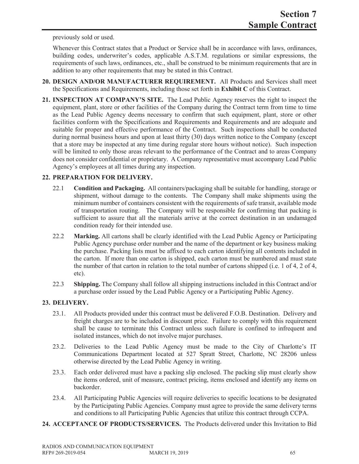previously sold or used.

Whenever this Contract states that a Product or Service shall be in accordance with laws, ordinances, building codes, underwriter's codes, applicable A.S.T.M. regulations or similar expressions, the requirements of such laws, ordinances, etc., shall be construed to be minimum requirements that are in addition to any other requirements that may be stated in this Contract.

- **20. DESIGN AND/OR MANUFACTURER REQUIREMENT.** All Products and Services shall meet the Specifications and Requirements, including those set forth in **Exhibit C** of this Contract.
- **21. INSPECTION AT COMPANY'S SITE.** The Lead Public Agency reserves the right to inspect the equipment, plant, store or other facilities of the Company during the Contract term from time to time as the Lead Public Agency deems necessary to confirm that such equipment, plant, store or other facilities conform with the Specifications and Requirements and Requirements and are adequate and suitable for proper and effective performance of the Contract. Such inspections shall be conducted during normal business hours and upon at least thirty (30) days written notice to the Company (except that a store may be inspected at any time during regular store hours without notice). Such inspection will be limited to only those areas relevant to the performance of the Contract and to areas Company does not consider confidential or proprietary. A Company representative must accompany Lead Public Agency's employees at all times during any inspection.

### **22. PREPARATION FOR DELIVERY.**

- 22.1 **Condition and Packaging.** All containers/packaging shall be suitable for handling, storage or shipment, without damage to the contents. The Company shall make shipments using the minimum number of containers consistent with the requirements of safe transit, available mode of transportation routing. The Company will be responsible for confirming that packing is sufficient to assure that all the materials arrive at the correct destination in an undamaged condition ready for their intended use.
- 22.2 **Marking.** All cartons shall be clearly identified with the Lead Public Agency or Participating Public Agency purchase order number and the name of the department or key business making the purchase. Packing lists must be affixed to each carton identifying all contents included in the carton. If more than one carton is shipped, each carton must be numbered and must state the number of that carton in relation to the total number of cartons shipped (i.e. 1 of 4, 2 of 4, etc).
- 22.3 **Shipping.** The Company shall follow all shipping instructions included in this Contract and/or a purchase order issued by the Lead Public Agency or a Participating Public Agency.

# **23. DELIVERY.**

- 23.1. All Products provided under this contract must be delivered F.O.B. Destination. Delivery and freight charges are to be included in discount price. Failure to comply with this requirement shall be cause to terminate this Contract unless such failure is confined to infrequent and isolated instances, which do not involve major purchases.
- 23.2. Deliveries to the Lead Public Agency must be made to the City of Charlotte's IT Communications Department located at 527 Spratt Street, Charlotte, NC 28206 unless otherwise directed by the Lead Public Agency in writing.
- 23.3. Each order delivered must have a packing slip enclosed. The packing slip must clearly show the items ordered, unit of measure, contract pricing, items enclosed and identify any items on backorder.
- 23.4. All Participating Public Agencies will require deliveries to specific locations to be designated by the Participating Public Agencies. Company must agree to provide the same delivery terms and conditions to all Participating Public Agencies that utilize this contract through CCPA.
- **24. ACCEPTANCE OF PRODUCTS/SERVICES.** The Products delivered under this Invitation to Bid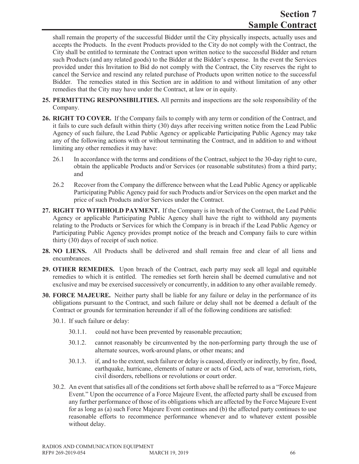shall remain the property of the successful Bidder until the City physically inspects, actually uses and accepts the Products. In the event Products provided to the City do not comply with the Contract, the City shall be entitled to terminate the Contract upon written notice to the successful Bidder and return such Products (and any related goods) to the Bidder at the Bidder's expense. In the event the Services provided under this Invitation to Bid do not comply with the Contract, the City reserves the right to cancel the Service and rescind any related purchase of Products upon written notice to the successful Bidder. The remedies stated in this Section are in addition to and without limitation of any other remedies that the City may have under the Contract, at law or in equity.

- **25. PERMITTING RESPONSIBILITIES.** All permits and inspections are the sole responsibility of the Company.
- **26. RIGHT TO COVER.** If the Company fails to comply with any term or condition of the Contract, and it fails to cure such default within thirty (30) days after receiving written notice from the Lead Public Agency of such failure, the Lead Public Agency or applicable Participating Public Agency may take any of the following actions with or without terminating the Contract, and in addition to and without limiting any other remedies it may have:
	- 26.1 In accordance with the terms and conditions of the Contract, subject to the 30-day right to cure, obtain the applicable Products and/or Services (or reasonable substitutes) from a third party; and
	- 26.2 Recover from the Company the difference between what the Lead Public Agency or applicable Participating Public Agency paid for such Products and/or Services on the open market and the price of such Products and/or Services under the Contract.
- **27. RIGHT TO WITHHOLD PAYMENT.** If the Company is in breach of the Contract, the Lead Public Agency or applicable Participating Public Agency shall have the right to withhold any payments relating to the Products or Services for which the Company is in breach if the Lead Public Agency or Participating Public Agency provides prompt notice of the breach and Company fails to cure within thirty (30) days of receipt of such notice.
- **28. NO LIENS.** All Products shall be delivered and shall remain free and clear of all liens and encumbrances.
- **29. OTHER REMEDIES.** Upon breach of the Contract, each party may seek all legal and equitable remedies to which it is entitled. The remedies set forth herein shall be deemed cumulative and not exclusive and may be exercised successively or concurrently, in addition to any other available remedy.
- **30. FORCE MAJEURE.** Neither party shall be liable for any failure or delay in the performance of its obligations pursuant to the Contract, and such failure or delay shall not be deemed a default of the Contract or grounds for termination hereunder if all of the following conditions are satisfied:
	- 30.1. If such failure or delay:
		- 30.1.1. could not have been prevented by reasonable precaution;
		- 30.1.2. cannot reasonably be circumvented by the non-performing party through the use of alternate sources, work-around plans, or other means; and
		- 30.1.3. if, and to the extent, such failure or delay is caused, directly or indirectly, by fire, flood, earthquake, hurricane, elements of nature or acts of God, acts of war, terrorism, riots, civil disorders, rebellions or revolutions or court order.
	- 30.2. An event that satisfies all of the conditions set forth above shall be referred to as a "Force Majeure Event." Upon the occurrence of a Force Majeure Event, the affected party shall be excused from any further performance of those of its obligations which are affected by the Force Majeure Event for as long as (a) such Force Majeure Event continues and (b) the affected party continues to use reasonable efforts to recommence performance whenever and to whatever extent possible without delay.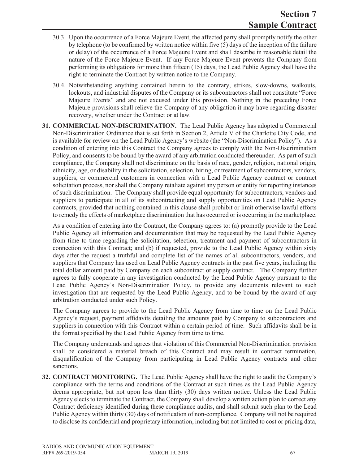- 30.3. Upon the occurrence of a Force Majeure Event, the affected party shall promptly notify the other by telephone (to be confirmed by written notice within five (5) days of the inception of the failure or delay) of the occurrence of a Force Majeure Event and shall describe in reasonable detail the nature of the Force Majeure Event. If any Force Majeure Event prevents the Company from performing its obligations for more than fifteen (15) days, the Lead Public Agency shall have the right to terminate the Contract by written notice to the Company.
- 30.4. Notwithstanding anything contained herein to the contrary, strikes, slow-downs, walkouts, lockouts, and industrial disputes of the Company or its subcontractors shall not constitute "Force Majeure Events" and are not excused under this provision. Nothing in the preceding Force Majeure provisions shall relieve the Company of any obligation it may have regarding disaster recovery, whether under the Contract or at law.
- **31. COMMERCIAL NON-DISCRIMINATION.** The Lead Public Agency has adopted a Commercial Non-Discrimination Ordinance that is set forth in Section 2, Article V of the Charlotte City Code, and is available for review on the Lead Public Agency's website (the "Non-Discrimination Policy"). As a condition of entering into this Contract the Company agrees to comply with the Non-Discrimination Policy, and consents to be bound by the award of any arbitration conducted thereunder. As part of such compliance, the Company shall not discriminate on the basis of race, gender, religion, national origin, ethnicity, age, or disability in the solicitation, selection, hiring, or treatment of subcontractors, vendors, suppliers, or commercial customers in connection with a Lead Public Agency contract or contract solicitation process, nor shall the Company retaliate against any person or entity for reporting instances of such discrimination. The Company shall provide equal opportunity for subcontractors, vendors and suppliers to participate in all of its subcontracting and supply opportunities on Lead Public Agency contracts, provided that nothing contained in this clause shall prohibit or limit otherwise lawful efforts to remedy the effects of marketplace discrimination that has occurred or is occurring in the marketplace.

As a condition of entering into the Contract, the Company agrees to: (a) promptly provide to the Lead Public Agency all information and documentation that may be requested by the Lead Public Agency from time to time regarding the solicitation, selection, treatment and payment of subcontractors in connection with this Contract; and (b) if requested, provide to the Lead Public Agency within sixty days after the request a truthful and complete list of the names of all subcontractors, vendors, and suppliers that Company has used on Lead Public Agency contracts in the past five years, including the total dollar amount paid by Company on each subcontract or supply contract. The Company further agrees to fully cooperate in any investigation conducted by the Lead Public Agency pursuant to the Lead Public Agency's Non-Discrimination Policy, to provide any documents relevant to such investigation that are requested by the Lead Public Agency, and to be bound by the award of any arbitration conducted under such Policy.

The Company agrees to provide to the Lead Public Agency from time to time on the Lead Public Agency's request, payment affidavits detailing the amounts paid by Company to subcontractors and suppliers in connection with this Contract within a certain period of time. Such affidavits shall be in the format specified by the Lead Public Agency from time to time.

The Company understands and agrees that violation of this Commercial Non-Discrimination provision shall be considered a material breach of this Contract and may result in contract termination, disqualification of the Company from participating in Lead Public Agency contracts and other sanctions.

**32. CONTRACT MONITORING.** The Lead Public Agency shall have the right to audit the Company's compliance with the terms and conditions of the Contract at such times as the Lead Public Agency deems appropriate, but not upon less than thirty (30) days written notice. Unless the Lead Public Agency elects to terminate the Contract, the Company shall develop a written action plan to correct any Contract deficiency identified during these compliance audits, and shall submit such plan to the Lead Public Agency within thirty (30) days of notification of non-compliance. Company will not be required to disclose its confidential and proprietary information, including but not limited to cost or pricing data,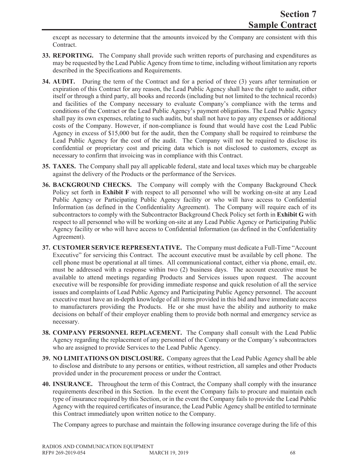except as necessary to determine that the amounts invoiced by the Company are consistent with this Contract.

- **33. REPORTING.** The Company shall provide such written reports of purchasing and expenditures as may be requested by the Lead Public Agency from time to time, including without limitation any reports described in the Specifications and Requirements.
- **34. AUDIT.** During the term of the Contract and for a period of three (3) years after termination or expiration of this Contract for any reason, the Lead Public Agency shall have the right to audit, either itself or through a third party, all books and records (including but not limited to the technical records) and facilities of the Company necessary to evaluate Company's compliance with the terms and conditions of the Contract or the Lead Public Agency's payment obligations. The Lead Public Agency shall pay its own expenses, relating to such audits, but shall not have to pay any expenses or additional costs of the Company. However, if non-compliance is found that would have cost the Lead Public Agency in excess of \$15,000 but for the audit, then the Company shall be required to reimburse the Lead Public Agency for the cost of the audit. The Company will not be required to disclose its confidential or proprietary cost and pricing data which is not disclosed to customers, except as necessary to confirm that invoicing was in compliance with this Contract.
- **35. TAXES.** The Company shall pay all applicable federal, state and local taxes which may be chargeable against the delivery of the Products or the performance of the Services.
- **36. BACKGROUND CHECKS.** The Company will comply with the Company Background Check Policy set forth in **Exhibit F** with respect to all personnel who will be working on-site at any Lead Public Agency or Participating Public Agency facility or who will have access to Confidential Information (as defined in the Confidentiality Agreement). The Company will require each of its subcontractors to comply with the Subcontractor Background Check Policy set forth in **Exhibit G** with respect to all personnel who will be working on-site at any Lead Public Agency or Participating Public Agency facility or who will have access to Confidential Information (as defined in the Confidentiality Agreement).
- **37. CUSTOMER SERVICE REPRESENTATIVE.** The Company must dedicate a Full-Time "Account Executive" for servicing this Contract. The account executive must be available by cell phone. The cell phone must be operational at all times. All communicational contact, either via phone, email, etc. must be addressed with a response within two (2) business days. The account executive must be available to attend meetings regarding Products and Services issues upon request. The account executive will be responsible for providing immediate response and quick resolution of all the service issues and complaints of Lead Public Agency and Participating Public Agency personnel. The account executive must have an in-depth knowledge of all items provided in this bid and have immediate access to manufacturers providing the Products. He or she must have the ability and authority to make decisions on behalf of their employer enabling them to provide both normal and emergency service as necessary.
- **38. COMPANY PERSONNEL REPLACEMENT.** The Company shall consult with the Lead Public Agency regarding the replacement of any personnel of the Company or the Company's subcontractors who are assigned to provide Services to the Lead Public Agency.
- **39. NO LIMITATIONS ON DISCLOSURE.** Company agrees that the Lead Public Agency shall be able to disclose and distribute to any persons or entities, without restriction, all samples and other Products provided under in the procurement process or under the Contract.
- **40. INSURANCE.** Throughout the term of this Contract, the Company shall comply with the insurance requirements described in this Section. In the event the Company fails to procure and maintain each type of insurance required by this Section, or in the event the Company fails to provide the Lead Public Agency with the required certificates of insurance, the Lead Public Agency shall be entitled to terminate this Contract immediately upon written notice to the Company.

The Company agrees to purchase and maintain the following insurance coverage during the life of this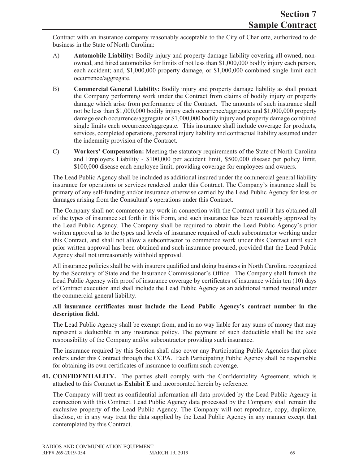Contract with an insurance company reasonably acceptable to the City of Charlotte, authorized to do business in the State of North Carolina:

- A) **Automobile Liability:** Bodily injury and property damage liability covering all owned, nonowned, and hired automobiles for limits of not less than \$1,000,000 bodily injury each person, each accident; and, \$1,000,000 property damage, or \$1,000,000 combined single limit each occurrence/aggregate.
- B) **Commercial General Liability:** Bodily injury and property damage liability as shall protect the Company performing work under the Contract from claims of bodily injury or property damage which arise from performance of the Contract. The amounts of such insurance shall not be less than \$1,000,000 bodily injury each occurrence/aggregate and \$1,000,000 property damage each occurrence/aggregate or \$1,000,000 bodily injury and property damage combined single limits each occurrence/aggregate. This insurance shall include coverage for products, services, completed operations, personal injury liability and contractual liability assumed under the indemnity provision of the Contract.
- C) **Workers' Compensation:** Meeting the statutory requirements of the State of North Carolina and Employers Liability - \$100,000 per accident limit, \$500,000 disease per policy limit, \$100,000 disease each employee limit, providing coverage for employees and owners.

The Lead Public Agency shall be included as additional insured under the commercial general liability insurance for operations or services rendered under this Contract. The Company's insurance shall be primary of any self-funding and/or insurance otherwise carried by the Lead Public Agency for loss or damages arising from the Consultant's operations under this Contract.

The Company shall not commence any work in connection with the Contract until it has obtained all of the types of insurance set forth in this Form, and such insurance has been reasonably approved by the Lead Public Agency. The Company shall be required to obtain the Lead Public Agency's prior written approval as to the types and levels of insurance required of each subcontractor working under this Contract, and shall not allow a subcontractor to commence work under this Contract until such prior written approval has been obtained and such insurance procured, provided that the Lead Public Agency shall not unreasonably withhold approval.

All insurance policies shall be with insurers qualified and doing business in North Carolina recognized by the Secretary of State and the Insurance Commissioner's Office. The Company shall furnish the Lead Public Agency with proof of insurance coverage by certificates of insurance within ten (10) days of Contract execution and shall include the Lead Public Agency as an additional named insured under the commercial general liability.

### **All insurance certificates must include the Lead Public Agency's contract number in the description field.**

The Lead Public Agency shall be exempt from, and in no way liable for any sums of money that may represent a deductible in any insurance policy. The payment of such deductible shall be the sole responsibility of the Company and/or subcontractor providing such insurance.

The insurance required by this Section shall also cover any Participating Public Agencies that place orders under this Contract through the CCPA. Each Participating Public Agency shall be responsible for obtaining its own certificates of insurance to confirm such coverage.

**41. CONFIDENTIALITY.** The parties shall comply with the Confidentiality Agreement, which is attached to this Contract as **Exhibit E** and incorporated herein by reference.

The Company will treat as confidential information all data provided by the Lead Public Agency in connection with this Contract. Lead Public Agency data processed by the Company shall remain the exclusive property of the Lead Public Agency. The Company will not reproduce, copy, duplicate, disclose, or in any way treat the data supplied by the Lead Public Agency in any manner except that contemplated by this Contract.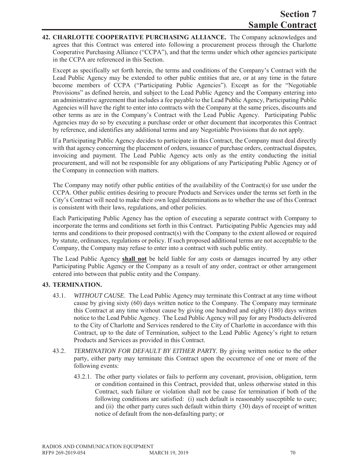**42. CHARLOTTE COOPERATIVE PURCHASING ALLIANCE.** The Company acknowledges and agrees that this Contract was entered into following a procurement process through the Charlotte Cooperative Purchasing Alliance ("CCPA"), and that the terms under which other agencies participate in the CCPA are referenced in this Section.

Except as specifically set forth herein, the terms and conditions of the Company's Contract with the Lead Public Agency may be extended to other public entities that are, or at any time in the future become members of CCPA ("Participating Public Agencies"). Except as for the "Negotiable Provisions" as defined herein, and subject to the Lead Public Agency and the Company entering into an administrative agreement that includes a fee payable to the Lead Public Agency, Participating Public Agencies will have the right to enter into contracts with the Company at the same prices, discounts and other terms as are in the Company's Contract with the Lead Public Agency. Participating Public Agencies may do so by executing a purchase order or other document that incorporates this Contract by reference, and identifies any additional terms and any Negotiable Provisions that do not apply.

If a Participating Public Agency decides to participate in this Contract, the Company must deal directly with that agency concerning the placement of orders, issuance of purchase orders, contractual disputes, invoicing and payment. The Lead Public Agency acts only as the entity conducting the initial procurement, and will not be responsible for any obligations of any Participating Public Agency or of the Company in connection with matters.

The Company may notify other public entities of the availability of the Contract(s) for use under the CCPA. Other public entities desiring to procure Products and Services under the terms set forth in the City's Contract will need to make their own legal determinations as to whether the use of this Contract is consistent with their laws, regulations, and other policies.

Each Participating Public Agency has the option of executing a separate contract with Company to incorporate the terms and conditions set forth in this Contract. Participating Public Agencies may add terms and conditions to their proposed contract(s) with the Company to the extent allowed or required by statute, ordinances, regulations or policy. If such proposed additional terms are not acceptable to the Company, the Company may refuse to enter into a contract with such public entity.

The Lead Public Agency **shall not** be held liable for any costs or damages incurred by any other Participating Public Agency or the Company as a result of any order, contract or other arrangement entered into between that public entity and the Company.

### **43. TERMINATION.**

- 43.1. *WITHOUT CAUSE*. The Lead Public Agency may terminate this Contract at any time without cause by giving sixty (60) days written notice to the Company. The Company may terminate this Contract at any time without cause by giving one hundred and eighty (180) days written notice to the Lead Public Agency. The Lead Public Agency will pay for any Products delivered to the City of Charlotte and Services rendered to the City of Charlotte in accordance with this Contract, up to the date of Termination, subject to the Lead Public Agency's right to return Products and Services as provided in this Contract.
- 43.2. *TERMINATION FOR DEFAULT BY EITHER PARTY.* By giving written notice to the other party, either party may terminate this Contract upon the occurrence of one or more of the following events:
	- 43.2.1. The other party violates or fails to perform any covenant, provision, obligation, term or condition contained in this Contract, provided that, unless otherwise stated in this Contract, such failure or violation shall not be cause for termination if both of the following conditions are satisfied: (i) such default is reasonably susceptible to cure; and (ii) the other party cures such default within thirty (30) days of receipt of written notice of default from the non-defaulting party; or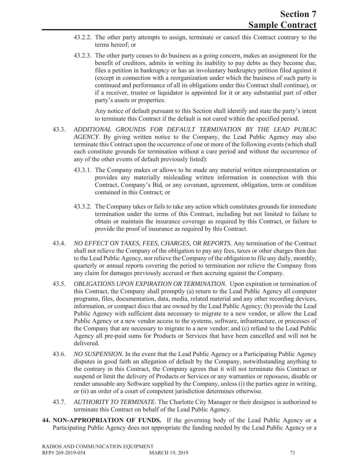- 43.2.2. The other party attempts to assign, terminate or cancel this Contract contrary to the terms hereof; or
- 43.2.3. The other party ceases to do business as a going concern, makes an assignment for the benefit of creditors, admits in writing its inability to pay debts as they become due, files a petition in bankruptcy or has an involuntary bankruptcy petition filed against it (except in connection with a reorganization under which the business of such party is continued and performance of all its obligations under this Contract shall continue), or if a receiver, trustee or liquidator is appointed for it or any substantial part of other party's assets or properties.

Any notice of default pursuant to this Section shall identify and state the party's intent to terminate this Contract if the default is not cured within the specified period.

- 43.3. *ADDITIONAL GROUNDS FOR DEFAULT TERMINATION BY THE LEAD PUBLIC AGENCY*. By giving written notice to the Company, the Lead Public Agency may also terminate this Contract upon the occurrence of one or more of the following events (which shall each constitute grounds for termination without a cure period and without the occurrence of any of the other events of default previously listed):
	- 43.3.1. The Company makes or allows to be made any material written misrepresentation or provides any materially misleading written information in connection with this Contract, Company's Bid, or any covenant, agreement, obligation, term or condition contained in this Contract; or
	- 43.3.2. The Company takes or fails to take any action which constitutes grounds for immediate termination under the terms of this Contract, including but not limited to failure to obtain or maintain the insurance coverage as required by this Contract, or failure to provide the proof of insurance as required by this Contract.
- 43.4. *NO EFFECT ON TAXES, FEES, CHARGES, OR REPORTS*. Any termination of the Contract shall not relieve the Company of the obligation to pay any fees, taxes or other charges then due to the Lead Public Agency, nor relieve the Company of the obligation to file any daily, monthly, quarterly or annual reports covering the period to termination nor relieve the Company from any claim for damages previously accrued or then accruing against the Company.
- 43.5. *OBLIGATIONS UPON EXPIRATION OR TERMINATION*. Upon expiration or termination of this Contract, the Company shall promptly (a) return to the Lead Public Agency all computer programs, files, documentation, data, media, related material and any other recording devices, information, or compact discs that are owned by the Lead Public Agency; (b) provide the Lead Public Agency with sufficient data necessary to migrate to a new vendor, or allow the Lead Public Agency or a new vendor access to the systems, software, infrastructure, or processes of the Company that are necessary to migrate to a new vendor; and (c) refund to the Lead Public Agency all pre-paid sums for Products or Services that have been cancelled and will not be delivered.
- 43.6. *NO SUSPENSION.* In the event that the Lead Public Agency or a Participating Public Agency disputes in good faith an allegation of default by the Company, notwithstanding anything to the contrary in this Contract, the Company agrees that it will not terminate this Contract or suspend or limit the delivery of Products or Services or any warranties or repossess, disable or render unusable any Software supplied by the Company, unless (i) the parties agree in writing, or (ii) an order of a court of competent jurisdiction determines otherwise.
- 43.7. *AUTHORITY TO TERMINATE*. The Charlotte City Manager or their designee is authorized to terminate this Contract on behalf of the Lead Public Agency.
- **44. NON-APPROPRIATION OF FUNDS.** If the governing body of the Lead Public Agency or a Participating Public Agency does not appropriate the funding needed by the Lead Public Agency or a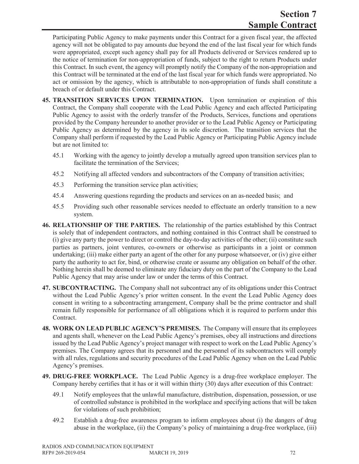Participating Public Agency to make payments under this Contract for a given fiscal year, the affected agency will not be obligated to pay amounts due beyond the end of the last fiscal year for which funds were appropriated, except such agency shall pay for all Products delivered or Services rendered up to the notice of termination for non-appropriation of funds, subject to the right to return Products under this Contract. In such event, the agency will promptly notify the Company of the non-appropriation and this Contract will be terminated at the end of the last fiscal year for which funds were appropriated. No act or omission by the agency, which is attributable to non-appropriation of funds shall constitute a breach of or default under this Contract.

- **45. TRANSITION SERVICES UPON TERMINATION.** Upon termination or expiration of this Contract, the Company shall cooperate with the Lead Public Agency and each affected Participating Public Agency to assist with the orderly transfer of the Products, Services, functions and operations provided by the Company hereunder to another provider or to the Lead Public Agency or Participating Public Agency as determined by the agency in its sole discretion. The transition services that the Company shall perform if requested by the Lead Public Agency or Participating Public Agency include but are not limited to:
	- 45.1 Working with the agency to jointly develop a mutually agreed upon transition services plan to facilitate the termination of the Services;
	- 45.2 Notifying all affected vendors and subcontractors of the Company of transition activities;
	- 45.3 Performing the transition service plan activities;
	- 45.4 Answering questions regarding the products and services on an as-needed basis; and
	- 45.5 Providing such other reasonable services needed to effectuate an orderly transition to a new system.
- **46. RELATIONSHIP OF THE PARTIES.** The relationship of the parties established by this Contract is solely that of independent contractors, and nothing contained in this Contract shall be construed to (i) give any party the power to direct or control the day-to-day activities of the other; (ii) constitute such parties as partners, joint ventures, co-owners or otherwise as participants in a joint or common undertaking; (iii) make either party an agent of the other for any purpose whatsoever, or (iv) give either party the authority to act for, bind, or otherwise create or assume any obligation on behalf of the other. Nothing herein shall be deemed to eliminate any fiduciary duty on the part of the Company to the Lead Public Agency that may arise under law or under the terms of this Contract.
- **47. SUBCONTRACTING.** The Company shall not subcontract any of its obligations under this Contract without the Lead Public Agency's prior written consent. In the event the Lead Public Agency does consent in writing to a subcontracting arrangement, Company shall be the prime contractor and shall remain fully responsible for performance of all obligations which it is required to perform under this Contract.
- **48. WORK ON LEAD PUBLIC AGENCY'S PREMISES.** The Company will ensure that its employees and agents shall, whenever on the Lead Public Agency's premises, obey all instructions and directions issued by the Lead Public Agency's project manager with respect to work on the Lead Public Agency's premises. The Company agrees that its personnel and the personnel of its subcontractors will comply with all rules, regulations and security procedures of the Lead Public Agency when on the Lead Public Agency's premises.
- **49. DRUG-FREE WORKPLACE.** The Lead Public Agency is a drug-free workplace employer. The Company hereby certifies that it has or it will within thirty (30) days after execution of this Contract:
	- 49.1 Notify employees that the unlawful manufacture, distribution, dispensation, possession, or use of controlled substance is prohibited in the workplace and specifying actions that will be taken for violations of such prohibition;
	- 49.2 Establish a drug-free awareness program to inform employees about (i) the dangers of drug abuse in the workplace, (ii) the Company's policy of maintaining a drug-free workplace, (iii)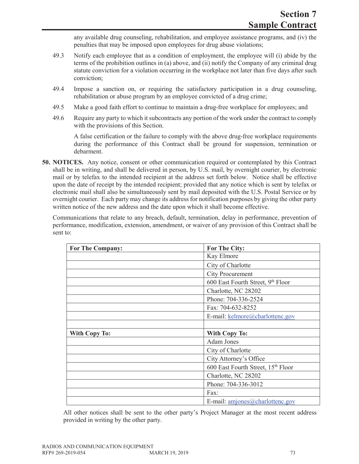any available drug counseling, rehabilitation, and employee assistance programs, and (iv) the penalties that may be imposed upon employees for drug abuse violations;

- 49.3 Notify each employee that as a condition of employment, the employee will (i) abide by the terms of the prohibition outlines in (a) above, and (ii) notify the Company of any criminal drug statute conviction for a violation occurring in the workplace not later than five days after such conviction;
- 49.4 Impose a sanction on, or requiring the satisfactory participation in a drug counseling, rehabilitation or abuse program by an employee convicted of a drug crime;
- 49.5 Make a good faith effort to continue to maintain a drug-free workplace for employees; and
- 49.6 Require any party to which it subcontracts any portion of the work under the contract to comply with the provisions of this Section.

A false certification or the failure to comply with the above drug-free workplace requirements during the performance of this Contract shall be ground for suspension, termination or debarment.

**50. NOTICES.** Any notice, consent or other communication required or contemplated by this Contract shall be in writing, and shall be delivered in person, by U.S. mail, by overnight courier, by electronic mail or by telefax to the intended recipient at the address set forth below. Notice shall be effective upon the date of receipt by the intended recipient; provided that any notice which is sent by telefax or electronic mail shall also be simultaneously sent by mail deposited with the U.S. Postal Service or by overnight courier. Each party may change its address for notification purposes by giving the other party written notice of the new address and the date upon which it shall become effective.

Communications that relate to any breach, default, termination, delay in performance, prevention of performance, modification, extension, amendment, or waiver of any provision of this Contract shall be sent to:

| <b>For The Company:</b> | For The City:                      |  |  |  |  |  |
|-------------------------|------------------------------------|--|--|--|--|--|
|                         | Kay Elmore                         |  |  |  |  |  |
|                         | City of Charlotte                  |  |  |  |  |  |
|                         | <b>City Procurement</b>            |  |  |  |  |  |
|                         | 600 East Fourth Street, 9th Floor  |  |  |  |  |  |
|                         | Charlotte, NC 28202                |  |  |  |  |  |
|                         | Phone: 704-336-2524                |  |  |  |  |  |
|                         | Fax: 704-632-8252                  |  |  |  |  |  |
|                         | E-mail: kelmore@charlottenc.gov    |  |  |  |  |  |
|                         |                                    |  |  |  |  |  |
| <b>With Copy To:</b>    | <b>With Copy To:</b>               |  |  |  |  |  |
|                         | <b>Adam Jones</b>                  |  |  |  |  |  |
|                         | City of Charlotte                  |  |  |  |  |  |
|                         | City Attorney's Office             |  |  |  |  |  |
|                         | 600 East Fourth Street, 15th Floor |  |  |  |  |  |
|                         | Charlotte, NC 28202                |  |  |  |  |  |
|                         | Phone: 704-336-3012                |  |  |  |  |  |
|                         | Fax:                               |  |  |  |  |  |
|                         | E-mail: $amjones@charlottenc.gov$  |  |  |  |  |  |

All other notices shall be sent to the other party's Project Manager at the most recent address provided in writing by the other party.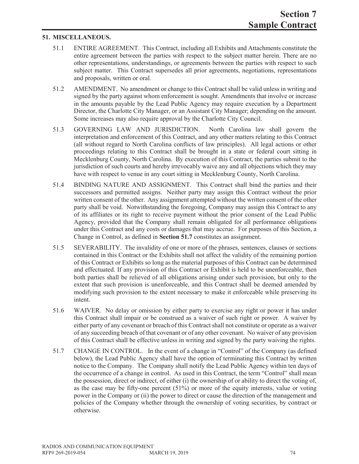### **51. MISCELLANEOUS.**

- 51.1 ENTIRE AGREEMENT. This Contract, including all Exhibits and Attachments constitute the entire agreement between the parties with respect to the subject matter herein. There are no other representations, understandings, or agreements between the parties with respect to such subject matter. This Contract supersedes all prior agreements, negotiations, representations and proposals, written or oral.
- 51.2 AMENDMENT. No amendment or change to this Contract shall be valid unless in writing and signed by the party against whom enforcement is sought. Amendments that involve or increase in the amounts payable by the Lead Public Agency may require execution by a Department Director, the Charlotte City Manager, or an Assistant City Manager; depending on the amount. Some increases may also require approval by the Charlotte City Council.
- 51.3 GOVERNING LAW AND JURISDICTION. North Carolina law shall govern the interpretation and enforcement of this Contract, and any other matters relating to this Contract (all without regard to North Carolina conflicts of law principles). All legal actions or other proceedings relating to this Contract shall be brought in a state or federal court sitting in Mecklenburg County, North Carolina. By execution of this Contract, the parties submit to the jurisdiction of such courts and hereby irrevocably waive any and all objections which they may have with respect to venue in any court sitting in Mecklenburg County, North Carolina.
- 51.4 BINDING NATURE AND ASSIGNMENT. This Contract shall bind the parties and their successors and permitted assigns. Neither party may assign this Contract without the prior written consent of the other. Any assignment attempted without the written consent of the other party shall be void. Notwithstanding the foregoing, Company may assign this Contract to any of its affiliates or its right to receive payment without the prior consent of the Lead Public Agency, provided that the Company shall remain obligated for all performance obligations under this Contract and any costs or damages that may accrue. For purposes of this Section, a Change in Control, as defined in **Section 51.7** constitutes an assignment.
- 51.5 SEVERABILITY. The invalidity of one or more of the phrases, sentences, clauses or sections contained in this Contract or the Exhibits shall not affect the validity of the remaining portion of this Contract or Exhibits so long as the material purposes of this Contract can be determined and effectuated. If any provision of this Contract or Exhibit is held to be unenforceable, then both parties shall be relieved of all obligations arising under such provision, but only to the extent that such provision is unenforceable, and this Contract shall be deemed amended by modifying such provision to the extent necessary to make it enforceable while preserving its intent.
- 51.6 WAIVER. No delay or omission by either party to exercise any right or power it has under this Contract shall impair or be construed as a waiver of such right or power. A waiver by either party of any covenant or breach of this Contract shall not constitute or operate as a waiver of any succeeding breach of that covenant or of any other covenant. No waiver of any provision of this Contract shall be effective unless in writing and signed by the party waiving the rights.
- 51.7 CHANGE IN CONTROL. In the event of a change in "Control" of the Company (as defined below), the Lead Public Agency shall have the option of terminating this Contract by written notice to the Company. The Company shall notify the Lead Public Agency within ten days of the occurrence of a change in control. As used in this Contract, the term "Control" shall mean the possession, direct or indirect, of either (i) the ownership of or ability to direct the voting of, as the case may be fifty-one percent (51%) or more of the equity interests, value or voting power in the Company or (ii) the power to direct or cause the direction of the management and policies of the Company whether through the ownership of voting securities, by contract or otherwise.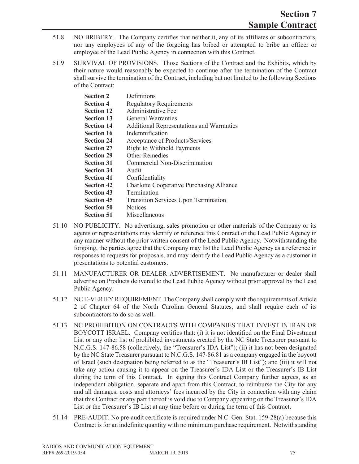- 51.8 NO BRIBERY. The Company certifies that neither it, any of its affiliates or subcontractors, nor any employees of any of the forgoing has bribed or attempted to bribe an officer or employee of the Lead Public Agency in connection with this Contract.
- 51.9 SURVIVAL OF PROVISIONS. Those Sections of the Contract and the Exhibits, which by their nature would reasonably be expected to continue after the termination of the Contract shall survive the termination of the Contract, including but not limited to the following Sections of the Contract:

| <b>Section 2</b>  | Definitions                                      |
|-------------------|--------------------------------------------------|
| <b>Section 4</b>  | <b>Regulatory Requirements</b>                   |
| <b>Section 12</b> | Administrative Fee                               |
| <b>Section 13</b> | General Warranties                               |
| <b>Section 14</b> | <b>Additional Representations and Warranties</b> |
| <b>Section 16</b> | Indemnification                                  |
| <b>Section 24</b> | Acceptance of Products/Services                  |
| <b>Section 27</b> | <b>Right to Withhold Payments</b>                |
| <b>Section 29</b> | <b>Other Remedies</b>                            |
| <b>Section 31</b> | Commercial Non-Discrimination                    |
| <b>Section 34</b> | Audit                                            |
| <b>Section 41</b> | Confidentiality                                  |
| <b>Section 42</b> | <b>Charlotte Cooperative Purchasing Alliance</b> |
| <b>Section 43</b> | Termination                                      |
| <b>Section 45</b> | <b>Transition Services Upon Termination</b>      |
| <b>Section 50</b> | <b>Notices</b>                                   |
| <b>Section 51</b> | Miscellaneous                                    |
|                   |                                                  |

- 51.10 NO PUBLICITY. No advertising, sales promotion or other materials of the Company or its agents or representations may identify or reference this Contract or the Lead Public Agency in any manner without the prior written consent of the Lead Public Agency. Notwithstanding the forgoing, the parties agree that the Company may list the Lead Public Agency as a reference in responses to requests for proposals, and may identify the Lead Public Agency as a customer in presentations to potential customers.
- 51.11 MANUFACTURER OR DEALER ADVERTISEMENT. No manufacturer or dealer shall advertise on Products delivered to the Lead Public Agency without prior approval by the Lead Public Agency.
- 51.12 NC E-VERIFY REQUIREMENT. The Company shall comply with the requirements of Article 2 of Chapter 64 of the North Carolina General Statutes, and shall require each of its subcontractors to do so as well.
- 51.13 NC PROHIBITION ON CONTRACTS WITH COMPANIES THAT INVEST IN IRAN OR BOYCOTT ISRAEL. Company certifies that: (i) it is not identified on the Final Divestment List or any other list of prohibited investments created by the NC State Treasurer pursuant to N.C.G.S. 147-86.58 (collectively, the "Treasurer's IDA List"); (ii) it has not been designated by the NC State Treasurer pursuant to N.C.G.S. 147-86.81 as a company engaged in the boycott of Israel (such designation being referred to as the "Treasurer's IB List"); and (iii) it will not take any action causing it to appear on the Treasurer's IDA List or the Treasurer's IB List during the term of this Contract. In signing this Contract Company further agrees, as an independent obligation, separate and apart from this Contract, to reimburse the City for any and all damages, costs and attorneys' fees incurred by the City in connection with any claim that this Contract or any part thereof is void due to Company appearing on the Treasurer's IDA List or the Treasurer's IB List at any time before or during the term of this Contract.
- 51.14 PRE-AUDIT. No pre-audit certificate is required under N.C. Gen. Stat. 159-28(a) because this Contract is for an indefinite quantity with no minimum purchase requirement. Notwithstanding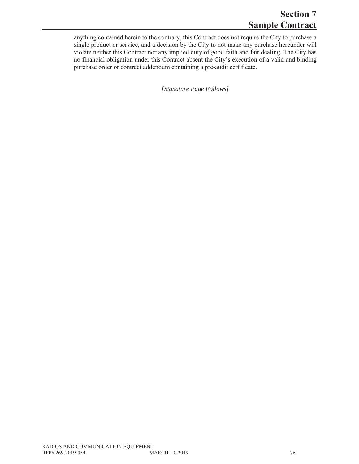# **Section 7 Sample Contract**

anything contained herein to the contrary, this Contract does not require the City to purchase a single product or service, and a decision by the City to not make any purchase hereunder will violate neither this Contract nor any implied duty of good faith and fair dealing. The City has no financial obligation under this Contract absent the City's execution of a valid and binding purchase order or contract addendum containing a pre-audit certificate.

*[Signature Page Follows]*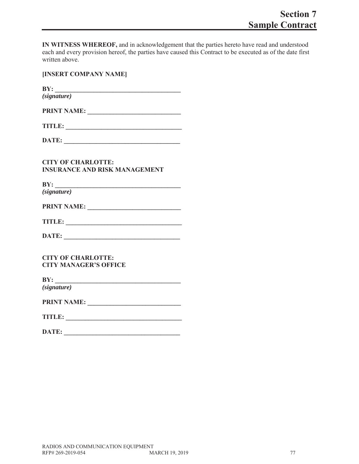**IN WITNESS WHEREOF,** and in acknowledgement that the parties hereto have read and understood each and every provision hereof, the parties have caused this Contract to be executed as of the date first written above.

|  | [INSERT COMPANY NAME] |  |
|--|-----------------------|--|
|--|-----------------------|--|

**BY: \_\_\_\_\_\_\_\_\_\_\_\_\_\_\_\_\_\_\_\_\_\_\_\_\_\_\_\_\_\_\_\_\_\_\_\_\_\_\_** *(signature)*

| <b>PRINT NAME:</b> |  |  |
|--------------------|--|--|
|                    |  |  |

| DATE: |  |  |  |  |  |  |  |  |  |  |  |  |  |
|-------|--|--|--|--|--|--|--|--|--|--|--|--|--|
|       |  |  |  |  |  |  |  |  |  |  |  |  |  |

### **CITY OF CHARLOTTE: INSURANCE AND RISK MANAGEMENT**

**BY:** *(signature)*

**PRINT NAME: \_\_\_\_\_\_\_\_\_\_\_\_\_\_\_\_\_\_\_\_\_\_\_\_\_\_\_\_\_**

| TITLE: |
|--------|
|--------|

**CITY OF CHARLOTTE: CITY MANAGER'S OFFICE**

**BY: \_\_\_\_\_\_\_\_\_\_\_\_\_\_\_\_\_\_\_\_\_\_\_\_\_\_\_\_\_\_\_\_\_\_\_\_\_\_\_** *(signature)*

| <b>PRINT NAME:</b> |  |  |
|--------------------|--|--|
|                    |  |  |

| <b>TITLE:</b> |  |  |
|---------------|--|--|
|               |  |  |

| DATE: |  |
|-------|--|
|       |  |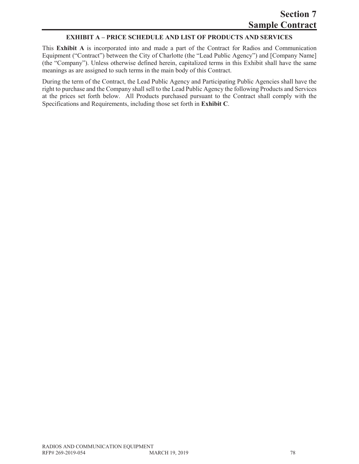### **EXHIBIT A – PRICE SCHEDULE AND LIST OF PRODUCTS AND SERVICES**

This **Exhibit A** is incorporated into and made a part of the Contract for Radios and Communication Equipment ("Contract") between the City of Charlotte (the "Lead Public Agency") and [Company Name] (the "Company"). Unless otherwise defined herein, capitalized terms in this Exhibit shall have the same meanings as are assigned to such terms in the main body of this Contract.

During the term of the Contract, the Lead Public Agency and Participating Public Agencies shall have the right to purchase and the Company shall sell to the Lead Public Agency the following Products and Services at the prices set forth below. All Products purchased pursuant to the Contract shall comply with the Specifications and Requirements, including those set forth in **Exhibit C**.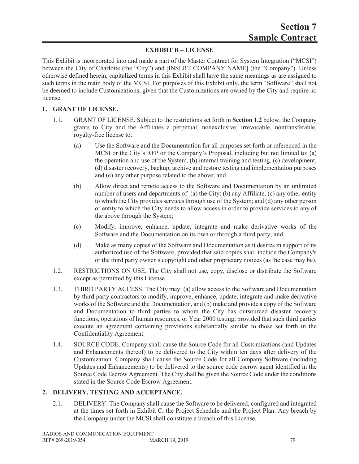# **EXHIBIT B – LICENSE**

This Exhibit is incorporated into and made a part of the Master Contract for System Integration ("MCSI") between the City of Charlotte (the "City") and [INSERT COMPANY NAME] (the "Company"). Unless otherwise defined herein, capitalized terms in this Exhibit shall have the same meanings as are assigned to such terms in the main body of the MCSI. For purposes of this Exhibit only, the term "Software" shall not be deemed to include Customizations, given that the Customizations are owned by the City and require no license.

### **1. GRANT OF LICENSE.**

- 1.1. GRANT OF LICENSE. Subject to the restrictions set forth in **Section 1.2** below, the Company grants to City and the Affiliates a perpetual, nonexclusive, irrevocable, nontransferable, royalty-free license to:
	- (a) Use the Software and the Documentation for all purposes set forth or referenced in the MCSI or the City's RFP or the Company's Proposal, including but not limited to: (a) the operation and use of the System, (b) internal training and testing, (c) development, (d) disaster recovery, backup, archive and restore testing and implementation purposes and (e) any other purpose related to the above; and
	- (b) Allow direct and remote access to the Software and Documentation by an unlimited number of users and departments of: (a) the City; (b) any Affiliate, (c) any other entity to which the City provides services through use of the System; and (d) any other person or entity to which the City needs to allow access in order to provide services to any of the above through the System;
	- (c) Modify, improve, enhance, update, integrate and make derivative works of the Software and the Documentation on its own or through a third party; and
	- (d) Make as many copies of the Software and Documentation as it desires in support of its authorized use of the Software, provided that said copies shall include the Company's or the third party owner's copyright and other proprietary notices (as the case may be).
- 1.2. RESTRICTIONS ON USE. The City shall not use, copy, disclose or distribute the Software except as permitted by this License.
- 1.3. THIRD PARTY ACCESS. The City may: (a) allow access to the Software and Documentation by third party contractors to modify, improve, enhance, update, integrate and make derivative works of the Software and the Documentation, and (b) make and provide a copy of the Software and Documentation to third parties to whom the City has outsourced disaster recovery functions, operations of human resources, or Year 2000 testing; provided that such third parties execute an agreement containing provisions substantially similar to those set forth in the Confidentiality Agreement.
- 1.4. SOURCE CODE. Company shall cause the Source Code for all Customizations (and Updates and Enhancements thereof) to be delivered to the City within ten days after delivery of the Customization. Company shall cause the Source Code for all Company Software (including Updates and Enhancements) to be delivered to the source code escrow agent identified in the Source Code Escrow Agreement. The City shall be given the Source Code under the conditions stated in the Source Code Escrow Agreement.

### **2. DELIVERY, TESTING AND ACCEPTANCE.**

2.1. DELIVERY. The Company shall cause the Software to be delivered, configured and integrated at the times set forth in Exhibit C, the Project Schedule and the Project Plan. Any breach by the Company under the MCSI shall constitute a breach of this License.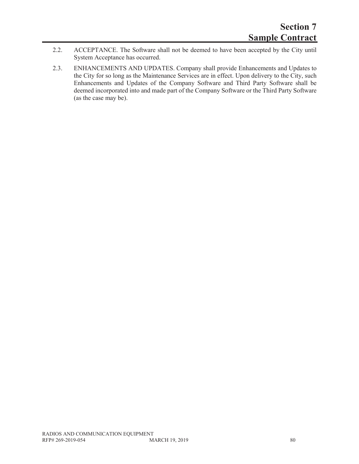- 2.2. ACCEPTANCE. The Software shall not be deemed to have been accepted by the City until System Acceptance has occurred.
- 2.3. ENHANCEMENTS AND UPDATES. Company shall provide Enhancements and Updates to the City for so long as the Maintenance Services are in effect. Upon delivery to the City, such Enhancements and Updates of the Company Software and Third Party Software shall be deemed incorporated into and made part of the Company Software or the Third Party Software (as the case may be).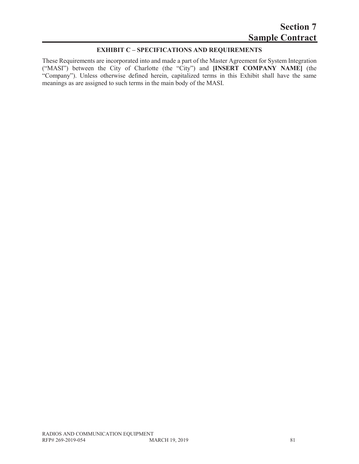# **EXHIBIT C – SPECIFICATIONS AND REQUIREMENTS**

These Requirements are incorporated into and made a part of the Master Agreement for System Integration ("MASI") between the City of Charlotte (the "City") and **[INSERT COMPANY NAME]** (the "Company"). Unless otherwise defined herein, capitalized terms in this Exhibit shall have the same meanings as are assigned to such terms in the main body of the MASI.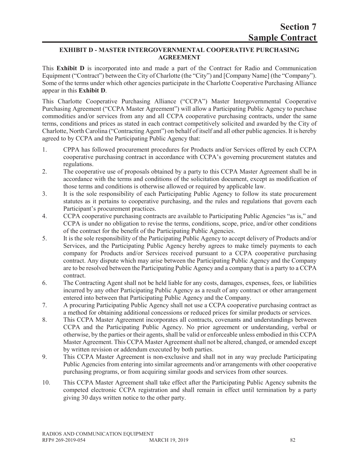### **EXHIBIT D - MASTER INTERGOVERNMENTAL COOPERATIVE PURCHASING AGREEMENT**

This **Exhibit D** is incorporated into and made a part of the Contract for Radio and Communication Equipment ("Contract") between the City of Charlotte (the "City") and [Company Name] (the "Company"). Some of the terms under which other agencies participate in the Charlotte Cooperative Purchasing Alliance appear in this **Exhibit D**.

This Charlotte Cooperative Purchasing Alliance ("CCPA") Master Intergovernmental Cooperative Purchasing Agreement ("CCPA Master Agreement") will allow a Participating Public Agency to purchase commodities and/or services from any and all CCPA cooperative purchasing contracts, under the same terms, conditions and prices as stated in each contract competitively solicited and awarded by the City of Charlotte, North Carolina ("Contracting Agent") on behalf of itself and all other public agencies. It is hereby agreed to by CCPA and the Participating Public Agency that:

- 1. CPPA has followed procurement procedures for Products and/or Services offered by each CCPA cooperative purchasing contract in accordance with CCPA's governing procurement statutes and regulations.
- 2. The cooperative use of proposals obtained by a party to this CCPA Master Agreement shall be in accordance with the terms and conditions of the solicitation document, except as modification of those terms and conditions is otherwise allowed or required by applicable law.
- 3. It is the sole responsibility of each Participating Public Agency to follow its state procurement statutes as it pertains to cooperative purchasing, and the rules and regulations that govern each Participant's procurement practices.
- 4. CCPA cooperative purchasing contracts are available to Participating Public Agencies "as is," and CCPA is under no obligation to revise the terms, conditions, scope, price, and/or other conditions of the contract for the benefit of the Participating Public Agencies.
- 5. It is the sole responsibility of the Participating Public Agency to accept delivery of Products and/or Services, and the Participating Public Agency hereby agrees to make timely payments to each company for Products and/or Services received pursuant to a CCPA cooperative purchasing contract. Any dispute which may arise between the Participating Public Agency and the Company are to be resolved between the Participating Public Agency and a company that is a party to a CCPA contract.
- 6. The Contracting Agent shall not be held liable for any costs, damages, expenses, fees, or liabilities incurred by any other Participating Public Agency as a result of any contract or other arrangement entered into between that Participating Public Agency and the Company.
- 7. A procuring Participating Public Agency shall not use a CCPA cooperative purchasing contract as a method for obtaining additional concessions or reduced prices for similar products or services.
- 8. This CCPA Master Agreement incorporates all contracts, covenants and understandings between CCPA and the Participating Public Agency. No prior agreement or understanding, verbal or otherwise, by the parties or their agents, shall be valid or enforceable unless embodied in this CCPA Master Agreement. This CCPA Master Agreement shall not be altered, changed, or amended except by written revision or addendum executed by both parties.
- 9. This CCPA Master Agreement is non-exclusive and shall not in any way preclude Participating Public Agencies from entering into similar agreements and/or arrangements with other cooperative purchasing programs, or from acquiring similar goods and services from other sources.
- 10. This CCPA Master Agreement shall take effect after the Participating Public Agency submits the competed electronic CCPA registration and shall remain in effect until termination by a party giving 30 days written notice to the other party.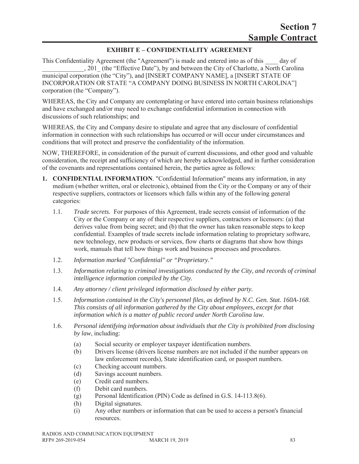# **EXHIBIT E – CONFIDENTIALITY AGREEMENT**

This Confidentiality Agreement (the "Agreement") is made and entered into as of this \_\_\_\_ day of , 201 (the "Effective Date"), by and between the City of Charlotte, a North Carolina municipal corporation (the "City"), and [INSERT COMPANY NAME], a [INSERT STATE OF INCORPORATION OR STATE "A COMPANY DOING BUSINESS IN NORTH CAROLINA"] corporation (the "Company").

WHEREAS, the City and Company are contemplating or have entered into certain business relationships and have exchanged and/or may need to exchange confidential information in connection with discussions of such relationships; and

WHEREAS, the City and Company desire to stipulate and agree that any disclosure of confidential information in connection with such relationships has occurred or will occur under circumstances and conditions that will protect and preserve the confidentiality of the information.

NOW, THEREFORE, in consideration of the pursuit of current discussions, and other good and valuable consideration, the receipt and sufficiency of which are hereby acknowledged, and in further consideration of the covenants and representations contained herein, the parties agree as follows:

- **1. CONFIDENTIAL INFORMATION***.* "Confidential Information" means any information, in any medium (whether written, oral or electronic), obtained from the City or the Company or any of their respective suppliers, contractors or licensors which falls within any of the following general categories:
	- 1.1. *Trade secrets.* For purposes of this Agreement, trade secrets consist of information of the City or the Company or any of their respective suppliers, contractors or licensors: (a) that derives value from being secret; and (b) that the owner has taken reasonable steps to keep confidential. Examples of trade secrets include information relating to proprietary software, new technology, new products or services, flow charts or diagrams that show how things work, manuals that tell how things work and business processes and procedures.
	- 1.2. *Information marked "Confidential" or "Proprietary."*
	- 1.3. *Information relating to criminal investigations conducted by the City, and records of criminal intelligence information compiled by the City.*
	- 1.4. *Any attorney / client privileged information disclosed by either party.*
	- 1.5. *Information contained in the City's personnel files, as defined by N.C. Gen. Stat. 160A-168. This consists of all information gathered by the City about employees, except for that information which is a matter of public record under North Carolina law.*
	- 1.6. *Personal identifying information about individuals that the City is prohibited from disclosing by law*, including:
		- (a) Social security or employer taxpayer identification numbers.
		- (b) Drivers license (drivers license numbers are not included if the number appears on law enforcement records), State identification card, or passport numbers.
		- (c) Checking account numbers.
		- (d) Savings account numbers.
		- (e) Credit card numbers.
		- (f) Debit card numbers.
		- (g) Personal Identification (PIN) Code as defined in G.S. 14-113.8(6).
		- (h) Digital signatures.
		- (i) Any other numbers or information that can be used to access a person's financial resources.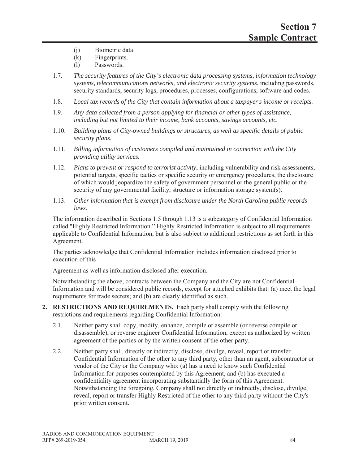- (j) Biometric data.
- (k) Fingerprints.
- (l) Passwords.
- 1.7. *The security features of the City's electronic data processing systems*, *information technology systems, telecommunications networks, and electronic security systems*, including passwords, security standards, security logs, procedures, processes, configurations, software and codes.
- 1.8. *Local tax records of the City that contain information about a taxpayer's income or receipts.*
- 1.9. *Any data collected from a person applying for financial or other types of assistance, including but not limited to their income, bank accounts, savings accounts, etc.*
- 1.10. *Building plans of City-owned buildings or structures, as well as specific details of public security plans.*
- 1.11. *Billing information of customers compiled and maintained in connection with the City providing utility services.*
- 1.12. *Plans to prevent or respond to terrorist activity*, including vulnerability and risk assessments, potential targets, specific tactics or specific security or emergency procedures, the disclosure of which would jeopardize the safety of government personnel or the general public or the security of any governmental facility, structure or information storage system(s).
- 1.13. *Other information that is exempt from disclosure under the North Carolina public records laws.*

The information described in Sections 1.5 through 1.13 is a subcategory of Confidential Information called "Highly Restricted Information." Highly Restricted Information is subject to all requirements applicable to Confidential Information, but is also subject to additional restrictions as set forth in this Agreement.

The parties acknowledge that Confidential Information includes information disclosed prior to execution of this

Agreement as well as information disclosed after execution.

Notwithstanding the above, contracts between the Company and the City are not Confidential Information and will be considered public records, except for attached exhibits that: (a) meet the legal requirements for trade secrets; and (b) are clearly identified as such.

- **2. RESTRICTIONS AND REQUIREMENTS.** Each party shall comply with the following restrictions and requirements regarding Confidential Information:
	- 2.1. Neither party shall copy, modify, enhance, compile or assemble (or reverse compile or disassemble), or reverse engineer Confidential Information, except as authorized by written agreement of the parties or by the written consent of the other party.
	- 2.2. Neither party shall, directly or indirectly, disclose, divulge, reveal, report or transfer Confidential Information of the other to any third party, other than an agent, subcontractor or vendor of the City or the Company who: (a) has a need to know such Confidential Information for purposes contemplated by this Agreement, and (b) has executed a confidentiality agreement incorporating substantially the form of this Agreement. Notwithstanding the foregoing, Company shall not directly or indirectly, disclose, divulge, reveal, report or transfer Highly Restricted of the other to any third party without the City's prior written consent.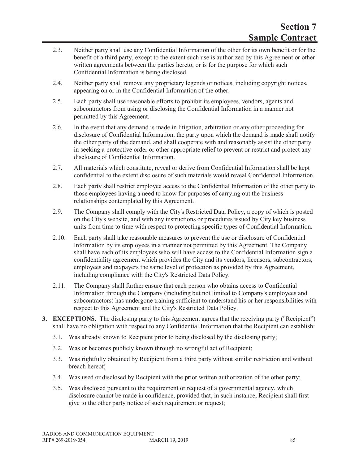- 2.3. Neither party shall use any Confidential Information of the other for its own benefit or for the benefit of a third party, except to the extent such use is authorized by this Agreement or other written agreements between the parties hereto, or is for the purpose for which such Confidential Information is being disclosed.
- 2.4. Neither party shall remove any proprietary legends or notices, including copyright notices, appearing on or in the Confidential Information of the other.
- 2.5. Each party shall use reasonable efforts to prohibit its employees, vendors, agents and subcontractors from using or disclosing the Confidential Information in a manner not permitted by this Agreement.
- 2.6. In the event that any demand is made in litigation, arbitration or any other proceeding for disclosure of Confidential Information, the party upon which the demand is made shall notify the other party of the demand, and shall cooperate with and reasonably assist the other party in seeking a protective order or other appropriate relief to prevent or restrict and protect any disclosure of Confidential Information.
- 2.7. All materials which constitute, reveal or derive from Confidential Information shall be kept confidential to the extent disclosure of such materials would reveal Confidential Information.
- 2.8. Each party shall restrict employee access to the Confidential Information of the other party to those employees having a need to know for purposes of carrying out the business relationships contemplated by this Agreement.
- 2.9. The Company shall comply with the City's Restricted Data Policy, a copy of which is posted on the City's website, and with any instructions or procedures issued by City key business units from time to time with respect to protecting specific types of Confidential Information.
- 2.10. Each party shall take reasonable measures to prevent the use or disclosure of Confidential Information by its employees in a manner not permitted by this Agreement. The Company shall have each of its employees who will have access to the Confidential Information sign a confidentiality agreement which provides the City and its vendors, licensors, subcontractors, employees and taxpayers the same level of protection as provided by this Agreement, including compliance with the City's Restricted Data Policy.
- 2.11. The Company shall further ensure that each person who obtains access to Confidential Information through the Company (including but not limited to Company's employees and subcontractors) has undergone training sufficient to understand his or her responsibilities with respect to this Agreement and the City's Restricted Data Policy.
- **3. EXCEPTIONS**. The disclosing party to this Agreement agrees that the receiving party ("Recipient") shall have no obligation with respect to any Confidential Information that the Recipient can establish:
	- 3.1. Was already known to Recipient prior to being disclosed by the disclosing party;
	- 3.2. Was or becomes publicly known through no wrongful act of Recipient;
	- 3.3. Was rightfully obtained by Recipient from a third party without similar restriction and without breach hereof;
	- 3.4. Was used or disclosed by Recipient with the prior written authorization of the other party;
	- 3.5. Was disclosed pursuant to the requirement or request of a governmental agency, which disclosure cannot be made in confidence, provided that, in such instance, Recipient shall first give to the other party notice of such requirement or request;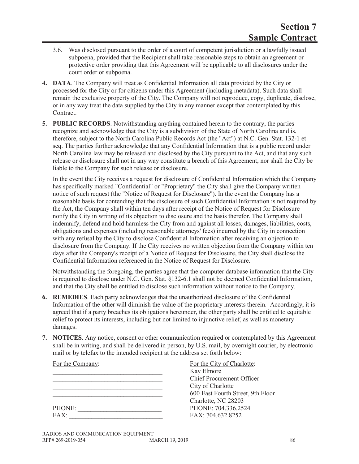- 3.6. Was disclosed pursuant to the order of a court of competent jurisdiction or a lawfully issued subpoena, provided that the Recipient shall take reasonable steps to obtain an agreement or protective order providing that this Agreement will be applicable to all disclosures under the court order or subpoena.
- **4. DATA**. The Company will treat as Confidential Information all data provided by the City or processed for the City or for citizens under this Agreement (including metadata). Such data shall remain the exclusive property of the City. The Company will not reproduce, copy, duplicate, disclose, or in any way treat the data supplied by the City in any manner except that contemplated by this Contract.
- **5. PUBLIC RECORDS**. Notwithstanding anything contained herein to the contrary, the parties recognize and acknowledge that the City is a subdivision of the State of North Carolina and is, therefore, subject to the North Carolina Public Records Act (the "Act") at N.C. Gen. Stat. 132-1 et seq. The parties further acknowledge that any Confidential Information that is a public record under North Carolina law may be released and disclosed by the City pursuant to the Act, and that any such release or disclosure shall not in any way constitute a breach of this Agreement, nor shall the City be liable to the Company for such release or disclosure.

In the event the City receives a request for disclosure of Confidential Information which the Company has specifically marked "Confidential" or "Proprietary" the City shall give the Company written notice of such request (the "Notice of Request for Disclosure"). In the event the Company has a reasonable basis for contending that the disclosure of such Confidential Information is not required by the Act, the Company shall within ten days after receipt of the Notice of Request for Disclosure notify the City in writing of its objection to disclosure and the basis therefor. The Company shall indemnify, defend and hold harmless the City from and against all losses, damages, liabilities, costs, obligations and expenses (including reasonable attorneys' fees) incurred by the City in connection with any refusal by the City to disclose Confidential Information after receiving an objection to disclosure from the Company. If the City receives no written objection from the Company within ten days after the Company's receipt of a Notice of Request for Disclosure, the City shall disclose the Confidential Information referenced in the Notice of Request for Disclosure.

Notwithstanding the foregoing, the parties agree that the computer database information that the City is required to disclose under N.C. Gen. Stat. §132-6.1 shall not be deemed Confidential Information, and that the City shall be entitled to disclose such information without notice to the Company.

- **6. REMEDIES**. Each party acknowledges that the unauthorized disclosure of the Confidential Information of the other will diminish the value of the proprietary interests therein. Accordingly, it is agreed that if a party breaches its obligations hereunder, the other party shall be entitled to equitable relief to protect its interests, including but not limited to injunctive relief, as well as monetary damages.
- **7. NOTICES**. Any notice, consent or other communication required or contemplated by this Agreement shall be in writing, and shall be delivered in person, by U.S. mail, by overnight courier, by electronic mail or by telefax to the intended recipient at the address set forth below:

| For the Company: |  |  |  |
|------------------|--|--|--|
|                  |  |  |  |
|                  |  |  |  |
|                  |  |  |  |
|                  |  |  |  |
|                  |  |  |  |
| PHONE:           |  |  |  |
| FAX:             |  |  |  |

For the City of Charlotte: Kay Elmore \_\_\_\_\_\_\_\_\_\_\_\_\_\_\_\_\_\_\_\_\_\_\_\_\_\_\_\_\_\_\_\_\_\_ Chief Procurement Officer City of Charlotte \_\_\_\_\_\_\_\_\_\_\_\_\_\_\_\_\_\_\_\_\_\_\_\_\_\_\_\_\_\_\_\_\_\_ 600 East Fourth Street, 9th Floor \_\_\_\_\_\_\_\_\_\_\_\_\_\_\_\_\_\_\_\_\_\_\_\_\_\_\_\_\_\_\_\_\_\_ Charlotte, NC 28203 PHONE: \_\_\_\_\_\_\_\_\_\_\_\_\_\_\_\_\_\_\_\_\_\_\_\_\_\_ PHONE: 704.336.2524 FAX: 704.632.8252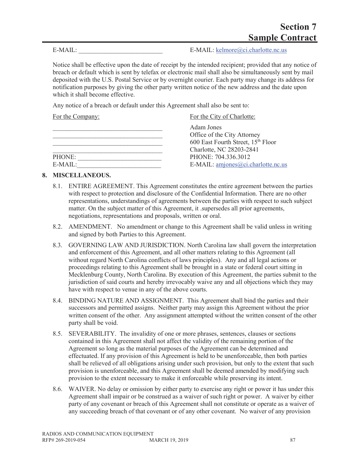E-MAIL:  $E\text{-}{\text{MAIL:~kelmore@ci.charlotte.nc.us}}$ 

Notice shall be effective upon the date of receipt by the intended recipient; provided that any notice of breach or default which is sent by telefax or electronic mail shall also be simultaneously sent by mail deposited with the U.S. Postal Service or by overnight courier. Each party may change its address for notification purposes by giving the other party written notice of the new address and the date upon which it shall become effective.

Any notice of a breach or default under this Agreement shall also be sent to:

| For the Company: | For the City of Charlotte:         |
|------------------|------------------------------------|
|                  | Adam Jones                         |
|                  | Office of the City Attorney        |
|                  | 600 East Fourth Street, 15th Floor |
|                  | Charlotte, NC 28203-2841           |
| PHONE:           | PHONE: 704.336.3012                |
| $E-MAIL:$        | E-MAIL: amjones@ci.charlotte.nc.us |

### **8. MISCELLANEOUS.**

- 8.1. ENTIRE AGREEMENT. This Agreement constitutes the entire agreement between the parties with respect to protection and disclosure of the Confidential Information. There are no other representations, understandings of agreements between the parties with respect to such subject matter. On the subject matter of this Agreement, it .supersedes all prior agreements, negotiations, representations and proposals, written or oral.
- 8.2. AMENDMENT. No amendment or change to this Agreement shall be valid unless in writing and signed by both Parties to this Agreement.
- 8.3. GOVERNING LAW AND JURISDICTION. North Carolina law shall govern the interpretation and enforcement of this Agreement, and all other matters relating to this Agreement (all without regard North Carolina conflicts of laws principles). Any and all legal actions or proceedings relating to this Agreement shall be brought in a state or federal court sitting in Mecklenburg County, North Carolina. By execution of this Agreement, the parties submit to the jurisdiction of said courts and hereby irrevocably waive any and all objections which they may have with respect to venue in any of the above courts.
- 8.4. BINDING NATURE AND ASSIGNMENT. This Agreement shall bind the parties and their successors and permitted assigns. Neither party may assign this Agreement without the prior written consent of the other. Any assignment attempted without the written consent of the other party shall be void.
- 8.5. SEVERABILITY. The invalidity of one or more phrases, sentences, clauses or sections contained in this Agreement shall not affect the validity of the remaining portion of the Agreement so long as the material purposes of the Agreement can be determined and effectuated. If any provision of this Agreement is held to be unenforceable, then both parties shall be relieved of all obligations arising under such provision, but only to the extent that such provision is unenforceable, and this Agreement shall be deemed amended by modifying such provision to the extent necessary to make it enforceable while preserving its intent.
- 8.6. WAIVER. No delay or omission by either party to exercise any right or power it has under this Agreement shall impair or be construed as a waiver of such right or power. A waiver by either party of any covenant or breach of this Agreement shall not constitute or operate as a waiver of any succeeding breach of that covenant or of any other covenant. No waiver of any provision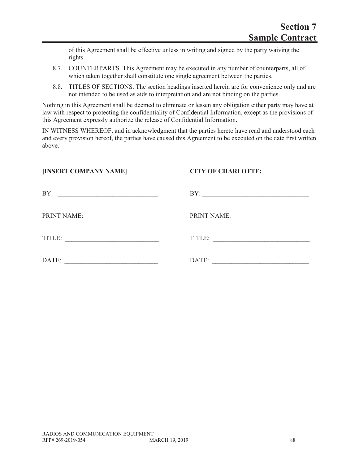of this Agreement shall be effective unless in writing and signed by the party waiving the rights.

- 8.7. COUNTERPARTS. This Agreement may be executed in any number of counterparts, all of which taken together shall constitute one single agreement between the parties.
- 8.8. TITLES OF SECTIONS. The section headings inserted herein are for convenience only and are not intended to be used as aids to interpretation and are not binding on the parties.

Nothing in this Agreement shall be deemed to eliminate or lessen any obligation either party may have at law with respect to protecting the confidentiality of Confidential Information, except as the provisions of this Agreement expressly authorize the release of Confidential Information.

IN WITNESS WHEREOF, and in acknowledgment that the parties hereto have read and understood each and every provision hereof, the parties have caused this Agreement to be executed on the date first written above.

### **[INSERT COMPANY NAME] CITY OF CHARLOTTE:**

| BY:                                                     | BY:         |
|---------------------------------------------------------|-------------|
| PRINT NAME:<br><u> 1990 - Johann Harry Barn, mars a</u> | PRINT NAME: |
| TITLE:                                                  | TITLE:      |
| DATE:                                                   | DATE:       |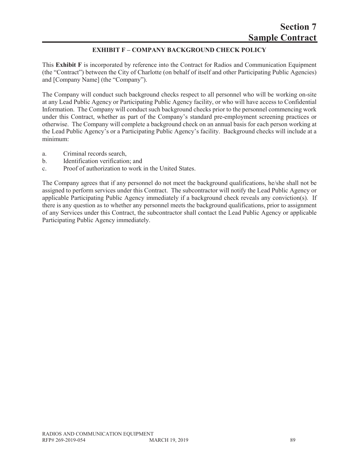# **EXHIBIT F – COMPANY BACKGROUND CHECK POLICY**

This **Exhibit F** is incorporated by reference into the Contract for Radios and Communication Equipment (the "Contract") between the City of Charlotte (on behalf of itself and other Participating Public Agencies) and [Company Name] (the "Company").

The Company will conduct such background checks respect to all personnel who will be working on-site at any Lead Public Agency or Participating Public Agency facility, or who will have access to Confidential Information. The Company will conduct such background checks prior to the personnel commencing work under this Contract, whether as part of the Company's standard pre-employment screening practices or otherwise. The Company will complete a background check on an annual basis for each person working at the Lead Public Agency's or a Participating Public Agency's facility. Background checks will include at a minimum:

- a. Criminal records search,
- b. Identification verification; and
- c. Proof of authorization to work in the United States.

The Company agrees that if any personnel do not meet the background qualifications, he/she shall not be assigned to perform services under this Contract. The subcontractor will notify the Lead Public Agency or applicable Participating Public Agency immediately if a background check reveals any conviction(s). If there is any question as to whether any personnel meets the background qualifications, prior to assignment of any Services under this Contract, the subcontractor shall contact the Lead Public Agency or applicable Participating Public Agency immediately.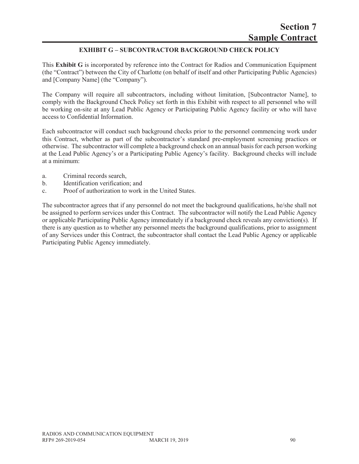# **EXHIBIT G – SUBCONTRACTOR BACKGROUND CHECK POLICY**

This **Exhibit G** is incorporated by reference into the Contract for Radios and Communication Equipment (the "Contract") between the City of Charlotte (on behalf of itself and other Participating Public Agencies) and [Company Name] (the "Company").

The Company will require all subcontractors, including without limitation, [Subcontractor Name], to comply with the Background Check Policy set forth in this Exhibit with respect to all personnel who will be working on-site at any Lead Public Agency or Participating Public Agency facility or who will have access to Confidential Information.

Each subcontractor will conduct such background checks prior to the personnel commencing work under this Contract, whether as part of the subcontractor's standard pre-employment screening practices or otherwise. The subcontractor will complete a background check on an annual basis for each person working at the Lead Public Agency's or a Participating Public Agency's facility. Background checks will include at a minimum:

- a. Criminal records search,
- b. Identification verification; and
- c. Proof of authorization to work in the United States.

The subcontractor agrees that if any personnel do not meet the background qualifications, he/she shall not be assigned to perform services under this Contract. The subcontractor will notify the Lead Public Agency or applicable Participating Public Agency immediately if a background check reveals any conviction(s). If there is any question as to whether any personnel meets the background qualifications, prior to assignment of any Services under this Contract, the subcontractor shall contact the Lead Public Agency or applicable Participating Public Agency immediately.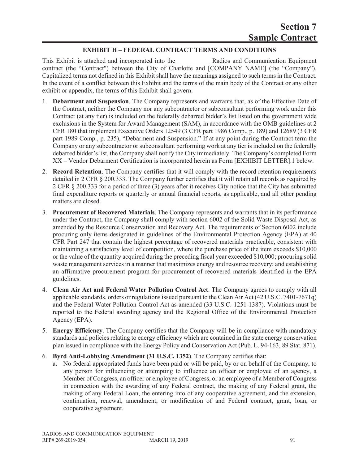### **EXHIBIT H – FEDERAL CONTRACT TERMS AND CONDITIONS**

This Exhibit is attached and incorporated into the **Radios and Communication Equipment** contract (the "Contract") between the City of Charlotte and [COMPANY NAME] (the "Company"). Capitalized terms not defined in this Exhibit shall have the meanings assigned to such terms in the Contract. In the event of a conflict between this Exhibit and the terms of the main body of the Contract or any other exhibit or appendix, the terms of this Exhibit shall govern.

- 1. **Debarment and Suspension**. The Company represents and warrants that, as of the Effective Date of the Contract, neither the Company nor any subcontractor or subconsultant performing work under this Contract (at any tier) is included on the federally debarred bidder's list listed on the government wide exclusions in the System for Award Management (SAM), in accordance with the OMB guidelines at 2 CFR 180 that implement Executive Orders 12549 (3 CFR part 1986 Comp., p. 189) and 12689 (3 CFR part 1989 Comp., p. 235), "Debarment and Suspension." If at any point during the Contract term the Company or any subcontractor or subconsultant performing work at any tier is included on the federally debarred bidder's list, the Company shall notify the City immediately. The Company's completed Form XX – Vendor Debarment Certification is incorporated herein as Form [EXHIBIT LETTER].1 below.
- 2. **Record Retention**. The Company certifies that it will comply with the record retention requirements detailed in 2 CFR § 200.333. The Company further certifies that it will retain all records as required by 2 CFR § 200.333 for a period of three (3) years after it receives City notice that the City has submitted final expenditure reports or quarterly or annual financial reports, as applicable, and all other pending matters are closed.
- 3. **Procurement of Recovered Materials**. The Company represents and warrants that in its performance under the Contract, the Company shall comply with section 6002 of the Solid Waste Disposal Act, as amended by the Resource Conservation and Recovery Act. The requirements of Section 6002 include procuring only items designated in guidelines of the Environmental Protection Agency (EPA) at 40 CFR Part 247 that contain the highest percentage of recovered materials practicable, consistent with maintaining a satisfactory level of competition, where the purchase price of the item exceeds \$10,000 or the value of the quantity acquired during the preceding fiscal year exceeded \$10,000; procuring solid waste management services in a manner that maximizes energy and resource recovery; and establishing an affirmative procurement program for procurement of recovered materials identified in the EPA guidelines.
- 4. **Clean Air Act and Federal Water Pollution Control Act**. The Company agrees to comply with all applicable standards, orders or regulations issued pursuant to the Clean Air Act (42 U.S.C. 7401-7671q) and the Federal Water Pollution Control Act as amended (33 U.S.C. 1251-1387). Violations must be reported to the Federal awarding agency and the Regional Office of the Environmental Protection Agency (EPA).
- 5. **Energy Efficiency**. The Company certifies that the Company will be in compliance with mandatory standards and policies relating to energy efficiency which are contained in the state energy conservation plan issued in compliance with the Energy Policy and Conservation Act (Pub. L. 94-163, 89 Stat. 871).
- 6. **Byrd Anti-Lobbying Amendment (31 U.S.C. 1352)**. The Company certifies that:
	- a. No federal appropriated funds have been paid or will be paid, by or on behalf of the Company, to any person for influencing or attempting to influence an officer or employee of an agency, a Member of Congress, an officer or employee of Congress, or an employee of a Member of Congress in connection with the awarding of any Federal contract, the making of any Federal grant, the making of any Federal Loan, the entering into of any cooperative agreement, and the extension, continuation, renewal, amendment, or modification of and Federal contract, grant, loan, or cooperative agreement.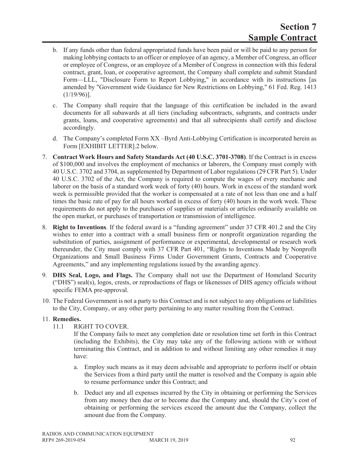- b. If any funds other than federal appropriated funds have been paid or will be paid to any person for making lobbying contacts to an officer or employee of an agency, a Member of Congress, an officer or employee of Congress, or an employee of a Member of Congress in connection with this federal contract, grant, loan, or cooperative agreement, the Company shall complete and submit Standard Form—LLL, "Disclosure Form to Report Lobbying," in accordance with its instructions [as amended by "Government wide Guidance for New Restrictions on Lobbying," 61 Fed. Reg. 1413 (1/19/96)].
- c. The Company shall require that the language of this certification be included in the award documents for all subawards at all tiers (including subcontracts, subgrants, and contracts under grants, loans, and cooperative agreements) and that all subrecipients shall certify and disclose accordingly.
- d. The Company's completed Form XX –Byrd Anti-Lobbying Certification is incorporated herein as Form [EXHIBIT LETTER].2 below.
- 7. **Contract Work Hours and Safety Standards Act (40 U.S.C. 3701-3708)**. If the Contract is in excess of \$100,000 and involves the employment of mechanics or laborers, the Company must comply with 40 U.S.C. 3702 and 3704, as supplemented by Department of Labor regulations (29 CFR Part 5). Under 40 U.S.C. 3702 of the Act, the Company is required to compute the wages of every mechanic and laborer on the basis of a standard work week of forty (40) hours. Work in excess of the standard work week is permissible provided that the worker is compensated at a rate of not less than one and a half times the basic rate of pay for all hours worked in excess of forty (40) hours in the work week. These requirements do not apply to the purchases of supplies or materials or articles ordinarily available on the open market, or purchases of transportation or transmission of intelligence.
- 8. **Right to Inventions**. If the federal award is a "funding agreement" under 37 CFR 401.2 and the City wishes to enter into a contract with a small business firm or nonprofit organization regarding the substitution of parties, assignment of performance or experimental, developmental or research work thereunder, the City must comply with 37 CFR Part 401, "Rights to Inventions Made by Nonprofit Organizations and Small Business Firms Under Government Grants, Contracts and Cooperative Agreements," and any implementing regulations issued by the awarding agency.
- 9. **DHS Seal, Logo, and Flags.** The Company shall not use the Department of Homeland Security ("DHS") seal(s), logos, crests, or reproductions of flags or likenesses of DHS agency officials without specific FEMA pre-approval.
- 10. The Federal Government is not a party to this Contract and is not subject to any obligations or liabilities to the City, Company, or any other party pertaining to any matter resulting from the Contract.

### 11. **Remedies.**

11.1 RIGHT TO COVER.

If the Company fails to meet any completion date or resolution time set forth in this Contract (including the Exhibits), the City may take any of the following actions with or without terminating this Contract, and in addition to and without limiting any other remedies it may have:

- a. Employ such means as it may deem advisable and appropriate to perform itself or obtain the Services from a third party until the matter is resolved and the Company is again able to resume performance under this Contract; and
- b. Deduct any and all expenses incurred by the City in obtaining or performing the Services from any money then due or to become due the Company and, should the City's cost of obtaining or performing the services exceed the amount due the Company, collect the amount due from the Company.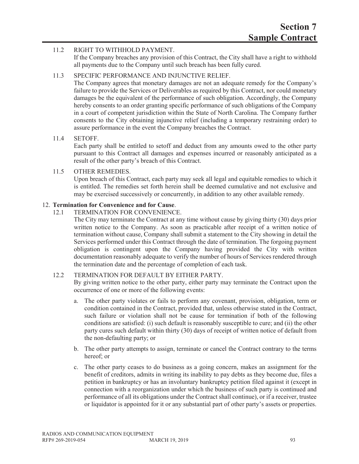### 11.2 RIGHT TO WITHHOLD PAYMENT.

If the Company breaches any provision of this Contract, the City shall have a right to withhold all payments due to the Company until such breach has been fully cured.

### 11.3 SPECIFIC PERFORMANCE AND INJUNCTIVE RELIEF.

The Company agrees that monetary damages are not an adequate remedy for the Company's failure to provide the Services or Deliverables as required by this Contract, nor could monetary damages be the equivalent of the performance of such obligation. Accordingly, the Company hereby consents to an order granting specific performance of such obligations of the Company in a court of competent jurisdiction within the State of North Carolina. The Company further consents to the City obtaining injunctive relief (including a temporary restraining order) to assure performance in the event the Company breaches the Contract.

### 11.4 SETOFF.

Each party shall be entitled to setoff and deduct from any amounts owed to the other party pursuant to this Contract all damages and expenses incurred or reasonably anticipated as a result of the other party's breach of this Contract.

### 11.5 OTHER REMEDIES.

Upon breach of this Contract, each party may seek all legal and equitable remedies to which it is entitled. The remedies set forth herein shall be deemed cumulative and not exclusive and may be exercised successively or concurrently, in addition to any other available remedy.

### 12. **Termination for Convenience and for Cause**.

### 12.1 TERMINATION FOR CONVENIENCE.

The City may terminate the Contract at any time without cause by giving thirty (30) days prior written notice to the Company. As soon as practicable after receipt of a written notice of termination without cause, Company shall submit a statement to the City showing in detail the Services performed under this Contract through the date of termination. The forgoing payment obligation is contingent upon the Company having provided the City with written documentation reasonably adequate to verify the number of hours of Services rendered through the termination date and the percentage of completion of each task.

### 12.2 TERMINATION FOR DEFAULT BY EITHER PARTY.

By giving written notice to the other party, either party may terminate the Contract upon the occurrence of one or more of the following events:

- a. The other party violates or fails to perform any covenant, provision, obligation, term or condition contained in the Contract, provided that, unless otherwise stated in the Contract, such failure or violation shall not be cause for termination if both of the following conditions are satisfied: (i) such default is reasonably susceptible to cure; and (ii) the other party cures such default within thirty (30) days of receipt of written notice of default from the non-defaulting party; or
- b. The other party attempts to assign, terminate or cancel the Contract contrary to the terms hereof; or
- c. The other party ceases to do business as a going concern, makes an assignment for the benefit of creditors, admits in writing its inability to pay debts as they become due, files a petition in bankruptcy or has an involuntary bankruptcy petition filed against it (except in connection with a reorganization under which the business of such party is continued and performance of all its obligations under the Contract shall continue), or if a receiver, trustee or liquidator is appointed for it or any substantial part of other party's assets or properties.